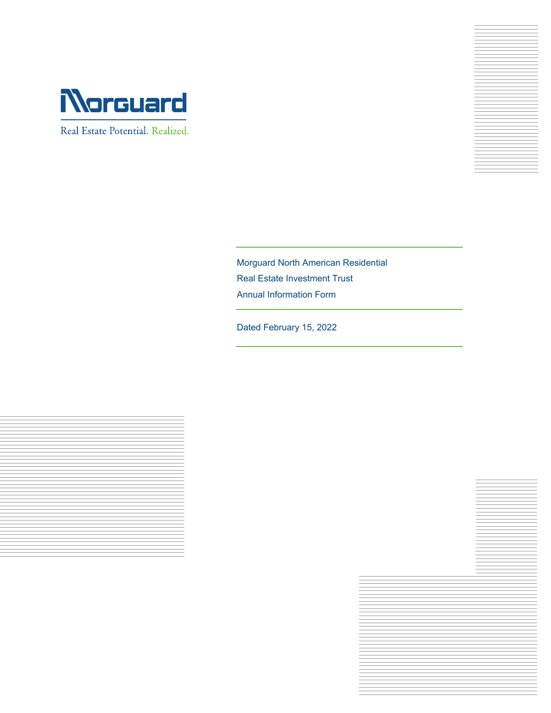

Real Estate Potential. Realized.



Morguard North American Residential Real Estate Investment Trust Annual Information Form

Dated February 15, 2022



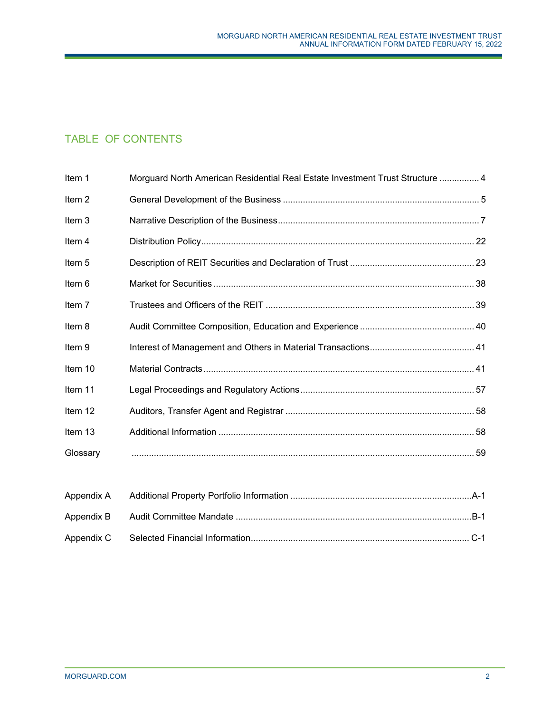# TABLE OF CONTENTS

| Item 1            | Morguard North American Residential Real Estate Investment Trust Structure  4 |  |
|-------------------|-------------------------------------------------------------------------------|--|
| Item <sub>2</sub> |                                                                               |  |
| Item 3            |                                                                               |  |
| Item 4            |                                                                               |  |
| Item 5            |                                                                               |  |
| Item 6            |                                                                               |  |
| Item 7            |                                                                               |  |
| Item 8            |                                                                               |  |
| Item 9            |                                                                               |  |
| Item 10           |                                                                               |  |
| Item 11           |                                                                               |  |
| Item 12           |                                                                               |  |
| Item 13           |                                                                               |  |
| Glossary          |                                                                               |  |
|                   |                                                                               |  |
| Appendix A        |                                                                               |  |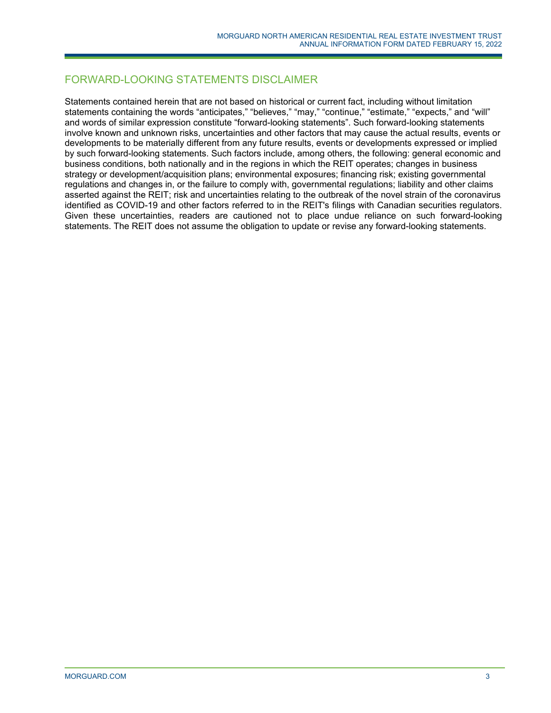# FORWARD-LOOKING STATEMENTS DISCLAIMER

Statements contained herein that are not based on historical or current fact, including without limitation statements containing the words "anticipates," "believes," "may," "continue," "estimate," "expects," and "will" and words of similar expression constitute "forward-looking statements". Such forward-looking statements involve known and unknown risks, uncertainties and other factors that may cause the actual results, events or developments to be materially different from any future results, events or developments expressed or implied by such forward-looking statements. Such factors include, among others, the following: general economic and business conditions, both nationally and in the regions in which the REIT operates; changes in business strategy or development/acquisition plans; environmental exposures; financing risk; existing governmental regulations and changes in, or the failure to comply with, governmental regulations; liability and other claims asserted against the REIT; risk and uncertainties relating to the outbreak of the novel strain of the coronavirus identified as COVID-19 and other factors referred to in the REIT's filings with Canadian securities regulators. Given these uncertainties, readers are cautioned not to place undue reliance on such forward-looking statements. The REIT does not assume the obligation to update or revise any forward-looking statements.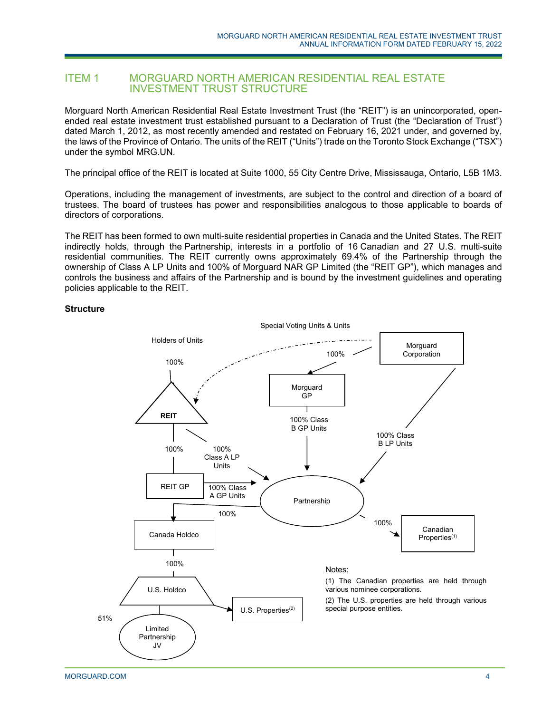# ITEM 1 MORGUARD NORTH AMERICAN RESIDENTIAL REAL ESTATE INVESTMENT TRUST STRUCTURE

Morguard North American Residential Real Estate Investment Trust (the "REIT") is an unincorporated, openended real estate investment trust established pursuant to a Declaration of Trust (the "Declaration of Trust") dated March 1, 2012, as most recently amended and restated on February 16, 2021 under, and governed by, the laws of the Province of Ontario. The units of the REIT ("Units") trade on the Toronto Stock Exchange ("TSX") under the symbol MRG.UN.

The principal office of the REIT is located at Suite 1000, 55 City Centre Drive, Mississauga, Ontario, L5B 1M3.

Operations, including the management of investments, are subject to the control and direction of a board of trustees. The board of trustees has power and responsibilities analogous to those applicable to boards of directors of corporations.

The REIT has been formed to own multi-suite residential properties in Canada and the United States. The REIT indirectly holds, through the Partnership, interests in a portfolio of 16 Canadian and 27 U.S. multi-suite residential communities. The REIT currently owns approximately 69.4% of the Partnership through the ownership of Class A LP Units and 100% of Morguard NAR GP Limited (the "REIT GP"), which manages and controls the business and affairs of the Partnership and is bound by the investment guidelines and operating policies applicable to the REIT.

#### **Structure**

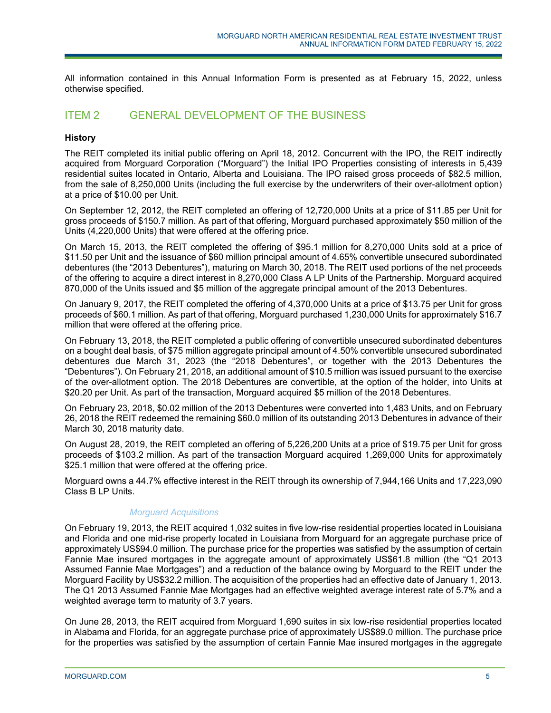All information contained in this Annual Information Form is presented as at February 15, 2022, unless otherwise specified.

# ITEM 2 GENERAL DEVELOPMENT OF THE BUSINESS

# **History**

The REIT completed its initial public offering on April 18, 2012. Concurrent with the IPO, the REIT indirectly acquired from Morguard Corporation ("Morguard") the Initial IPO Properties consisting of interests in 5,439 residential suites located in Ontario, Alberta and Louisiana. The IPO raised gross proceeds of \$82.5 million, from the sale of 8,250,000 Units (including the full exercise by the underwriters of their over-allotment option) at a price of \$10.00 per Unit.

On September 12, 2012, the REIT completed an offering of 12,720,000 Units at a price of \$11.85 per Unit for gross proceeds of \$150.7 million. As part of that offering, Morguard purchased approximately \$50 million of the Units (4,220,000 Units) that were offered at the offering price.

On March 15, 2013, the REIT completed the offering of \$95.1 million for 8,270,000 Units sold at a price of \$11.50 per Unit and the issuance of \$60 million principal amount of 4.65% convertible unsecured subordinated debentures (the "2013 Debentures"), maturing on March 30, 2018. The REIT used portions of the net proceeds of the offering to acquire a direct interest in 8,270,000 Class A LP Units of the Partnership. Morguard acquired 870,000 of the Units issued and \$5 million of the aggregate principal amount of the 2013 Debentures.

On January 9, 2017, the REIT completed the offering of 4,370,000 Units at a price of \$13.75 per Unit for gross proceeds of \$60.1 million. As part of that offering, Morguard purchased 1,230,000 Units for approximately \$16.7 million that were offered at the offering price.

On February 13, 2018, the REIT completed a public offering of convertible unsecured subordinated debentures on a bought deal basis, of \$75 million aggregate principal amount of 4.50% convertible unsecured subordinated debentures due March 31, 2023 (the "2018 Debentures", or together with the 2013 Debentures the "Debentures"). On February 21, 2018, an additional amount of \$10.5 million was issued pursuant to the exercise of the over-allotment option. The 2018 Debentures are convertible, at the option of the holder, into Units at \$20.20 per Unit. As part of the transaction, Morguard acquired \$5 million of the 2018 Debentures.

On February 23, 2018, \$0.02 million of the 2013 Debentures were converted into 1,483 Units, and on February 26, 2018 the REIT redeemed the remaining \$60.0 million of its outstanding 2013 Debentures in advance of their March 30, 2018 maturity date.

On August 28, 2019, the REIT completed an offering of 5,226,200 Units at a price of \$19.75 per Unit for gross proceeds of \$103.2 million. As part of the transaction Morguard acquired 1,269,000 Units for approximately \$25.1 million that were offered at the offering price.

Morguard owns a 44.7% effective interest in the REIT through its ownership of 7,944,166 Units and 17,223,090 Class B LP Units.

# *Morguard Acquisitions*

On February 19, 2013, the REIT acquired 1,032 suites in five low-rise residential properties located in Louisiana and Florida and one mid-rise property located in Louisiana from Morguard for an aggregate purchase price of approximately US\$94.0 million. The purchase price for the properties was satisfied by the assumption of certain Fannie Mae insured mortgages in the aggregate amount of approximately US\$61.8 million (the "Q1 2013 Assumed Fannie Mae Mortgages") and a reduction of the balance owing by Morguard to the REIT under the Morguard Facility by US\$32.2 million. The acquisition of the properties had an effective date of January 1, 2013. The Q1 2013 Assumed Fannie Mae Mortgages had an effective weighted average interest rate of 5.7% and a weighted average term to maturity of 3.7 years.

On June 28, 2013, the REIT acquired from Morguard 1,690 suites in six low-rise residential properties located in Alabama and Florida, for an aggregate purchase price of approximately US\$89.0 million. The purchase price for the properties was satisfied by the assumption of certain Fannie Mae insured mortgages in the aggregate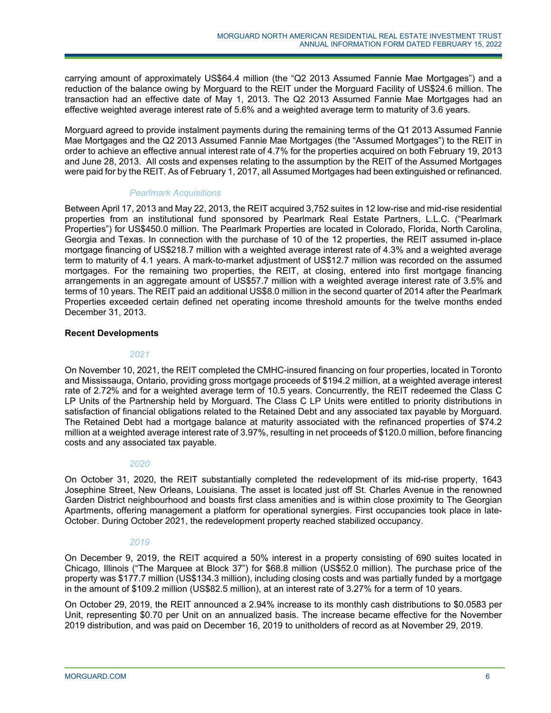carrying amount of approximately US\$64.4 million (the "Q2 2013 Assumed Fannie Mae Mortgages") and a reduction of the balance owing by Morguard to the REIT under the Morguard Facility of US\$24.6 million. The transaction had an effective date of May 1, 2013. The Q2 2013 Assumed Fannie Mae Mortgages had an effective weighted average interest rate of 5.6% and a weighted average term to maturity of 3.6 years.

Morguard agreed to provide instalment payments during the remaining terms of the Q1 2013 Assumed Fannie Mae Mortgages and the Q2 2013 Assumed Fannie Mae Mortgages (the "Assumed Mortgages") to the REIT in order to achieve an effective annual interest rate of 4.7% for the properties acquired on both February 19, 2013 and June 28, 2013. All costs and expenses relating to the assumption by the REIT of the Assumed Mortgages were paid for by the REIT. As of February 1, 2017, all Assumed Mortgages had been extinguished or refinanced.

# *Pearlmark Acquisitions*

Between April 17, 2013 and May 22, 2013, the REIT acquired 3,752 suites in 12 low-rise and mid-rise residential properties from an institutional fund sponsored by Pearlmark Real Estate Partners, L.L.C. ("Pearlmark Properties") for US\$450.0 million. The Pearlmark Properties are located in Colorado, Florida, North Carolina, Georgia and Texas. In connection with the purchase of 10 of the 12 properties, the REIT assumed in-place mortgage financing of US\$218.7 million with a weighted average interest rate of 4.3% and a weighted average term to maturity of 4.1 years. A mark-to-market adjustment of US\$12.7 million was recorded on the assumed mortgages. For the remaining two properties, the REIT, at closing, entered into first mortgage financing arrangements in an aggregate amount of US\$57.7 million with a weighted average interest rate of 3.5% and terms of 10 years. The REIT paid an additional US\$8.0 million in the second quarter of 2014 after the Pearlmark Properties exceeded certain defined net operating income threshold amounts for the twelve months ended December 31, 2013.

# **Recent Developments**

# *2021*

On November 10, 2021, the REIT completed the CMHC-insured financing on four properties, located in Toronto and Mississauga, Ontario, providing gross mortgage proceeds of \$194.2 million, at a weighted average interest rate of 2.72% and for a weighted average term of 10.5 years. Concurrently, the REIT redeemed the Class C LP Units of the Partnership held by Morguard. The Class C LP Units were entitled to priority distributions in satisfaction of financial obligations related to the Retained Debt and any associated tax payable by Morguard. The Retained Debt had a mortgage balance at maturity associated with the refinanced properties of \$74.2 million at a weighted average interest rate of 3.97%, resulting in net proceeds of \$120.0 million, before financing costs and any associated tax payable.

# *2020*

On October 31, 2020, the REIT substantially completed the redevelopment of its mid-rise property, 1643 Josephine Street, New Orleans, Louisiana. The asset is located just off St. Charles Avenue in the renowned Garden District neighbourhood and boasts first class amenities and is within close proximity to The Georgian Apartments, offering management a platform for operational synergies. First occupancies took place in late-October. During October 2021, the redevelopment property reached stabilized occupancy.

# *2019*

On December 9, 2019, the REIT acquired a 50% interest in a property consisting of 690 suites located in Chicago, Illinois ("The Marquee at Block 37") for \$68.8 million (US\$52.0 million). The purchase price of the property was \$177.7 million (US\$134.3 million), including closing costs and was partially funded by a mortgage in the amount of \$109.2 million (US\$82.5 million), at an interest rate of 3.27% for a term of 10 years.

On October 29, 2019, the REIT announced a 2.94% increase to its monthly cash distributions to \$0.0583 per Unit, representing \$0.70 per Unit on an annualized basis. The increase became effective for the November 2019 distribution, and was paid on December 16, 2019 to unitholders of record as at November 29, 2019.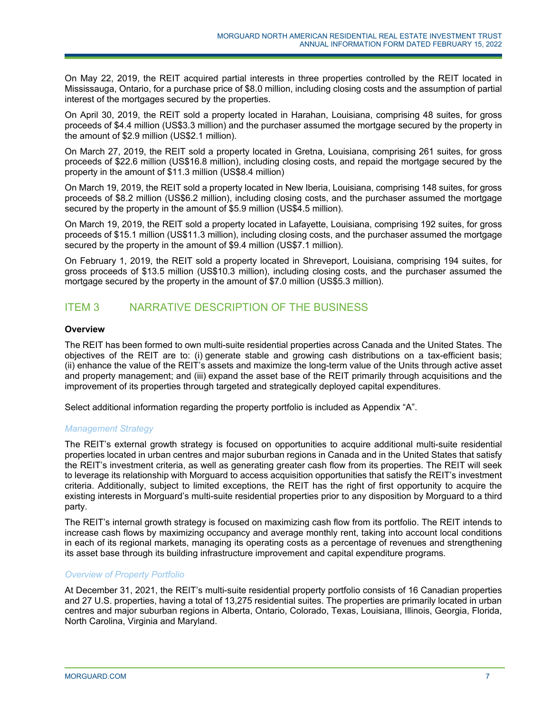On May 22, 2019, the REIT acquired partial interests in three properties controlled by the REIT located in Mississauga, Ontario, for a purchase price of \$8.0 million, including closing costs and the assumption of partial interest of the mortgages secured by the properties.

On April 30, 2019, the REIT sold a property located in Harahan, Louisiana, comprising 48 suites, for gross proceeds of \$4.4 million (US\$3.3 million) and the purchaser assumed the mortgage secured by the property in the amount of \$2.9 million (US\$2.1 million).

On March 27, 2019, the REIT sold a property located in Gretna, Louisiana, comprising 261 suites, for gross proceeds of \$22.6 million (US\$16.8 million), including closing costs, and repaid the mortgage secured by the property in the amount of \$11.3 million (US\$8.4 million)

On March 19, 2019, the REIT sold a property located in New Iberia, Louisiana, comprising 148 suites, for gross proceeds of \$8.2 million (US\$6.2 million), including closing costs, and the purchaser assumed the mortgage secured by the property in the amount of \$5.9 million (US\$4.5 million).

On March 19, 2019, the REIT sold a property located in Lafayette, Louisiana, comprising 192 suites, for gross proceeds of \$15.1 million (US\$11.3 million), including closing costs, and the purchaser assumed the mortgage secured by the property in the amount of \$9.4 million (US\$7.1 million).

On February 1, 2019, the REIT sold a property located in Shreveport, Louisiana, comprising 194 suites, for gross proceeds of \$13.5 million (US\$10.3 million), including closing costs, and the purchaser assumed the mortgage secured by the property in the amount of \$7.0 million (US\$5.3 million).

# ITEM 3 NARRATIVE DESCRIPTION OF THE BUSINESS

# **Overview**

The REIT has been formed to own multi-suite residential properties across Canada and the United States. The objectives of the REIT are to: (i) generate stable and growing cash distributions on a tax-efficient basis; (ii) enhance the value of the REIT's assets and maximize the long-term value of the Units through active asset and property management; and (iii) expand the asset base of the REIT primarily through acquisitions and the improvement of its properties through targeted and strategically deployed capital expenditures.

Select additional information regarding the property portfolio is included as Appendix "A".

# *Management Strategy*

The REIT's external growth strategy is focused on opportunities to acquire additional multi-suite residential properties located in urban centres and major suburban regions in Canada and in the United States that satisfy the REIT's investment criteria, as well as generating greater cash flow from its properties. The REIT will seek to leverage its relationship with Morguard to access acquisition opportunities that satisfy the REIT's investment criteria. Additionally, subject to limited exceptions, the REIT has the right of first opportunity to acquire the existing interests in Morguard's multi-suite residential properties prior to any disposition by Morguard to a third party.

The REIT's internal growth strategy is focused on maximizing cash flow from its portfolio. The REIT intends to increase cash flows by maximizing occupancy and average monthly rent, taking into account local conditions in each of its regional markets, managing its operating costs as a percentage of revenues and strengthening its asset base through its building infrastructure improvement and capital expenditure programs.

# *Overview of Property Portfolio*

At December 31, 2021, the REIT's multi-suite residential property portfolio consists of 16 Canadian properties and 27 U.S. properties, having a total of 13,275 residential suites. The properties are primarily located in urban centres and major suburban regions in Alberta, Ontario, Colorado, Texas, Louisiana, Illinois, Georgia, Florida, North Carolina, Virginia and Maryland.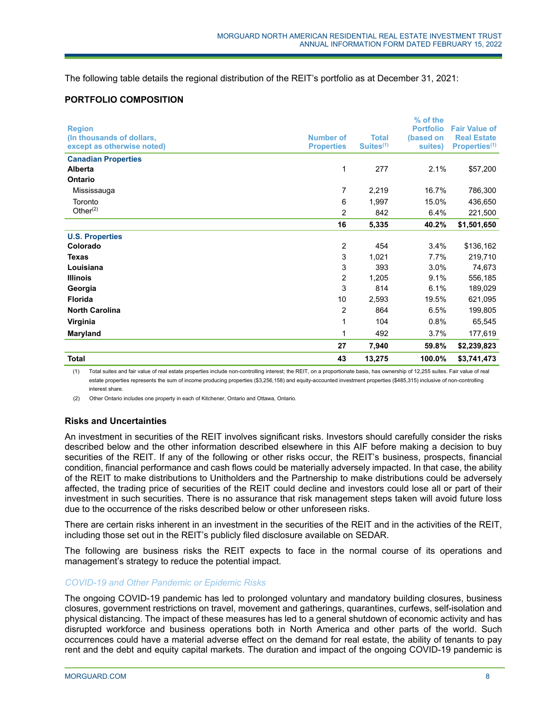The following table details the regional distribution of the REIT's portfolio as at December 31, 2021:

# **PORTFOLIO COMPOSITION**

| <b>Total</b>                          | 43                | 13,275                | 100.0%           | \$3,741,473               |
|---------------------------------------|-------------------|-----------------------|------------------|---------------------------|
|                                       | 27                | 7,940                 | 59.8%            | \$2,239,823               |
| Maryland                              | 1                 | 492                   | 3.7%             | 177,619                   |
| Virginia                              | 1                 | 104                   | 0.8%             | 65,545                    |
| <b>North Carolina</b>                 | 2                 | 864                   | 6.5%             | 199,805                   |
| <b>Florida</b>                        | 10                | 2,593                 | 19.5%            | 621,095                   |
| Georgia                               | 3                 | 814                   | 6.1%             | 189,029                   |
| <b>Illinois</b>                       | 2                 | 1,205                 | 9.1%             | 556,185                   |
| Louisiana                             | 3                 | 393                   | 3.0%             | 74,673                    |
| <b>Texas</b>                          | 3                 | 1,021                 | 7.7%             | 219,710                   |
| Colorado                              | 2                 | 454                   | 3.4%             | \$136,162                 |
| <b>U.S. Properties</b>                |                   |                       |                  |                           |
|                                       | 16                | 5,335                 | 40.2%            | \$1,501,650               |
| Other $(2)$                           | 2                 | 842                   | 6.4%             | 221,500                   |
| Toronto                               | 6                 | 1,997                 | 15.0%            | 436,650                   |
| Mississauga                           | 7                 | 2,219                 | 16.7%            | 786,300                   |
| Ontario                               |                   |                       |                  |                           |
| <b>Canadian Properties</b><br>Alberta | 1                 | 277                   | 2.1%             | \$57,200                  |
| except as otherwise noted)            | <b>Properties</b> | Suites <sup>(1)</sup> | suites)          | Properties <sup>(1)</sup> |
| (In thousands of dollars,             | <b>Number of</b>  | <b>Total</b>          | (based on        | <b>Real Estate</b>        |
| <b>Region</b>                         |                   |                       | <b>Portfolio</b> | <b>Fair Value of</b>      |
|                                       |                   |                       | % of the         |                           |

(1) Total suites and fair value of real estate properties include non-controlling interest; the REIT, on a proportionate basis, has ownership of 12,255 suites. Fair value of real estate properties represents the sum of income producing properties (\$3,256,158) and equity-accounted investment properties (\$485,315) inclusive of non-controlling interest share.

(2) Other Ontario includes one property in each of Kitchener, Ontario and Ottawa, Ontario.

# **Risks and Uncertainties**

An investment in securities of the REIT involves significant risks. Investors should carefully consider the risks described below and the other information described elsewhere in this AIF before making a decision to buy securities of the REIT. If any of the following or other risks occur, the REIT's business, prospects, financial condition, financial performance and cash flows could be materially adversely impacted. In that case, the ability of the REIT to make distributions to Unitholders and the Partnership to make distributions could be adversely affected, the trading price of securities of the REIT could decline and investors could lose all or part of their investment in such securities. There is no assurance that risk management steps taken will avoid future loss due to the occurrence of the risks described below or other unforeseen risks.

There are certain risks inherent in an investment in the securities of the REIT and in the activities of the REIT, including those set out in the REIT's publicly filed disclosure available on SEDAR.

The following are business risks the REIT expects to face in the normal course of its operations and management's strategy to reduce the potential impact.

# *COVID-19 and Other Pandemic or Epidemic Risks*

The ongoing COVID-19 pandemic has led to prolonged voluntary and mandatory building closures, business closures, government restrictions on travel, movement and gatherings, quarantines, curfews, self-isolation and physical distancing. The impact of these measures has led to a general shutdown of economic activity and has disrupted workforce and business operations both in North America and other parts of the world. Such occurrences could have a material adverse effect on the demand for real estate, the ability of tenants to pay rent and the debt and equity capital markets. The duration and impact of the ongoing COVID-19 pandemic is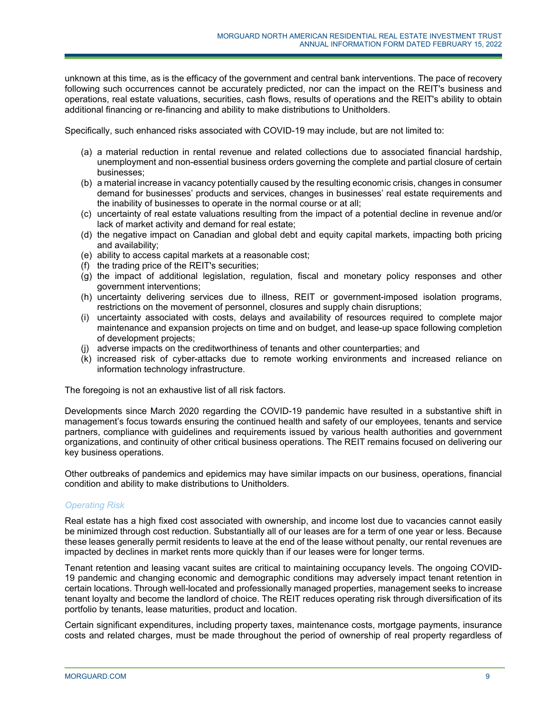unknown at this time, as is the efficacy of the government and central bank interventions. The pace of recovery following such occurrences cannot be accurately predicted, nor can the impact on the REIT's business and operations, real estate valuations, securities, cash flows, results of operations and the REIT's ability to obtain additional financing or re-financing and ability to make distributions to Unitholders.

Specifically, such enhanced risks associated with COVID-19 may include, but are not limited to:

- (a) a material reduction in rental revenue and related collections due to associated financial hardship, unemployment and non-essential business orders governing the complete and partial closure of certain businesses;
- (b) a material increase in vacancy potentially caused by the resulting economic crisis, changes in consumer demand for businesses' products and services, changes in businesses' real estate requirements and the inability of businesses to operate in the normal course or at all;
- (c) uncertainty of real estate valuations resulting from the impact of a potential decline in revenue and/or lack of market activity and demand for real estate;
- (d) the negative impact on Canadian and global debt and equity capital markets, impacting both pricing and availability;
- (e) ability to access capital markets at a reasonable cost;
- (f) the trading price of the REIT's securities;
- (g) the impact of additional legislation, regulation, fiscal and monetary policy responses and other government interventions;
- (h) uncertainty delivering services due to illness, REIT or government-imposed isolation programs, restrictions on the movement of personnel, closures and supply chain disruptions;
- (i) uncertainty associated with costs, delays and availability of resources required to complete major maintenance and expansion projects on time and on budget, and lease-up space following completion of development projects;
- (j) adverse impacts on the creditworthiness of tenants and other counterparties; and
- (k) increased risk of cyber-attacks due to remote working environments and increased reliance on information technology infrastructure.

The foregoing is not an exhaustive list of all risk factors.

Developments since March 2020 regarding the COVID-19 pandemic have resulted in a substantive shift in management's focus towards ensuring the continued health and safety of our employees, tenants and service partners, compliance with guidelines and requirements issued by various health authorities and government organizations, and continuity of other critical business operations. The REIT remains focused on delivering our key business operations.

Other outbreaks of pandemics and epidemics may have similar impacts on our business, operations, financial condition and ability to make distributions to Unitholders.

# *Operating Risk*

Real estate has a high fixed cost associated with ownership, and income lost due to vacancies cannot easily be minimized through cost reduction. Substantially all of our leases are for a term of one year or less. Because these leases generally permit residents to leave at the end of the lease without penalty, our rental revenues are impacted by declines in market rents more quickly than if our leases were for longer terms.

Tenant retention and leasing vacant suites are critical to maintaining occupancy levels. The ongoing COVID-19 pandemic and changing economic and demographic conditions may adversely impact tenant retention in certain locations. Through well-located and professionally managed properties, management seeks to increase tenant loyalty and become the landlord of choice. The REIT reduces operating risk through diversification of its portfolio by tenants, lease maturities, product and location.

Certain significant expenditures, including property taxes, maintenance costs, mortgage payments, insurance costs and related charges, must be made throughout the period of ownership of real property regardless of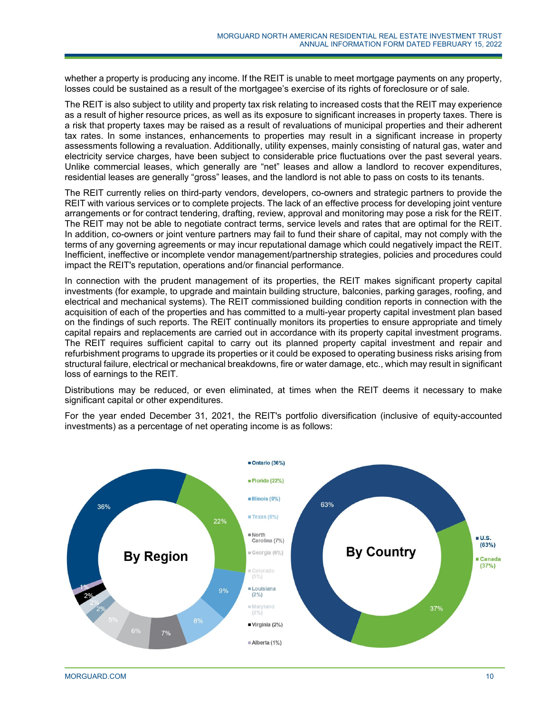whether a property is producing any income. If the REIT is unable to meet mortgage payments on any property, losses could be sustained as a result of the mortgagee's exercise of its rights of foreclosure or of sale.

The REIT is also subject to utility and property tax risk relating to increased costs that the REIT may experience as a result of higher resource prices, as well as its exposure to significant increases in property taxes. There is a risk that property taxes may be raised as a result of revaluations of municipal properties and their adherent tax rates. In some instances, enhancements to properties may result in a significant increase in property assessments following a revaluation. Additionally, utility expenses, mainly consisting of natural gas, water and electricity service charges, have been subject to considerable price fluctuations over the past several years. Unlike commercial leases, which generally are "net" leases and allow a landlord to recover expenditures, residential leases are generally "gross" leases, and the landlord is not able to pass on costs to its tenants.

The REIT currently relies on third-party vendors, developers, co-owners and strategic partners to provide the REIT with various services or to complete projects. The lack of an effective process for developing joint venture arrangements or for contract tendering, drafting, review, approval and monitoring may pose a risk for the REIT. The REIT may not be able to negotiate contract terms, service levels and rates that are optimal for the REIT. In addition, co-owners or joint venture partners may fail to fund their share of capital, may not comply with the terms of any governing agreements or may incur reputational damage which could negatively impact the REIT. Inefficient, ineffective or incomplete vendor management/partnership strategies, policies and procedures could impact the REIT's reputation, operations and/or financial performance.

In connection with the prudent management of its properties, the REIT makes significant property capital investments (for example, to upgrade and maintain building structure, balconies, parking garages, roofing, and electrical and mechanical systems). The REIT commissioned building condition reports in connection with the acquisition of each of the properties and has committed to a multi-year property capital investment plan based on the findings of such reports. The REIT continually monitors its properties to ensure appropriate and timely capital repairs and replacements are carried out in accordance with its property capital investment programs. The REIT requires sufficient capital to carry out its planned property capital investment and repair and refurbishment programs to upgrade its properties or it could be exposed to operating business risks arising from structural failure, electrical or mechanical breakdowns, fire or water damage, etc., which may result in significant loss of earnings to the REIT.

Distributions may be reduced, or even eliminated, at times when the REIT deems it necessary to make significant capital or other expenditures.

For the year ended December 31, 2021, the REIT's portfolio diversification (inclusive of equity-accounted investments) as a percentage of net operating income is as follows:

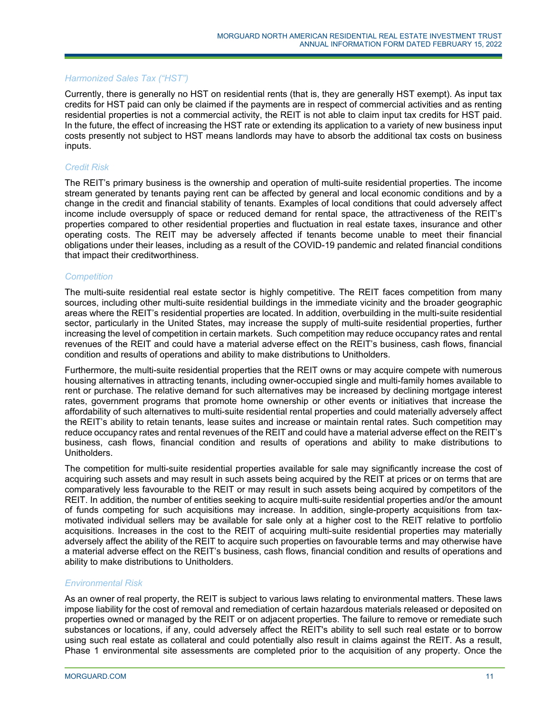# *Harmonized Sales Tax ("HST")*

Currently, there is generally no HST on residential rents (that is, they are generally HST exempt). As input tax credits for HST paid can only be claimed if the payments are in respect of commercial activities and as renting residential properties is not a commercial activity, the REIT is not able to claim input tax credits for HST paid. In the future, the effect of increasing the HST rate or extending its application to a variety of new business input costs presently not subject to HST means landlords may have to absorb the additional tax costs on business inputs.

#### *Credit Risk*

The REIT's primary business is the ownership and operation of multi-suite residential properties. The income stream generated by tenants paying rent can be affected by general and local economic conditions and by a change in the credit and financial stability of tenants. Examples of local conditions that could adversely affect income include oversupply of space or reduced demand for rental space, the attractiveness of the REIT's properties compared to other residential properties and fluctuation in real estate taxes, insurance and other operating costs. The REIT may be adversely affected if tenants become unable to meet their financial obligations under their leases, including as a result of the COVID-19 pandemic and related financial conditions that impact their creditworthiness.

#### *Competition*

The multi-suite residential real estate sector is highly competitive. The REIT faces competition from many sources, including other multi-suite residential buildings in the immediate vicinity and the broader geographic areas where the REIT's residential properties are located. In addition, overbuilding in the multi-suite residential sector, particularly in the United States, may increase the supply of multi-suite residential properties, further increasing the level of competition in certain markets. Such competition may reduce occupancy rates and rental revenues of the REIT and could have a material adverse effect on the REIT's business, cash flows, financial condition and results of operations and ability to make distributions to Unitholders.

Furthermore, the multi-suite residential properties that the REIT owns or may acquire compete with numerous housing alternatives in attracting tenants, including owner-occupied single and multi-family homes available to rent or purchase. The relative demand for such alternatives may be increased by declining mortgage interest rates, government programs that promote home ownership or other events or initiatives that increase the affordability of such alternatives to multi-suite residential rental properties and could materially adversely affect the REIT's ability to retain tenants, lease suites and increase or maintain rental rates. Such competition may reduce occupancy rates and rental revenues of the REIT and could have a material adverse effect on the REIT's business, cash flows, financial condition and results of operations and ability to make distributions to Unitholders.

The competition for multi-suite residential properties available for sale may significantly increase the cost of acquiring such assets and may result in such assets being acquired by the REIT at prices or on terms that are comparatively less favourable to the REIT or may result in such assets being acquired by competitors of the REIT. In addition, the number of entities seeking to acquire multi-suite residential properties and/or the amount of funds competing for such acquisitions may increase. In addition, single-property acquisitions from taxmotivated individual sellers may be available for sale only at a higher cost to the REIT relative to portfolio acquisitions. Increases in the cost to the REIT of acquiring multi-suite residential properties may materially adversely affect the ability of the REIT to acquire such properties on favourable terms and may otherwise have a material adverse effect on the REIT's business, cash flows, financial condition and results of operations and ability to make distributions to Unitholders.

#### *Environmental Risk*

As an owner of real property, the REIT is subject to various laws relating to environmental matters. These laws impose liability for the cost of removal and remediation of certain hazardous materials released or deposited on properties owned or managed by the REIT or on adjacent properties. The failure to remove or remediate such substances or locations, if any, could adversely affect the REIT's ability to sell such real estate or to borrow using such real estate as collateral and could potentially also result in claims against the REIT. As a result, Phase 1 environmental site assessments are completed prior to the acquisition of any property. Once the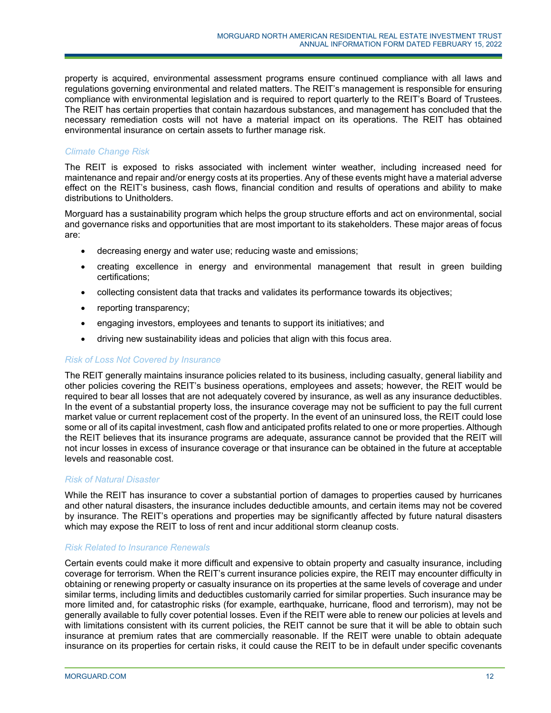property is acquired, environmental assessment programs ensure continued compliance with all laws and regulations governing environmental and related matters. The REIT's management is responsible for ensuring compliance with environmental legislation and is required to report quarterly to the REIT's Board of Trustees. The REIT has certain properties that contain hazardous substances, and management has concluded that the necessary remediation costs will not have a material impact on its operations. The REIT has obtained environmental insurance on certain assets to further manage risk.

# *Climate Change Risk*

The REIT is exposed to risks associated with inclement winter weather, including increased need for maintenance and repair and/or energy costs at its properties. Any of these events might have a material adverse effect on the REIT's business, cash flows, financial condition and results of operations and ability to make distributions to Unitholders.

Morguard has a sustainability program which helps the group structure efforts and act on environmental, social and governance risks and opportunities that are most important to its stakeholders. These major areas of focus are:

- decreasing energy and water use; reducing waste and emissions;
- creating excellence in energy and environmental management that result in green building certifications;
- collecting consistent data that tracks and validates its performance towards its objectives;
- reporting transparency;
- engaging investors, employees and tenants to support its initiatives; and
- driving new sustainability ideas and policies that align with this focus area.

# *Risk of Loss Not Covered by Insurance*

The REIT generally maintains insurance policies related to its business, including casualty, general liability and other policies covering the REIT's business operations, employees and assets; however, the REIT would be required to bear all losses that are not adequately covered by insurance, as well as any insurance deductibles. In the event of a substantial property loss, the insurance coverage may not be sufficient to pay the full current market value or current replacement cost of the property. In the event of an uninsured loss, the REIT could lose some or all of its capital investment, cash flow and anticipated profits related to one or more properties. Although the REIT believes that its insurance programs are adequate, assurance cannot be provided that the REIT will not incur losses in excess of insurance coverage or that insurance can be obtained in the future at acceptable levels and reasonable cost.

# *Risk of Natural Disaster*

While the REIT has insurance to cover a substantial portion of damages to properties caused by hurricanes and other natural disasters, the insurance includes deductible amounts, and certain items may not be covered by insurance. The REIT's operations and properties may be significantly affected by future natural disasters which may expose the REIT to loss of rent and incur additional storm cleanup costs.

# *Risk Related to Insurance Renewals*

Certain events could make it more difficult and expensive to obtain property and casualty insurance, including coverage for terrorism. When the REIT's current insurance policies expire, the REIT may encounter difficulty in obtaining or renewing property or casualty insurance on its properties at the same levels of coverage and under similar terms, including limits and deductibles customarily carried for similar properties. Such insurance may be more limited and, for catastrophic risks (for example, earthquake, hurricane, flood and terrorism), may not be generally available to fully cover potential losses. Even if the REIT were able to renew our policies at levels and with limitations consistent with its current policies, the REIT cannot be sure that it will be able to obtain such insurance at premium rates that are commercially reasonable. If the REIT were unable to obtain adequate insurance on its properties for certain risks, it could cause the REIT to be in default under specific covenants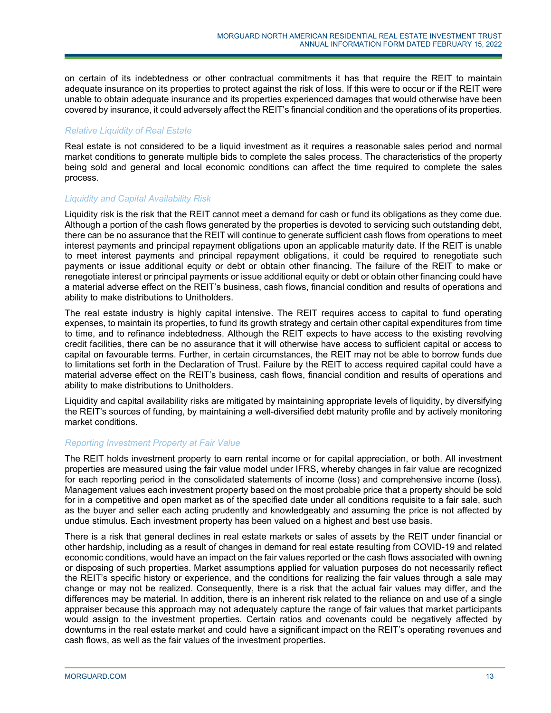on certain of its indebtedness or other contractual commitments it has that require the REIT to maintain adequate insurance on its properties to protect against the risk of loss. If this were to occur or if the REIT were unable to obtain adequate insurance and its properties experienced damages that would otherwise have been covered by insurance, it could adversely affect the REIT's financial condition and the operations of its properties.

# *Relative Liquidity of Real Estate*

Real estate is not considered to be a liquid investment as it requires a reasonable sales period and normal market conditions to generate multiple bids to complete the sales process. The characteristics of the property being sold and general and local economic conditions can affect the time required to complete the sales process.

# *Liquidity and Capital Availability Risk*

Liquidity risk is the risk that the REIT cannot meet a demand for cash or fund its obligations as they come due. Although a portion of the cash flows generated by the properties is devoted to servicing such outstanding debt, there can be no assurance that the REIT will continue to generate sufficient cash flows from operations to meet interest payments and principal repayment obligations upon an applicable maturity date. If the REIT is unable to meet interest payments and principal repayment obligations, it could be required to renegotiate such payments or issue additional equity or debt or obtain other financing. The failure of the REIT to make or renegotiate interest or principal payments or issue additional equity or debt or obtain other financing could have a material adverse effect on the REIT's business, cash flows, financial condition and results of operations and ability to make distributions to Unitholders.

The real estate industry is highly capital intensive. The REIT requires access to capital to fund operating expenses, to maintain its properties, to fund its growth strategy and certain other capital expenditures from time to time, and to refinance indebtedness. Although the REIT expects to have access to the existing revolving credit facilities, there can be no assurance that it will otherwise have access to sufficient capital or access to capital on favourable terms. Further, in certain circumstances, the REIT may not be able to borrow funds due to limitations set forth in the Declaration of Trust. Failure by the REIT to access required capital could have a material adverse effect on the REIT's business, cash flows, financial condition and results of operations and ability to make distributions to Unitholders.

Liquidity and capital availability risks are mitigated by maintaining appropriate levels of liquidity, by diversifying the REIT's sources of funding, by maintaining a well-diversified debt maturity profile and by actively monitoring market conditions.

# *Reporting Investment Property at Fair Value*

The REIT holds investment property to earn rental income or for capital appreciation, or both. All investment properties are measured using the fair value model under IFRS, whereby changes in fair value are recognized for each reporting period in the consolidated statements of income (loss) and comprehensive income (loss). Management values each investment property based on the most probable price that a property should be sold for in a competitive and open market as of the specified date under all conditions requisite to a fair sale, such as the buyer and seller each acting prudently and knowledgeably and assuming the price is not affected by undue stimulus. Each investment property has been valued on a highest and best use basis.

There is a risk that general declines in real estate markets or sales of assets by the REIT under financial or other hardship, including as a result of changes in demand for real estate resulting from COVID-19 and related economic conditions, would have an impact on the fair values reported or the cash flows associated with owning or disposing of such properties. Market assumptions applied for valuation purposes do not necessarily reflect the REIT's specific history or experience, and the conditions for realizing the fair values through a sale may change or may not be realized. Consequently, there is a risk that the actual fair values may differ, and the differences may be material. In addition, there is an inherent risk related to the reliance on and use of a single appraiser because this approach may not adequately capture the range of fair values that market participants would assign to the investment properties. Certain ratios and covenants could be negatively affected by downturns in the real estate market and could have a significant impact on the REIT's operating revenues and cash flows, as well as the fair values of the investment properties.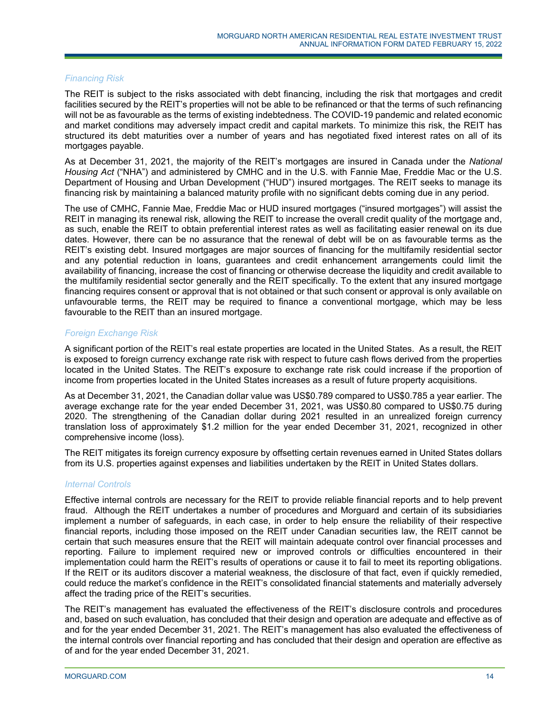# *Financing Risk*

The REIT is subject to the risks associated with debt financing, including the risk that mortgages and credit facilities secured by the REIT's properties will not be able to be refinanced or that the terms of such refinancing will not be as favourable as the terms of existing indebtedness. The COVID-19 pandemic and related economic and market conditions may adversely impact credit and capital markets. To minimize this risk, the REIT has structured its debt maturities over a number of years and has negotiated fixed interest rates on all of its mortgages payable.

As at December 31, 2021, the majority of the REIT's mortgages are insured in Canada under the *National Housing Act* ("NHA") and administered by CMHC and in the U.S. with Fannie Mae, Freddie Mac or the U.S. Department of Housing and Urban Development ("HUD") insured mortgages. The REIT seeks to manage its financing risk by maintaining a balanced maturity profile with no significant debts coming due in any period.

The use of CMHC, Fannie Mae, Freddie Mac or HUD insured mortgages ("insured mortgages") will assist the REIT in managing its renewal risk, allowing the REIT to increase the overall credit quality of the mortgage and, as such, enable the REIT to obtain preferential interest rates as well as facilitating easier renewal on its due dates. However, there can be no assurance that the renewal of debt will be on as favourable terms as the REIT's existing debt. Insured mortgages are major sources of financing for the multifamily residential sector and any potential reduction in loans, guarantees and credit enhancement arrangements could limit the availability of financing, increase the cost of financing or otherwise decrease the liquidity and credit available to the multifamily residential sector generally and the REIT specifically. To the extent that any insured mortgage financing requires consent or approval that is not obtained or that such consent or approval is only available on unfavourable terms, the REIT may be required to finance a conventional mortgage, which may be less favourable to the REIT than an insured mortgage.

#### *Foreign Exchange Risk*

A significant portion of the REIT's real estate properties are located in the United States. As a result, the REIT is exposed to foreign currency exchange rate risk with respect to future cash flows derived from the properties located in the United States. The REIT's exposure to exchange rate risk could increase if the proportion of income from properties located in the United States increases as a result of future property acquisitions.

As at December 31, 2021, the Canadian dollar value was US\$0.789 compared to US\$0.785 a year earlier. The average exchange rate for the year ended December 31, 2021, was US\$0.80 compared to US\$0.75 during 2020. The strengthening of the Canadian dollar during 2021 resulted in an unrealized foreign currency translation loss of approximately \$1.2 million for the year ended December 31, 2021, recognized in other comprehensive income (loss).

The REIT mitigates its foreign currency exposure by offsetting certain revenues earned in United States dollars from its U.S. properties against expenses and liabilities undertaken by the REIT in United States dollars.

#### *Internal Controls*

Effective internal controls are necessary for the REIT to provide reliable financial reports and to help prevent fraud. Although the REIT undertakes a number of procedures and Morguard and certain of its subsidiaries implement a number of safeguards, in each case, in order to help ensure the reliability of their respective financial reports, including those imposed on the REIT under Canadian securities law, the REIT cannot be certain that such measures ensure that the REIT will maintain adequate control over financial processes and reporting. Failure to implement required new or improved controls or difficulties encountered in their implementation could harm the REIT's results of operations or cause it to fail to meet its reporting obligations. If the REIT or its auditors discover a material weakness, the disclosure of that fact, even if quickly remedied, could reduce the market's confidence in the REIT's consolidated financial statements and materially adversely affect the trading price of the REIT's securities.

The REIT's management has evaluated the effectiveness of the REIT's disclosure controls and procedures and, based on such evaluation, has concluded that their design and operation are adequate and effective as of and for the year ended December 31, 2021. The REIT's management has also evaluated the effectiveness of the internal controls over financial reporting and has concluded that their design and operation are effective as of and for the year ended December 31, 2021.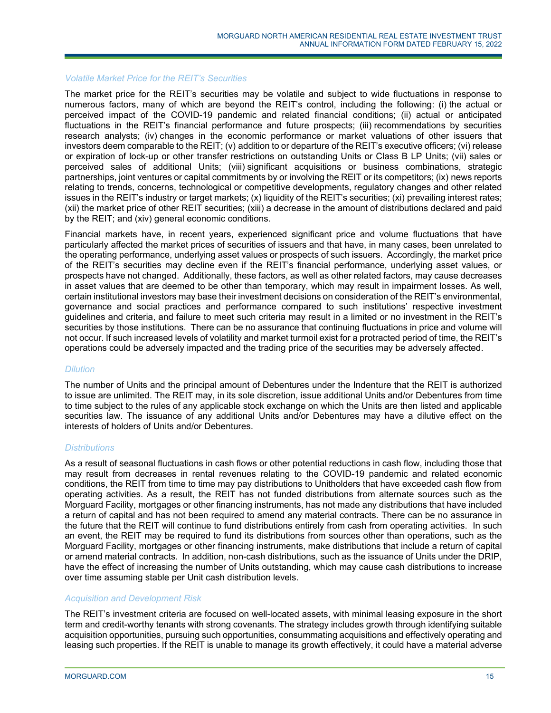#### *Volatile Market Price for the REIT's Securities*

The market price for the REIT's securities may be volatile and subject to wide fluctuations in response to numerous factors, many of which are beyond the REIT's control, including the following: (i) the actual or perceived impact of the COVID-19 pandemic and related financial conditions; (ii) actual or anticipated fluctuations in the REIT's financial performance and future prospects; (iii) recommendations by securities research analysts; (iv) changes in the economic performance or market valuations of other issuers that investors deem comparable to the REIT; (v) addition to or departure of the REIT's executive officers; (vi) release or expiration of lock-up or other transfer restrictions on outstanding Units or Class B LP Units; (vii) sales or perceived sales of additional Units; (viii) significant acquisitions or business combinations, strategic partnerships, joint ventures or capital commitments by or involving the REIT or its competitors; (ix) news reports relating to trends, concerns, technological or competitive developments, regulatory changes and other related issues in the REIT's industry or target markets; (x) liquidity of the REIT's securities; (xi) prevailing interest rates; (xii) the market price of other REIT securities; (xiii) a decrease in the amount of distributions declared and paid by the REIT; and (xiv) general economic conditions.

Financial markets have, in recent years, experienced significant price and volume fluctuations that have particularly affected the market prices of securities of issuers and that have, in many cases, been unrelated to the operating performance, underlying asset values or prospects of such issuers. Accordingly, the market price of the REIT's securities may decline even if the REIT's financial performance, underlying asset values, or prospects have not changed. Additionally, these factors, as well as other related factors, may cause decreases in asset values that are deemed to be other than temporary, which may result in impairment losses. As well, certain institutional investors may base their investment decisions on consideration of the REIT's environmental, governance and social practices and performance compared to such institutions' respective investment guidelines and criteria, and failure to meet such criteria may result in a limited or no investment in the REIT's securities by those institutions. There can be no assurance that continuing fluctuations in price and volume will not occur. If such increased levels of volatility and market turmoil exist for a protracted period of time, the REIT's operations could be adversely impacted and the trading price of the securities may be adversely affected.

# *Dilution*

The number of Units and the principal amount of Debentures under the Indenture that the REIT is authorized to issue are unlimited. The REIT may, in its sole discretion, issue additional Units and/or Debentures from time to time subject to the rules of any applicable stock exchange on which the Units are then listed and applicable securities law. The issuance of any additional Units and/or Debentures may have a dilutive effect on the interests of holders of Units and/or Debentures.

# *Distributions*

As a result of seasonal fluctuations in cash flows or other potential reductions in cash flow, including those that may result from decreases in rental revenues relating to the COVID-19 pandemic and related economic conditions, the REIT from time to time may pay distributions to Unitholders that have exceeded cash flow from operating activities. As a result, the REIT has not funded distributions from alternate sources such as the Morguard Facility, mortgages or other financing instruments, has not made any distributions that have included a return of capital and has not been required to amend any material contracts. There can be no assurance in the future that the REIT will continue to fund distributions entirely from cash from operating activities. In such an event, the REIT may be required to fund its distributions from sources other than operations, such as the Morguard Facility, mortgages or other financing instruments, make distributions that include a return of capital or amend material contracts. In addition, non-cash distributions, such as the issuance of Units under the DRIP, have the effect of increasing the number of Units outstanding, which may cause cash distributions to increase over time assuming stable per Unit cash distribution levels.

# *Acquisition and Development Risk*

The REIT's investment criteria are focused on well-located assets, with minimal leasing exposure in the short term and credit-worthy tenants with strong covenants. The strategy includes growth through identifying suitable acquisition opportunities, pursuing such opportunities, consummating acquisitions and effectively operating and leasing such properties. If the REIT is unable to manage its growth effectively, it could have a material adverse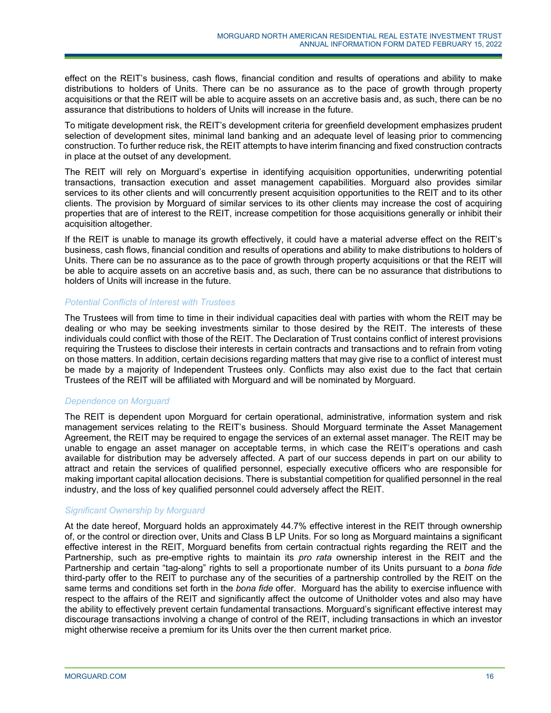effect on the REIT's business, cash flows, financial condition and results of operations and ability to make distributions to holders of Units. There can be no assurance as to the pace of growth through property acquisitions or that the REIT will be able to acquire assets on an accretive basis and, as such, there can be no assurance that distributions to holders of Units will increase in the future.

To mitigate development risk, the REIT's development criteria for greenfield development emphasizes prudent selection of development sites, minimal land banking and an adequate level of leasing prior to commencing construction. To further reduce risk, the REIT attempts to have interim financing and fixed construction contracts in place at the outset of any development.

The REIT will rely on Morguard's expertise in identifying acquisition opportunities, underwriting potential transactions, transaction execution and asset management capabilities. Morguard also provides similar services to its other clients and will concurrently present acquisition opportunities to the REIT and to its other clients. The provision by Morguard of similar services to its other clients may increase the cost of acquiring properties that are of interest to the REIT, increase competition for those acquisitions generally or inhibit their acquisition altogether.

If the REIT is unable to manage its growth effectively, it could have a material adverse effect on the REIT's business, cash flows, financial condition and results of operations and ability to make distributions to holders of Units. There can be no assurance as to the pace of growth through property acquisitions or that the REIT will be able to acquire assets on an accretive basis and, as such, there can be no assurance that distributions to holders of Units will increase in the future.

# *Potential Conflicts of Interest with Trustees*

The Trustees will from time to time in their individual capacities deal with parties with whom the REIT may be dealing or who may be seeking investments similar to those desired by the REIT. The interests of these individuals could conflict with those of the REIT. The Declaration of Trust contains conflict of interest provisions requiring the Trustees to disclose their interests in certain contracts and transactions and to refrain from voting on those matters. In addition, certain decisions regarding matters that may give rise to a conflict of interest must be made by a majority of Independent Trustees only. Conflicts may also exist due to the fact that certain Trustees of the REIT will be affiliated with Morguard and will be nominated by Morguard.

# *Dependence on Morguard*

The REIT is dependent upon Morguard for certain operational, administrative, information system and risk management services relating to the REIT's business. Should Morguard terminate the Asset Management Agreement, the REIT may be required to engage the services of an external asset manager. The REIT may be unable to engage an asset manager on acceptable terms, in which case the REIT's operations and cash available for distribution may be adversely affected. A part of our success depends in part on our ability to attract and retain the services of qualified personnel, especially executive officers who are responsible for making important capital allocation decisions. There is substantial competition for qualified personnel in the real industry, and the loss of key qualified personnel could adversely affect the REIT.

# *Significant Ownership by Morguard*

At the date hereof, Morguard holds an approximately 44.7% effective interest in the REIT through ownership of, or the control or direction over, Units and Class B LP Units. For so long as Morguard maintains a significant effective interest in the REIT, Morguard benefits from certain contractual rights regarding the REIT and the Partnership, such as pre-emptive rights to maintain its *pro rata* ownership interest in the REIT and the Partnership and certain "tag-along" rights to sell a proportionate number of its Units pursuant to a *bona fide* third-party offer to the REIT to purchase any of the securities of a partnership controlled by the REIT on the same terms and conditions set forth in the *bona fide* offer. Morguard has the ability to exercise influence with respect to the affairs of the REIT and significantly affect the outcome of Unitholder votes and also may have the ability to effectively prevent certain fundamental transactions. Morguard's significant effective interest may discourage transactions involving a change of control of the REIT, including transactions in which an investor might otherwise receive a premium for its Units over the then current market price.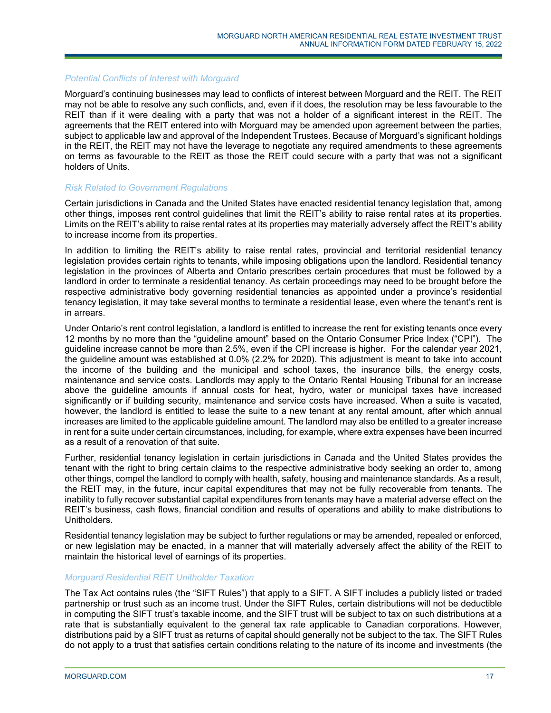#### *Potential Conflicts of Interest with Morguard*

Morguard's continuing businesses may lead to conflicts of interest between Morguard and the REIT. The REIT may not be able to resolve any such conflicts, and, even if it does, the resolution may be less favourable to the REIT than if it were dealing with a party that was not a holder of a significant interest in the REIT. The agreements that the REIT entered into with Morguard may be amended upon agreement between the parties, subject to applicable law and approval of the Independent Trustees. Because of Morguard's significant holdings in the REIT, the REIT may not have the leverage to negotiate any required amendments to these agreements on terms as favourable to the REIT as those the REIT could secure with a party that was not a significant holders of Units.

#### *Risk Related to Government Regulations*

Certain jurisdictions in Canada and the United States have enacted residential tenancy legislation that, among other things, imposes rent control guidelines that limit the REIT's ability to raise rental rates at its properties. Limits on the REIT's ability to raise rental rates at its properties may materially adversely affect the REIT's ability to increase income from its properties.

In addition to limiting the REIT's ability to raise rental rates, provincial and territorial residential tenancy legislation provides certain rights to tenants, while imposing obligations upon the landlord. Residential tenancy legislation in the provinces of Alberta and Ontario prescribes certain procedures that must be followed by a landlord in order to terminate a residential tenancy. As certain proceedings may need to be brought before the respective administrative body governing residential tenancies as appointed under a province's residential tenancy legislation, it may take several months to terminate a residential lease, even where the tenant's rent is in arrears.

Under Ontario's rent control legislation, a landlord is entitled to increase the rent for existing tenants once every 12 months by no more than the "guideline amount" based on the Ontario Consumer Price Index ("CPI"). The guideline increase cannot be more than 2.5%, even if the CPI increase is higher. For the calendar year 2021, the guideline amount was established at 0.0% (2.2% for 2020). This adjustment is meant to take into account the income of the building and the municipal and school taxes, the insurance bills, the energy costs, maintenance and service costs. Landlords may apply to the Ontario Rental Housing Tribunal for an increase above the guideline amounts if annual costs for heat, hydro, water or municipal taxes have increased significantly or if building security, maintenance and service costs have increased. When a suite is vacated, however, the landlord is entitled to lease the suite to a new tenant at any rental amount, after which annual increases are limited to the applicable guideline amount. The landlord may also be entitled to a greater increase in rent for a suite under certain circumstances, including, for example, where extra expenses have been incurred as a result of a renovation of that suite.

Further, residential tenancy legislation in certain jurisdictions in Canada and the United States provides the tenant with the right to bring certain claims to the respective administrative body seeking an order to, among other things, compel the landlord to comply with health, safety, housing and maintenance standards. As a result, the REIT may, in the future, incur capital expenditures that may not be fully recoverable from tenants. The inability to fully recover substantial capital expenditures from tenants may have a material adverse effect on the REIT's business, cash flows, financial condition and results of operations and ability to make distributions to Unitholders.

Residential tenancy legislation may be subject to further regulations or may be amended, repealed or enforced, or new legislation may be enacted, in a manner that will materially adversely affect the ability of the REIT to maintain the historical level of earnings of its properties.

# *Morguard Residential REIT Unitholder Taxation*

The Tax Act contains rules (the "SIFT Rules") that apply to a SIFT. A SIFT includes a publicly listed or traded partnership or trust such as an income trust. Under the SIFT Rules, certain distributions will not be deductible in computing the SIFT trust's taxable income, and the SIFT trust will be subject to tax on such distributions at a rate that is substantially equivalent to the general tax rate applicable to Canadian corporations. However, distributions paid by a SIFT trust as returns of capital should generally not be subject to the tax. The SIFT Rules do not apply to a trust that satisfies certain conditions relating to the nature of its income and investments (the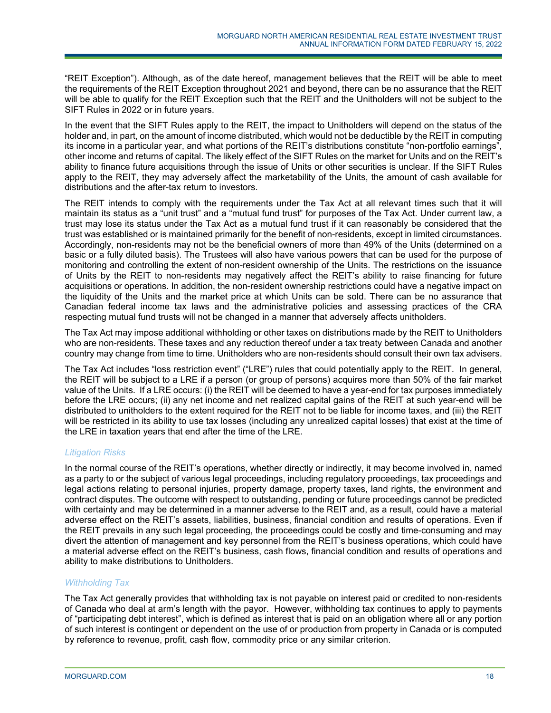"REIT Exception"). Although, as of the date hereof, management believes that the REIT will be able to meet the requirements of the REIT Exception throughout 2021 and beyond, there can be no assurance that the REIT will be able to qualify for the REIT Exception such that the REIT and the Unitholders will not be subject to the SIFT Rules in 2022 or in future years.

In the event that the SIFT Rules apply to the REIT, the impact to Unitholders will depend on the status of the holder and, in part, on the amount of income distributed, which would not be deductible by the REIT in computing its income in a particular year, and what portions of the REIT's distributions constitute "non-portfolio earnings", other income and returns of capital. The likely effect of the SIFT Rules on the market for Units and on the REIT's ability to finance future acquisitions through the issue of Units or other securities is unclear. If the SIFT Rules apply to the REIT, they may adversely affect the marketability of the Units, the amount of cash available for distributions and the after-tax return to investors.

The REIT intends to comply with the requirements under the Tax Act at all relevant times such that it will maintain its status as a "unit trust" and a "mutual fund trust" for purposes of the Tax Act. Under current law, a trust may lose its status under the Tax Act as a mutual fund trust if it can reasonably be considered that the trust was established or is maintained primarily for the benefit of non-residents, except in limited circumstances. Accordingly, non-residents may not be the beneficial owners of more than 49% of the Units (determined on a basic or a fully diluted basis). The Trustees will also have various powers that can be used for the purpose of monitoring and controlling the extent of non-resident ownership of the Units. The restrictions on the issuance of Units by the REIT to non-residents may negatively affect the REIT's ability to raise financing for future acquisitions or operations. In addition, the non-resident ownership restrictions could have a negative impact on the liquidity of the Units and the market price at which Units can be sold. There can be no assurance that Canadian federal income tax laws and the administrative policies and assessing practices of the CRA respecting mutual fund trusts will not be changed in a manner that adversely affects unitholders.

The Tax Act may impose additional withholding or other taxes on distributions made by the REIT to Unitholders who are non-residents. These taxes and any reduction thereof under a tax treaty between Canada and another country may change from time to time. Unitholders who are non-residents should consult their own tax advisers.

The Tax Act includes "loss restriction event" ("LRE") rules that could potentially apply to the REIT. In general, the REIT will be subject to a LRE if a person (or group of persons) acquires more than 50% of the fair market value of the Units. If a LRE occurs: (i) the REIT will be deemed to have a year-end for tax purposes immediately before the LRE occurs; (ii) any net income and net realized capital gains of the REIT at such year-end will be distributed to unitholders to the extent required for the REIT not to be liable for income taxes, and (iii) the REIT will be restricted in its ability to use tax losses (including any unrealized capital losses) that exist at the time of the LRE in taxation years that end after the time of the LRE.

# *Litigation Risks*

In the normal course of the REIT's operations, whether directly or indirectly, it may become involved in, named as a party to or the subject of various legal proceedings, including regulatory proceedings, tax proceedings and legal actions relating to personal injuries, property damage, property taxes, land rights, the environment and contract disputes. The outcome with respect to outstanding, pending or future proceedings cannot be predicted with certainty and may be determined in a manner adverse to the REIT and, as a result, could have a material adverse effect on the REIT's assets, liabilities, business, financial condition and results of operations. Even if the REIT prevails in any such legal proceeding, the proceedings could be costly and time-consuming and may divert the attention of management and key personnel from the REIT's business operations, which could have a material adverse effect on the REIT's business, cash flows, financial condition and results of operations and ability to make distributions to Unitholders.

# *Withholding Tax*

The Tax Act generally provides that withholding tax is not payable on interest paid or credited to non-residents of Canada who deal at arm's length with the payor. However, withholding tax continues to apply to payments of "participating debt interest", which is defined as interest that is paid on an obligation where all or any portion of such interest is contingent or dependent on the use of or production from property in Canada or is computed by reference to revenue, profit, cash flow, commodity price or any similar criterion.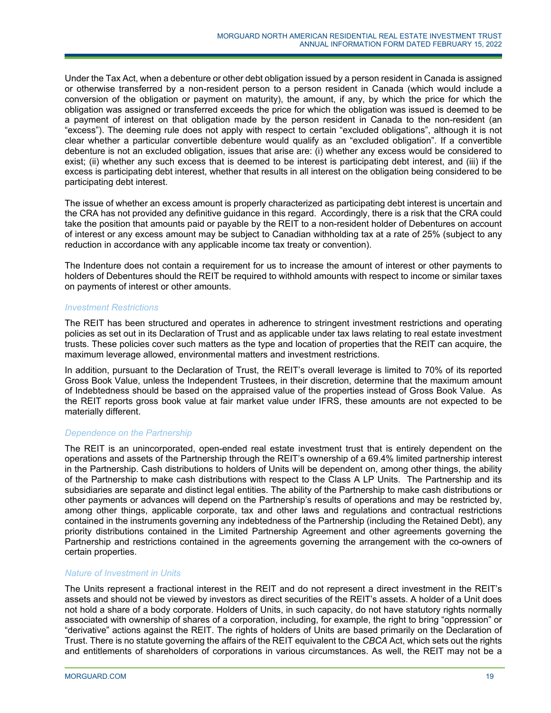Under the Tax Act, when a debenture or other debt obligation issued by a person resident in Canada is assigned or otherwise transferred by a non-resident person to a person resident in Canada (which would include a conversion of the obligation or payment on maturity), the amount, if any, by which the price for which the obligation was assigned or transferred exceeds the price for which the obligation was issued is deemed to be a payment of interest on that obligation made by the person resident in Canada to the non-resident (an "excess"). The deeming rule does not apply with respect to certain "excluded obligations", although it is not clear whether a particular convertible debenture would qualify as an "excluded obligation". If a convertible debenture is not an excluded obligation, issues that arise are: (i) whether any excess would be considered to exist; (ii) whether any such excess that is deemed to be interest is participating debt interest, and (iii) if the excess is participating debt interest, whether that results in all interest on the obligation being considered to be participating debt interest.

The issue of whether an excess amount is properly characterized as participating debt interest is uncertain and the CRA has not provided any definitive guidance in this regard. Accordingly, there is a risk that the CRA could take the position that amounts paid or payable by the REIT to a non-resident holder of Debentures on account of interest or any excess amount may be subject to Canadian withholding tax at a rate of 25% (subject to any reduction in accordance with any applicable income tax treaty or convention).

The Indenture does not contain a requirement for us to increase the amount of interest or other payments to holders of Debentures should the REIT be required to withhold amounts with respect to income or similar taxes on payments of interest or other amounts.

# *Investment Restrictions*

The REIT has been structured and operates in adherence to stringent investment restrictions and operating policies as set out in its Declaration of Trust and as applicable under tax laws relating to real estate investment trusts. These policies cover such matters as the type and location of properties that the REIT can acquire, the maximum leverage allowed, environmental matters and investment restrictions.

In addition, pursuant to the Declaration of Trust, the REIT's overall leverage is limited to 70% of its reported Gross Book Value, unless the Independent Trustees, in their discretion, determine that the maximum amount of Indebtedness should be based on the appraised value of the properties instead of Gross Book Value. As the REIT reports gross book value at fair market value under IFRS, these amounts are not expected to be materially different.

# *Dependence on the Partnership*

The REIT is an unincorporated, open-ended real estate investment trust that is entirely dependent on the operations and assets of the Partnership through the REIT's ownership of a 69.4% limited partnership interest in the Partnership. Cash distributions to holders of Units will be dependent on, among other things, the ability of the Partnership to make cash distributions with respect to the Class A LP Units. The Partnership and its subsidiaries are separate and distinct legal entities. The ability of the Partnership to make cash distributions or other payments or advances will depend on the Partnership's results of operations and may be restricted by, among other things, applicable corporate, tax and other laws and regulations and contractual restrictions contained in the instruments governing any indebtedness of the Partnership (including the Retained Debt), any priority distributions contained in the Limited Partnership Agreement and other agreements governing the Partnership and restrictions contained in the agreements governing the arrangement with the co-owners of certain properties.

# *Nature of Investment in Units*

The Units represent a fractional interest in the REIT and do not represent a direct investment in the REIT's assets and should not be viewed by investors as direct securities of the REIT's assets. A holder of a Unit does not hold a share of a body corporate. Holders of Units, in such capacity, do not have statutory rights normally associated with ownership of shares of a corporation, including, for example, the right to bring "oppression" or "derivative" actions against the REIT. The rights of holders of Units are based primarily on the Declaration of Trust. There is no statute governing the affairs of the REIT equivalent to the *CBCA* Act, which sets out the rights and entitlements of shareholders of corporations in various circumstances. As well, the REIT may not be a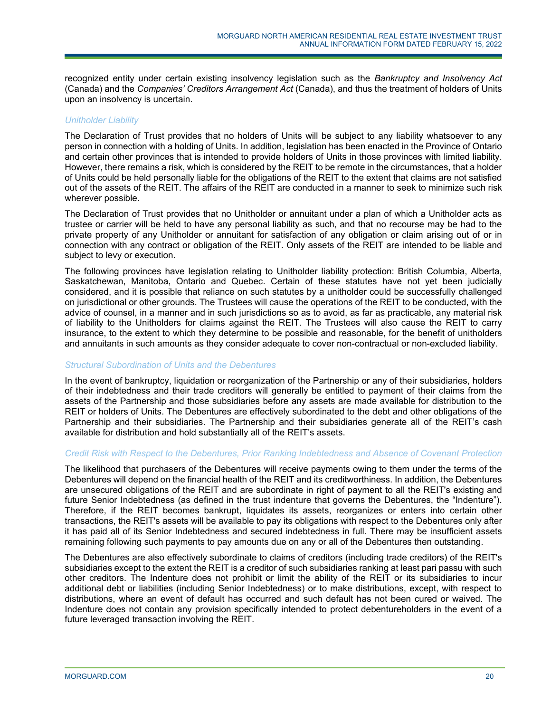recognized entity under certain existing insolvency legislation such as the *Bankruptcy and Insolvency Act* (Canada) and the *Companies' Creditors Arrangement Act* (Canada), and thus the treatment of holders of Units upon an insolvency is uncertain.

### *Unitholder Liability*

The Declaration of Trust provides that no holders of Units will be subject to any liability whatsoever to any person in connection with a holding of Units. In addition, legislation has been enacted in the Province of Ontario and certain other provinces that is intended to provide holders of Units in those provinces with limited liability. However, there remains a risk, which is considered by the REIT to be remote in the circumstances, that a holder of Units could be held personally liable for the obligations of the REIT to the extent that claims are not satisfied out of the assets of the REIT. The affairs of the REIT are conducted in a manner to seek to minimize such risk wherever possible.

The Declaration of Trust provides that no Unitholder or annuitant under a plan of which a Unitholder acts as trustee or carrier will be held to have any personal liability as such, and that no recourse may be had to the private property of any Unitholder or annuitant for satisfaction of any obligation or claim arising out of or in connection with any contract or obligation of the REIT. Only assets of the REIT are intended to be liable and subject to levy or execution.

The following provinces have legislation relating to Unitholder liability protection: British Columbia, Alberta, Saskatchewan, Manitoba, Ontario and Quebec. Certain of these statutes have not yet been judicially considered, and it is possible that reliance on such statutes by a unitholder could be successfully challenged on jurisdictional or other grounds. The Trustees will cause the operations of the REIT to be conducted, with the advice of counsel, in a manner and in such jurisdictions so as to avoid, as far as practicable, any material risk of liability to the Unitholders for claims against the REIT. The Trustees will also cause the REIT to carry insurance, to the extent to which they determine to be possible and reasonable, for the benefit of unitholders and annuitants in such amounts as they consider adequate to cover non-contractual or non-excluded liability.

# *Structural Subordination of Units and the Debentures*

In the event of bankruptcy, liquidation or reorganization of the Partnership or any of their subsidiaries, holders of their indebtedness and their trade creditors will generally be entitled to payment of their claims from the assets of the Partnership and those subsidiaries before any assets are made available for distribution to the REIT or holders of Units. The Debentures are effectively subordinated to the debt and other obligations of the Partnership and their subsidiaries. The Partnership and their subsidiaries generate all of the REIT's cash available for distribution and hold substantially all of the REIT's assets.

# *Credit Risk with Respect to the Debentures, Prior Ranking Indebtedness and Absence of Covenant Protection*

The likelihood that purchasers of the Debentures will receive payments owing to them under the terms of the Debentures will depend on the financial health of the REIT and its creditworthiness. In addition, the Debentures are unsecured obligations of the REIT and are subordinate in right of payment to all the REIT's existing and future Senior Indebtedness (as defined in the trust indenture that governs the Debentures, the "Indenture"). Therefore, if the REIT becomes bankrupt, liquidates its assets, reorganizes or enters into certain other transactions, the REIT's assets will be available to pay its obligations with respect to the Debentures only after it has paid all of its Senior Indebtedness and secured indebtedness in full. There may be insufficient assets remaining following such payments to pay amounts due on any or all of the Debentures then outstanding.

The Debentures are also effectively subordinate to claims of creditors (including trade creditors) of the REIT's subsidiaries except to the extent the REIT is a creditor of such subsidiaries ranking at least pari passu with such other creditors. The Indenture does not prohibit or limit the ability of the REIT or its subsidiaries to incur additional debt or liabilities (including Senior Indebtedness) or to make distributions, except, with respect to distributions, where an event of default has occurred and such default has not been cured or waived. The Indenture does not contain any provision specifically intended to protect debentureholders in the event of a future leveraged transaction involving the REIT.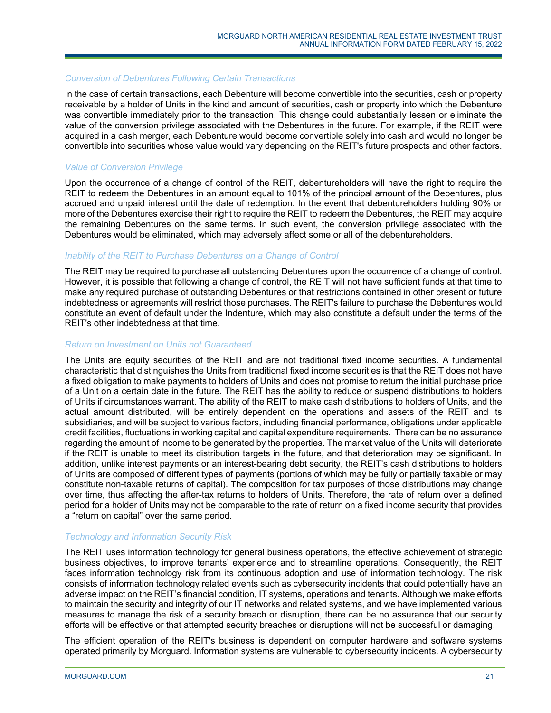#### *Conversion of Debentures Following Certain Transactions*

In the case of certain transactions, each Debenture will become convertible into the securities, cash or property receivable by a holder of Units in the kind and amount of securities, cash or property into which the Debenture was convertible immediately prior to the transaction. This change could substantially lessen or eliminate the value of the conversion privilege associated with the Debentures in the future. For example, if the REIT were acquired in a cash merger, each Debenture would become convertible solely into cash and would no longer be convertible into securities whose value would vary depending on the REIT's future prospects and other factors.

#### *Value of Conversion Privilege*

Upon the occurrence of a change of control of the REIT, debentureholders will have the right to require the REIT to redeem the Debentures in an amount equal to 101% of the principal amount of the Debentures, plus accrued and unpaid interest until the date of redemption. In the event that debentureholders holding 90% or more of the Debentures exercise their right to require the REIT to redeem the Debentures, the REIT may acquire the remaining Debentures on the same terms. In such event, the conversion privilege associated with the Debentures would be eliminated, which may adversely affect some or all of the debentureholders.

#### *Inability of the REIT to Purchase Debentures on a Change of Control*

The REIT may be required to purchase all outstanding Debentures upon the occurrence of a change of control. However, it is possible that following a change of control, the REIT will not have sufficient funds at that time to make any required purchase of outstanding Debentures or that restrictions contained in other present or future indebtedness or agreements will restrict those purchases. The REIT's failure to purchase the Debentures would constitute an event of default under the Indenture, which may also constitute a default under the terms of the REIT's other indebtedness at that time.

#### *Return on Investment on Units not Guaranteed*

The Units are equity securities of the REIT and are not traditional fixed income securities. A fundamental characteristic that distinguishes the Units from traditional fixed income securities is that the REIT does not have a fixed obligation to make payments to holders of Units and does not promise to return the initial purchase price of a Unit on a certain date in the future. The REIT has the ability to reduce or suspend distributions to holders of Units if circumstances warrant. The ability of the REIT to make cash distributions to holders of Units, and the actual amount distributed, will be entirely dependent on the operations and assets of the REIT and its subsidiaries, and will be subject to various factors, including financial performance, obligations under applicable credit facilities, fluctuations in working capital and capital expenditure requirements. There can be no assurance regarding the amount of income to be generated by the properties. The market value of the Units will deteriorate if the REIT is unable to meet its distribution targets in the future, and that deterioration may be significant. In addition, unlike interest payments or an interest-bearing debt security, the REIT's cash distributions to holders of Units are composed of different types of payments (portions of which may be fully or partially taxable or may constitute non-taxable returns of capital). The composition for tax purposes of those distributions may change over time, thus affecting the after-tax returns to holders of Units. Therefore, the rate of return over a defined period for a holder of Units may not be comparable to the rate of return on a fixed income security that provides a "return on capital" over the same period.

# *Technology and Information Security Risk*

The REIT uses information technology for general business operations, the effective achievement of strategic business objectives, to improve tenants' experience and to streamline operations. Consequently, the REIT faces information technology risk from its continuous adoption and use of information technology. The risk consists of information technology related events such as cybersecurity incidents that could potentially have an adverse impact on the REIT's financial condition, IT systems, operations and tenants. Although we make efforts to maintain the security and integrity of our IT networks and related systems, and we have implemented various measures to manage the risk of a security breach or disruption, there can be no assurance that our security efforts will be effective or that attempted security breaches or disruptions will not be successful or damaging.

The efficient operation of the REIT's business is dependent on computer hardware and software systems operated primarily by Morguard. Information systems are vulnerable to cybersecurity incidents. A cybersecurity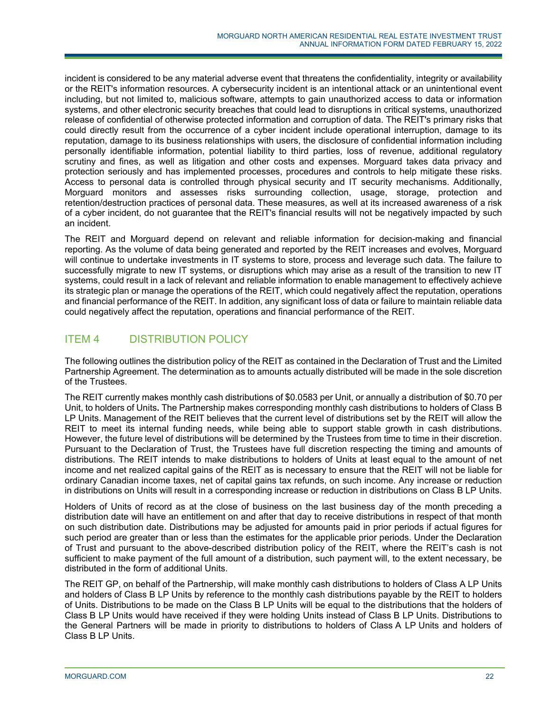incident is considered to be any material adverse event that threatens the confidentiality, integrity or availability or the REIT's information resources. A cybersecurity incident is an intentional attack or an unintentional event including, but not limited to, malicious software, attempts to gain unauthorized access to data or information systems, and other electronic security breaches that could lead to disruptions in critical systems, unauthorized release of confidential of otherwise protected information and corruption of data. The REIT's primary risks that could directly result from the occurrence of a cyber incident include operational interruption, damage to its reputation, damage to its business relationships with users, the disclosure of confidential information including personally identifiable information, potential liability to third parties, loss of revenue, additional regulatory scrutiny and fines, as well as litigation and other costs and expenses. Morguard takes data privacy and protection seriously and has implemented processes, procedures and controls to help mitigate these risks. Access to personal data is controlled through physical security and IT security mechanisms. Additionally, Morguard monitors and assesses risks surrounding collection, usage, storage, protection and retention/destruction practices of personal data. These measures, as well at its increased awareness of a risk of a cyber incident, do not guarantee that the REIT's financial results will not be negatively impacted by such an incident.

The REIT and Morguard depend on relevant and reliable information for decision-making and financial reporting. As the volume of data being generated and reported by the REIT increases and evolves, Morguard will continue to undertake investments in IT systems to store, process and leverage such data. The failure to successfully migrate to new IT systems, or disruptions which may arise as a result of the transition to new IT systems, could result in a lack of relevant and reliable information to enable management to effectively achieve its strategic plan or manage the operations of the REIT, which could negatively affect the reputation, operations and financial performance of the REIT. In addition, any significant loss of data or failure to maintain reliable data could negatively affect the reputation, operations and financial performance of the REIT.

# ITEM 4 DISTRIBUTION POLICY

The following outlines the distribution policy of the REIT as contained in the Declaration of Trust and the Limited Partnership Agreement. The determination as to amounts actually distributed will be made in the sole discretion of the Trustees.

The REIT currently makes monthly cash distributions of \$0.0583 per Unit, or annually a distribution of \$0.70 per Unit, to holders of Units**.** The Partnership makes corresponding monthly cash distributions to holders of Class B LP Units. Management of the REIT believes that the current level of distributions set by the REIT will allow the REIT to meet its internal funding needs, while being able to support stable growth in cash distributions. However, the future level of distributions will be determined by the Trustees from time to time in their discretion. Pursuant to the Declaration of Trust, the Trustees have full discretion respecting the timing and amounts of distributions. The REIT intends to make distributions to holders of Units at least equal to the amount of net income and net realized capital gains of the REIT as is necessary to ensure that the REIT will not be liable for ordinary Canadian income taxes, net of capital gains tax refunds, on such income. Any increase or reduction in distributions on Units will result in a corresponding increase or reduction in distributions on Class B LP Units.

Holders of Units of record as at the close of business on the last business day of the month preceding a distribution date will have an entitlement on and after that day to receive distributions in respect of that month on such distribution date. Distributions may be adjusted for amounts paid in prior periods if actual figures for such period are greater than or less than the estimates for the applicable prior periods. Under the Declaration of Trust and pursuant to the above-described distribution policy of the REIT, where the REIT's cash is not sufficient to make payment of the full amount of a distribution, such payment will, to the extent necessary, be distributed in the form of additional Units.

The REIT GP, on behalf of the Partnership, will make monthly cash distributions to holders of Class A LP Units and holders of Class B LP Units by reference to the monthly cash distributions payable by the REIT to holders of Units. Distributions to be made on the Class B LP Units will be equal to the distributions that the holders of Class B LP Units would have received if they were holding Units instead of Class B LP Units. Distributions to the General Partners will be made in priority to distributions to holders of Class A LP Units and holders of Class B LP Units.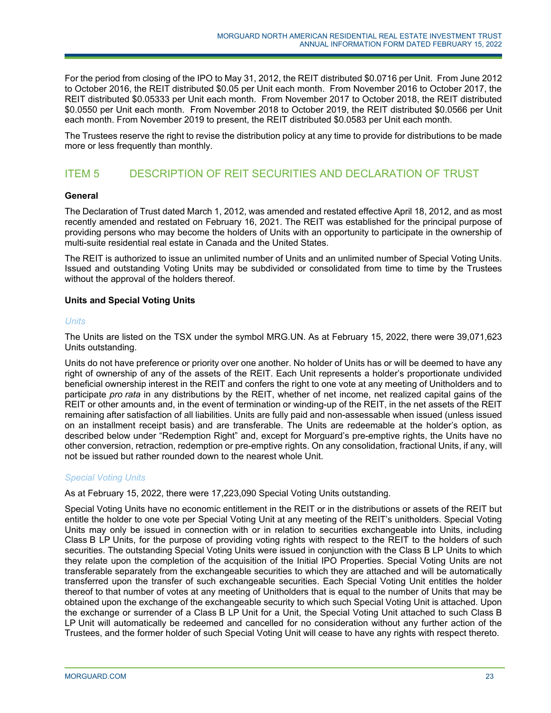For the period from closing of the IPO to May 31, 2012, the REIT distributed \$0.0716 per Unit. From June 2012 to October 2016, the REIT distributed \$0.05 per Unit each month. From November 2016 to October 2017, the REIT distributed \$0.05333 per Unit each month. From November 2017 to October 2018, the REIT distributed \$0.0550 per Unit each month. From November 2018 to October 2019, the REIT distributed \$0.0566 per Unit each month. From November 2019 to present, the REIT distributed \$0.0583 per Unit each month.

The Trustees reserve the right to revise the distribution policy at any time to provide for distributions to be made more or less frequently than monthly.

# ITEM 5 DESCRIPTION OF REIT SECURITIES AND DECLARATION OF TRUST

# **General**

The Declaration of Trust dated March 1, 2012, was amended and restated effective April 18, 2012, and as most recently amended and restated on February 16, 2021. The REIT was established for the principal purpose of providing persons who may become the holders of Units with an opportunity to participate in the ownership of multi-suite residential real estate in Canada and the United States.

The REIT is authorized to issue an unlimited number of Units and an unlimited number of Special Voting Units. Issued and outstanding Voting Units may be subdivided or consolidated from time to time by the Trustees without the approval of the holders thereof.

# **Units and Special Voting Units**

# *Units*

The Units are listed on the TSX under the symbol MRG.UN. As at February 15, 2022, there were 39,071,623 Units outstanding.

Units do not have preference or priority over one another. No holder of Units has or will be deemed to have any right of ownership of any of the assets of the REIT. Each Unit represents a holder's proportionate undivided beneficial ownership interest in the REIT and confers the right to one vote at any meeting of Unitholders and to participate *pro rata* in any distributions by the REIT, whether of net income, net realized capital gains of the REIT or other amounts and, in the event of termination or winding-up of the REIT, in the net assets of the REIT remaining after satisfaction of all liabilities. Units are fully paid and non-assessable when issued (unless issued on an installment receipt basis) and are transferable. The Units are redeemable at the holder's option, as described below under "Redemption Right" and, except for Morguard's pre-emptive rights, the Units have no other conversion, retraction, redemption or pre-emptive rights. On any consolidation, fractional Units, if any, will not be issued but rather rounded down to the nearest whole Unit.

# *Special Voting Units*

As at February 15, 2022, there were 17,223,090 Special Voting Units outstanding.

Special Voting Units have no economic entitlement in the REIT or in the distributions or assets of the REIT but entitle the holder to one vote per Special Voting Unit at any meeting of the REIT's unitholders. Special Voting Units may only be issued in connection with or in relation to securities exchangeable into Units, including Class B LP Units, for the purpose of providing voting rights with respect to the REIT to the holders of such securities. The outstanding Special Voting Units were issued in conjunction with the Class B LP Units to which they relate upon the completion of the acquisition of the Initial IPO Properties. Special Voting Units are not transferable separately from the exchangeable securities to which they are attached and will be automatically transferred upon the transfer of such exchangeable securities. Each Special Voting Unit entitles the holder thereof to that number of votes at any meeting of Unitholders that is equal to the number of Units that may be obtained upon the exchange of the exchangeable security to which such Special Voting Unit is attached. Upon the exchange or surrender of a Class B LP Unit for a Unit, the Special Voting Unit attached to such Class B LP Unit will automatically be redeemed and cancelled for no consideration without any further action of the Trustees, and the former holder of such Special Voting Unit will cease to have any rights with respect thereto.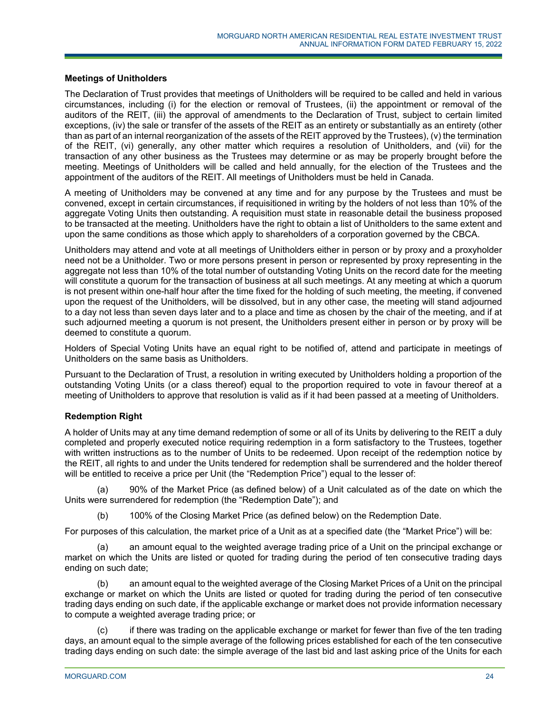# **Meetings of Unitholders**

The Declaration of Trust provides that meetings of Unitholders will be required to be called and held in various circumstances, including (i) for the election or removal of Trustees, (ii) the appointment or removal of the auditors of the REIT, (iii) the approval of amendments to the Declaration of Trust, subject to certain limited exceptions, (iv) the sale or transfer of the assets of the REIT as an entirety or substantially as an entirety (other than as part of an internal reorganization of the assets of the REIT approved by the Trustees), (v) the termination of the REIT, (vi) generally, any other matter which requires a resolution of Unitholders, and (vii) for the transaction of any other business as the Trustees may determine or as may be properly brought before the meeting. Meetings of Unitholders will be called and held annually, for the election of the Trustees and the appointment of the auditors of the REIT. All meetings of Unitholders must be held in Canada.

A meeting of Unitholders may be convened at any time and for any purpose by the Trustees and must be convened, except in certain circumstances, if requisitioned in writing by the holders of not less than 10% of the aggregate Voting Units then outstanding. A requisition must state in reasonable detail the business proposed to be transacted at the meeting. Unitholders have the right to obtain a list of Unitholders to the same extent and upon the same conditions as those which apply to shareholders of a corporation governed by the CBCA.

Unitholders may attend and vote at all meetings of Unitholders either in person or by proxy and a proxyholder need not be a Unitholder. Two or more persons present in person or represented by proxy representing in the aggregate not less than 10% of the total number of outstanding Voting Units on the record date for the meeting will constitute a quorum for the transaction of business at all such meetings. At any meeting at which a quorum is not present within one-half hour after the time fixed for the holding of such meeting, the meeting, if convened upon the request of the Unitholders, will be dissolved, but in any other case, the meeting will stand adjourned to a day not less than seven days later and to a place and time as chosen by the chair of the meeting, and if at such adjourned meeting a quorum is not present, the Unitholders present either in person or by proxy will be deemed to constitute a quorum.

Holders of Special Voting Units have an equal right to be notified of, attend and participate in meetings of Unitholders on the same basis as Unitholders.

Pursuant to the Declaration of Trust, a resolution in writing executed by Unitholders holding a proportion of the outstanding Voting Units (or a class thereof) equal to the proportion required to vote in favour thereof at a meeting of Unitholders to approve that resolution is valid as if it had been passed at a meeting of Unitholders.

# **Redemption Right**

A holder of Units may at any time demand redemption of some or all of its Units by delivering to the REIT a duly completed and properly executed notice requiring redemption in a form satisfactory to the Trustees, together with written instructions as to the number of Units to be redeemed. Upon receipt of the redemption notice by the REIT, all rights to and under the Units tendered for redemption shall be surrendered and the holder thereof will be entitled to receive a price per Unit (the "Redemption Price") equal to the lesser of:

90% of the Market Price (as defined below) of a Unit calculated as of the date on which the Units were surrendered for redemption (the "Redemption Date"); and

(b) 100% of the Closing Market Price (as defined below) on the Redemption Date.

For purposes of this calculation, the market price of a Unit as at a specified date (the "Market Price") will be:

an amount equal to the weighted average trading price of a Unit on the principal exchange or market on which the Units are listed or quoted for trading during the period of ten consecutive trading days ending on such date;

(b) an amount equal to the weighted average of the Closing Market Prices of a Unit on the principal exchange or market on which the Units are listed or quoted for trading during the period of ten consecutive trading days ending on such date, if the applicable exchange or market does not provide information necessary to compute a weighted average trading price; or

(c) if there was trading on the applicable exchange or market for fewer than five of the ten trading days, an amount equal to the simple average of the following prices established for each of the ten consecutive trading days ending on such date: the simple average of the last bid and last asking price of the Units for each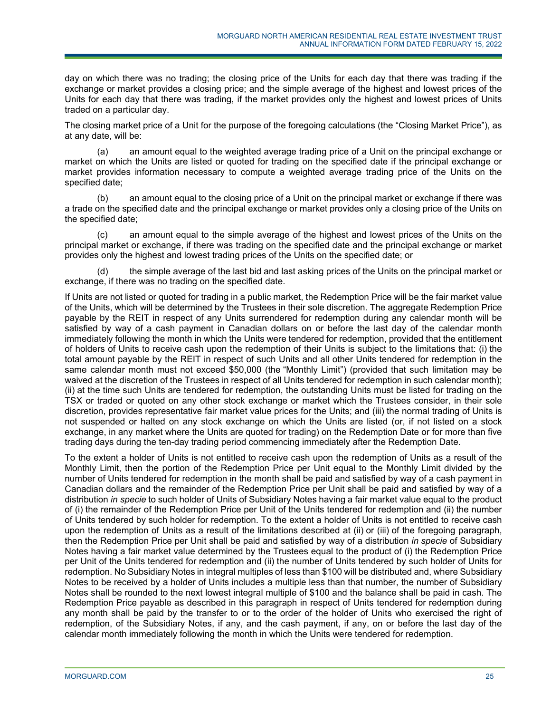day on which there was no trading; the closing price of the Units for each day that there was trading if the exchange or market provides a closing price; and the simple average of the highest and lowest prices of the Units for each day that there was trading, if the market provides only the highest and lowest prices of Units traded on a particular day.

The closing market price of a Unit for the purpose of the foregoing calculations (the "Closing Market Price"), as at any date, will be:

(a) an amount equal to the weighted average trading price of a Unit on the principal exchange or market on which the Units are listed or quoted for trading on the specified date if the principal exchange or market provides information necessary to compute a weighted average trading price of the Units on the specified date;

(b) an amount equal to the closing price of a Unit on the principal market or exchange if there was a trade on the specified date and the principal exchange or market provides only a closing price of the Units on the specified date;

(c) an amount equal to the simple average of the highest and lowest prices of the Units on the principal market or exchange, if there was trading on the specified date and the principal exchange or market provides only the highest and lowest trading prices of the Units on the specified date; or

(d) the simple average of the last bid and last asking prices of the Units on the principal market or exchange, if there was no trading on the specified date.

If Units are not listed or quoted for trading in a public market, the Redemption Price will be the fair market value of the Units, which will be determined by the Trustees in their sole discretion. The aggregate Redemption Price payable by the REIT in respect of any Units surrendered for redemption during any calendar month will be satisfied by way of a cash payment in Canadian dollars on or before the last day of the calendar month immediately following the month in which the Units were tendered for redemption, provided that the entitlement of holders of Units to receive cash upon the redemption of their Units is subject to the limitations that: (i) the total amount payable by the REIT in respect of such Units and all other Units tendered for redemption in the same calendar month must not exceed \$50,000 (the "Monthly Limit") (provided that such limitation may be waived at the discretion of the Trustees in respect of all Units tendered for redemption in such calendar month); (ii) at the time such Units are tendered for redemption, the outstanding Units must be listed for trading on the TSX or traded or quoted on any other stock exchange or market which the Trustees consider, in their sole discretion, provides representative fair market value prices for the Units; and (iii) the normal trading of Units is not suspended or halted on any stock exchange on which the Units are listed (or, if not listed on a stock exchange, in any market where the Units are quoted for trading) on the Redemption Date or for more than five trading days during the ten-day trading period commencing immediately after the Redemption Date.

To the extent a holder of Units is not entitled to receive cash upon the redemption of Units as a result of the Monthly Limit, then the portion of the Redemption Price per Unit equal to the Monthly Limit divided by the number of Units tendered for redemption in the month shall be paid and satisfied by way of a cash payment in Canadian dollars and the remainder of the Redemption Price per Unit shall be paid and satisfied by way of a distribution *in specie* to such holder of Units of Subsidiary Notes having a fair market value equal to the product of (i) the remainder of the Redemption Price per Unit of the Units tendered for redemption and (ii) the number of Units tendered by such holder for redemption. To the extent a holder of Units is not entitled to receive cash upon the redemption of Units as a result of the limitations described at (ii) or (iii) of the foregoing paragraph, then the Redemption Price per Unit shall be paid and satisfied by way of a distribution *in specie* of Subsidiary Notes having a fair market value determined by the Trustees equal to the product of (i) the Redemption Price per Unit of the Units tendered for redemption and (ii) the number of Units tendered by such holder of Units for redemption. No Subsidiary Notes in integral multiples of less than \$100 will be distributed and, where Subsidiary Notes to be received by a holder of Units includes a multiple less than that number, the number of Subsidiary Notes shall be rounded to the next lowest integral multiple of \$100 and the balance shall be paid in cash. The Redemption Price payable as described in this paragraph in respect of Units tendered for redemption during any month shall be paid by the transfer to or to the order of the holder of Units who exercised the right of redemption, of the Subsidiary Notes, if any, and the cash payment, if any, on or before the last day of the calendar month immediately following the month in which the Units were tendered for redemption.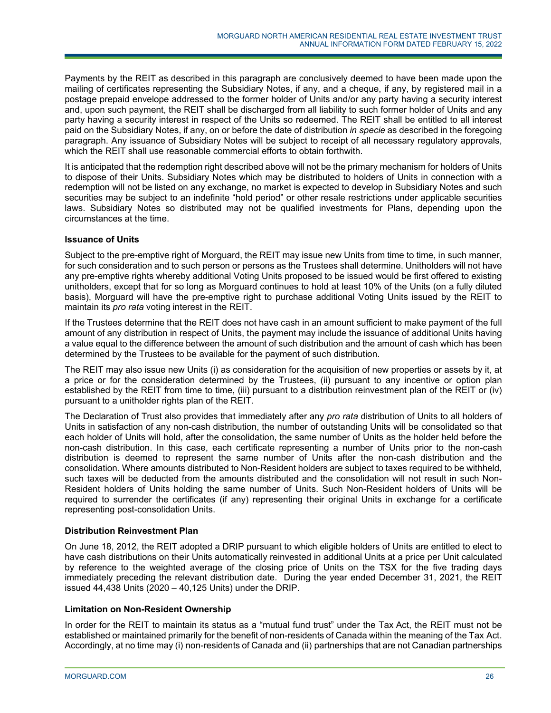Payments by the REIT as described in this paragraph are conclusively deemed to have been made upon the mailing of certificates representing the Subsidiary Notes, if any, and a cheque, if any, by registered mail in a postage prepaid envelope addressed to the former holder of Units and/or any party having a security interest and, upon such payment, the REIT shall be discharged from all liability to such former holder of Units and any party having a security interest in respect of the Units so redeemed. The REIT shall be entitled to all interest paid on the Subsidiary Notes, if any, on or before the date of distribution *in specie* as described in the foregoing paragraph. Any issuance of Subsidiary Notes will be subject to receipt of all necessary regulatory approvals, which the REIT shall use reasonable commercial efforts to obtain forthwith.

It is anticipated that the redemption right described above will not be the primary mechanism for holders of Units to dispose of their Units. Subsidiary Notes which may be distributed to holders of Units in connection with a redemption will not be listed on any exchange, no market is expected to develop in Subsidiary Notes and such securities may be subject to an indefinite "hold period" or other resale restrictions under applicable securities laws. Subsidiary Notes so distributed may not be qualified investments for Plans, depending upon the circumstances at the time.

# **Issuance of Units**

Subject to the pre-emptive right of Morguard, the REIT may issue new Units from time to time, in such manner, for such consideration and to such person or persons as the Trustees shall determine. Unitholders will not have any pre-emptive rights whereby additional Voting Units proposed to be issued would be first offered to existing unitholders, except that for so long as Morguard continues to hold at least 10% of the Units (on a fully diluted basis), Morguard will have the pre-emptive right to purchase additional Voting Units issued by the REIT to maintain its *pro rata* voting interest in the REIT.

If the Trustees determine that the REIT does not have cash in an amount sufficient to make payment of the full amount of any distribution in respect of Units, the payment may include the issuance of additional Units having a value equal to the difference between the amount of such distribution and the amount of cash which has been determined by the Trustees to be available for the payment of such distribution.

The REIT may also issue new Units (i) as consideration for the acquisition of new properties or assets by it, at a price or for the consideration determined by the Trustees, (ii) pursuant to any incentive or option plan established by the REIT from time to time, (iii) pursuant to a distribution reinvestment plan of the REIT or (iv) pursuant to a unitholder rights plan of the REIT.

The Declaration of Trust also provides that immediately after any *pro rata* distribution of Units to all holders of Units in satisfaction of any non-cash distribution, the number of outstanding Units will be consolidated so that each holder of Units will hold, after the consolidation, the same number of Units as the holder held before the non-cash distribution. In this case, each certificate representing a number of Units prior to the non-cash distribution is deemed to represent the same number of Units after the non-cash distribution and the consolidation. Where amounts distributed to Non-Resident holders are subject to taxes required to be withheld, such taxes will be deducted from the amounts distributed and the consolidation will not result in such Non-Resident holders of Units holding the same number of Units. Such Non-Resident holders of Units will be required to surrender the certificates (if any) representing their original Units in exchange for a certificate representing post-consolidation Units.

# **Distribution Reinvestment Plan**

On June 18, 2012, the REIT adopted a DRIP pursuant to which eligible holders of Units are entitled to elect to have cash distributions on their Units automatically reinvested in additional Units at a price per Unit calculated by reference to the weighted average of the closing price of Units on the TSX for the five trading days immediately preceding the relevant distribution date. During the year ended December 31, 2021, the REIT issued 44,438 Units (2020 – 40,125 Units) under the DRIP.

# **Limitation on Non-Resident Ownership**

In order for the REIT to maintain its status as a "mutual fund trust" under the Tax Act, the REIT must not be established or maintained primarily for the benefit of non-residents of Canada within the meaning of the Tax Act. Accordingly, at no time may (i) non-residents of Canada and (ii) partnerships that are not Canadian partnerships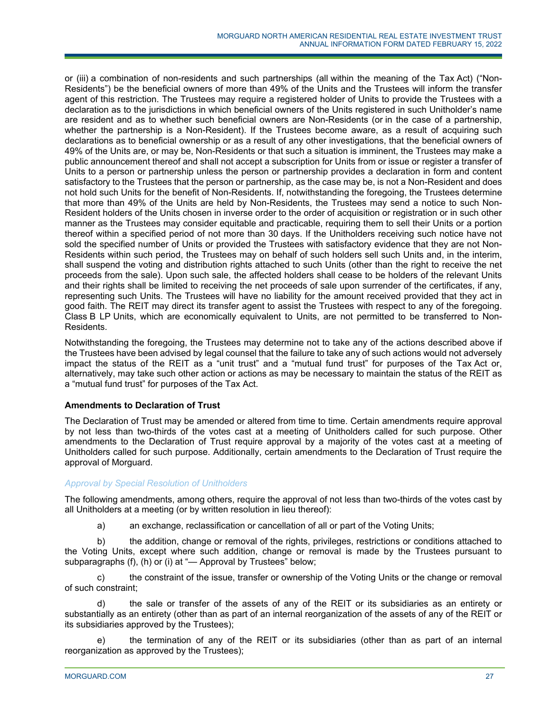or (iii) a combination of non-residents and such partnerships (all within the meaning of the Tax Act) ("Non-Residents") be the beneficial owners of more than 49% of the Units and the Trustees will inform the transfer agent of this restriction. The Trustees may require a registered holder of Units to provide the Trustees with a declaration as to the jurisdictions in which beneficial owners of the Units registered in such Unitholder's name are resident and as to whether such beneficial owners are Non-Residents (or in the case of a partnership, whether the partnership is a Non-Resident). If the Trustees become aware, as a result of acquiring such declarations as to beneficial ownership or as a result of any other investigations, that the beneficial owners of 49% of the Units are, or may be, Non-Residents or that such a situation is imminent, the Trustees may make a public announcement thereof and shall not accept a subscription for Units from or issue or register a transfer of Units to a person or partnership unless the person or partnership provides a declaration in form and content satisfactory to the Trustees that the person or partnership, as the case may be, is not a Non-Resident and does not hold such Units for the benefit of Non-Residents. If, notwithstanding the foregoing, the Trustees determine that more than 49% of the Units are held by Non-Residents, the Trustees may send a notice to such Non-Resident holders of the Units chosen in inverse order to the order of acquisition or registration or in such other manner as the Trustees may consider equitable and practicable, requiring them to sell their Units or a portion thereof within a specified period of not more than 30 days. If the Unitholders receiving such notice have not sold the specified number of Units or provided the Trustees with satisfactory evidence that they are not Non-Residents within such period, the Trustees may on behalf of such holders sell such Units and, in the interim, shall suspend the voting and distribution rights attached to such Units (other than the right to receive the net proceeds from the sale). Upon such sale, the affected holders shall cease to be holders of the relevant Units and their rights shall be limited to receiving the net proceeds of sale upon surrender of the certificates, if any, representing such Units. The Trustees will have no liability for the amount received provided that they act in good faith. The REIT may direct its transfer agent to assist the Trustees with respect to any of the foregoing. Class B LP Units, which are economically equivalent to Units, are not permitted to be transferred to Non-Residents.

Notwithstanding the foregoing, the Trustees may determine not to take any of the actions described above if the Trustees have been advised by legal counsel that the failure to take any of such actions would not adversely impact the status of the REIT as a "unit trust" and a "mutual fund trust" for purposes of the Tax Act or, alternatively, may take such other action or actions as may be necessary to maintain the status of the REIT as a "mutual fund trust" for purposes of the Tax Act.

# **Amendments to Declaration of Trust**

The Declaration of Trust may be amended or altered from time to time. Certain amendments require approval by not less than two-thirds of the votes cast at a meeting of Unitholders called for such purpose. Other amendments to the Declaration of Trust require approval by a majority of the votes cast at a meeting of Unitholders called for such purpose. Additionally, certain amendments to the Declaration of Trust require the approval of Morguard.

# *Approval by Special Resolution of Unitholders*

The following amendments, among others, require the approval of not less than two-thirds of the votes cast by all Unitholders at a meeting (or by written resolution in lieu thereof):

a) an exchange, reclassification or cancellation of all or part of the Voting Units;

b) the addition, change or removal of the rights, privileges, restrictions or conditions attached to the Voting Units, except where such addition, change or removal is made by the Trustees pursuant to subparagraphs (f), (h) or (i) at "— Approval by Trustees" below;

c) the constraint of the issue, transfer or ownership of the Voting Units or the change or removal of such constraint;

d) the sale or transfer of the assets of any of the REIT or its subsidiaries as an entirety or substantially as an entirety (other than as part of an internal reorganization of the assets of any of the REIT or its subsidiaries approved by the Trustees);

e) the termination of any of the REIT or its subsidiaries (other than as part of an internal reorganization as approved by the Trustees);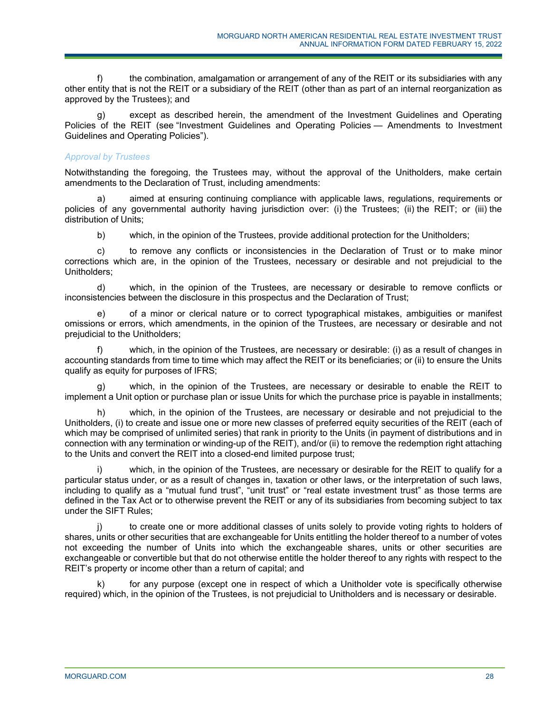the combination, amalgamation or arrangement of any of the REIT or its subsidiaries with any other entity that is not the REIT or a subsidiary of the REIT (other than as part of an internal reorganization as approved by the Trustees); and

except as described herein, the amendment of the Investment Guidelines and Operating Policies of the REIT (see "Investment Guidelines and Operating Policies — Amendments to Investment Guidelines and Operating Policies").

# *Approval by Trustees*

Notwithstanding the foregoing, the Trustees may, without the approval of the Unitholders, make certain amendments to the Declaration of Trust, including amendments:

a) aimed at ensuring continuing compliance with applicable laws, regulations, requirements or policies of any governmental authority having jurisdiction over: (i) the Trustees; (ii) the REIT; or (iii) the distribution of Units;

b) which, in the opinion of the Trustees, provide additional protection for the Unitholders;

c) to remove any conflicts or inconsistencies in the Declaration of Trust or to make minor corrections which are, in the opinion of the Trustees, necessary or desirable and not prejudicial to the Unitholders;

d) which, in the opinion of the Trustees, are necessary or desirable to remove conflicts or inconsistencies between the disclosure in this prospectus and the Declaration of Trust;

e) of a minor or clerical nature or to correct typographical mistakes, ambiguities or manifest omissions or errors, which amendments, in the opinion of the Trustees, are necessary or desirable and not prejudicial to the Unitholders;

f) which, in the opinion of the Trustees, are necessary or desirable: (i) as a result of changes in accounting standards from time to time which may affect the REIT or its beneficiaries; or (ii) to ensure the Units qualify as equity for purposes of IFRS;

g) which, in the opinion of the Trustees, are necessary or desirable to enable the REIT to implement a Unit option or purchase plan or issue Units for which the purchase price is payable in installments;

h) which, in the opinion of the Trustees, are necessary or desirable and not prejudicial to the Unitholders, (i) to create and issue one or more new classes of preferred equity securities of the REIT (each of which may be comprised of unlimited series) that rank in priority to the Units (in payment of distributions and in connection with any termination or winding-up of the REIT), and/or (ii) to remove the redemption right attaching to the Units and convert the REIT into a closed-end limited purpose trust;

which, in the opinion of the Trustees, are necessary or desirable for the REIT to qualify for a particular status under, or as a result of changes in, taxation or other laws, or the interpretation of such laws, including to qualify as a "mutual fund trust", "unit trust" or "real estate investment trust" as those terms are defined in the Tax Act or to otherwise prevent the REIT or any of its subsidiaries from becoming subject to tax under the SIFT Rules;

to create one or more additional classes of units solely to provide voting rights to holders of shares, units or other securities that are exchangeable for Units entitling the holder thereof to a number of votes not exceeding the number of Units into which the exchangeable shares, units or other securities are exchangeable or convertible but that do not otherwise entitle the holder thereof to any rights with respect to the REIT's property or income other than a return of capital; and

for any purpose (except one in respect of which a Unitholder vote is specifically otherwise required) which, in the opinion of the Trustees, is not prejudicial to Unitholders and is necessary or desirable.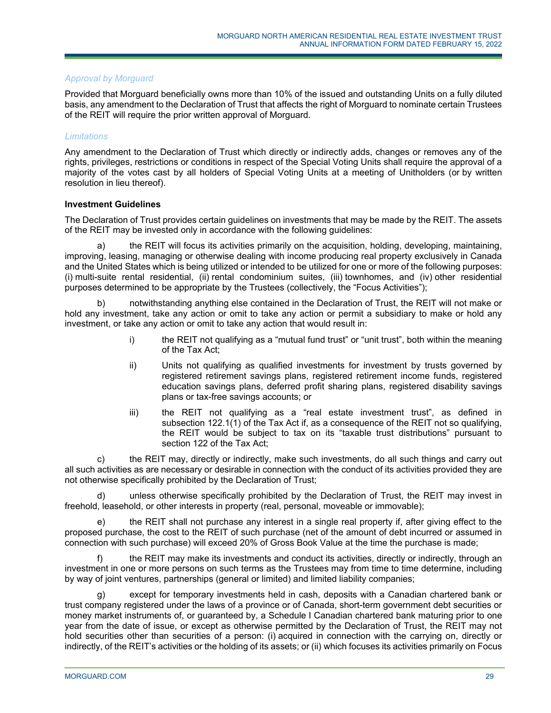# *Approval by Morguard*

Provided that Morguard beneficially owns more than 10% of the issued and outstanding Units on a fully diluted basis, any amendment to the Declaration of Trust that affects the right of Morguard to nominate certain Trustees of the REIT will require the prior written approval of Morguard.

# *Limitations*

Any amendment to the Declaration of Trust which directly or indirectly adds, changes or removes any of the rights, privileges, restrictions or conditions in respect of the Special Voting Units shall require the approval of a majority of the votes cast by all holders of Special Voting Units at a meeting of Unitholders (or by written resolution in lieu thereof).

#### **Investment Guidelines**

The Declaration of Trust provides certain guidelines on investments that may be made by the REIT. The assets of the REIT may be invested only in accordance with the following guidelines:

a) the REIT will focus its activities primarily on the acquisition, holding, developing, maintaining, improving, leasing, managing or otherwise dealing with income producing real property exclusively in Canada and the United States which is being utilized or intended to be utilized for one or more of the following purposes: (i) multi-suite rental residential, (ii) rental condominium suites, (iii) townhomes, and (iv) other residential purposes determined to be appropriate by the Trustees (collectively, the "Focus Activities");

b) notwithstanding anything else contained in the Declaration of Trust, the REIT will not make or hold any investment, take any action or omit to take any action or permit a subsidiary to make or hold any investment, or take any action or omit to take any action that would result in:

- i) the REIT not qualifying as a "mutual fund trust" or "unit trust", both within the meaning of the Tax Act;
- ii) Units not qualifying as qualified investments for investment by trusts governed by registered retirement savings plans, registered retirement income funds, registered education savings plans, deferred profit sharing plans, registered disability savings plans or tax-free savings accounts; or
- iii) the REIT not qualifying as a "real estate investment trust", as defined in subsection 122.1(1) of the Tax Act if, as a consequence of the REIT not so qualifying, the REIT would be subject to tax on its "taxable trust distributions" pursuant to section 122 of the Tax Act;

c) the REIT may, directly or indirectly, make such investments, do all such things and carry out all such activities as are necessary or desirable in connection with the conduct of its activities provided they are not otherwise specifically prohibited by the Declaration of Trust;

d) unless otherwise specifically prohibited by the Declaration of Trust, the REIT may invest in freehold, leasehold, or other interests in property (real, personal, moveable or immovable);

e) the REIT shall not purchase any interest in a single real property if, after giving effect to the proposed purchase, the cost to the REIT of such purchase (net of the amount of debt incurred or assumed in connection with such purchase) will exceed 20% of Gross Book Value at the time the purchase is made;

f) the REIT may make its investments and conduct its activities, directly or indirectly, through an investment in one or more persons on such terms as the Trustees may from time to time determine, including by way of joint ventures, partnerships (general or limited) and limited liability companies;

g) except for temporary investments held in cash, deposits with a Canadian chartered bank or trust company registered under the laws of a province or of Canada, short-term government debt securities or money market instruments of, or guaranteed by, a Schedule I Canadian chartered bank maturing prior to one year from the date of issue, or except as otherwise permitted by the Declaration of Trust, the REIT may not hold securities other than securities of a person: (i) acquired in connection with the carrying on, directly or indirectly, of the REIT's activities or the holding of its assets; or (ii) which focuses its activities primarily on Focus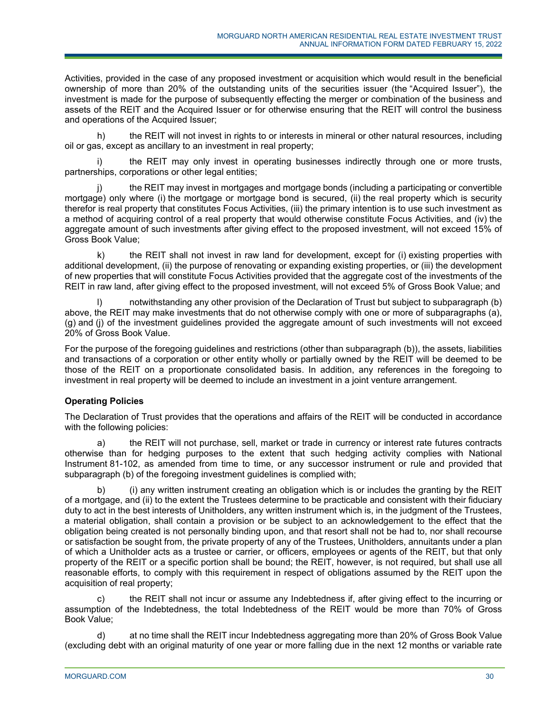Activities, provided in the case of any proposed investment or acquisition which would result in the beneficial ownership of more than 20% of the outstanding units of the securities issuer (the "Acquired Issuer"), the investment is made for the purpose of subsequently effecting the merger or combination of the business and assets of the REIT and the Acquired Issuer or for otherwise ensuring that the REIT will control the business and operations of the Acquired Issuer;

h) the REIT will not invest in rights to or interests in mineral or other natural resources, including oil or gas, except as ancillary to an investment in real property;

i) the REIT may only invest in operating businesses indirectly through one or more trusts, partnerships, corporations or other legal entities;

the REIT may invest in mortgages and mortgage bonds (including a participating or convertible mortgage) only where (i) the mortgage or mortgage bond is secured, (ii) the real property which is security therefor is real property that constitutes Focus Activities, (iii) the primary intention is to use such investment as a method of acquiring control of a real property that would otherwise constitute Focus Activities, and (iv) the aggregate amount of such investments after giving effect to the proposed investment, will not exceed 15% of Gross Book Value;

k) the REIT shall not invest in raw land for development, except for (i) existing properties with additional development, (ii) the purpose of renovating or expanding existing properties, or (iii) the development of new properties that will constitute Focus Activities provided that the aggregate cost of the investments of the REIT in raw land, after giving effect to the proposed investment, will not exceed 5% of Gross Book Value; and

notwithstanding any other provision of the Declaration of Trust but subject to subparagraph (b) above, the REIT may make investments that do not otherwise comply with one or more of subparagraphs (a), (g) and (j) of the investment guidelines provided the aggregate amount of such investments will not exceed 20% of Gross Book Value.

For the purpose of the foregoing guidelines and restrictions (other than subparagraph (b)), the assets, liabilities and transactions of a corporation or other entity wholly or partially owned by the REIT will be deemed to be those of the REIT on a proportionate consolidated basis. In addition, any references in the foregoing to investment in real property will be deemed to include an investment in a joint venture arrangement.

# **Operating Policies**

The Declaration of Trust provides that the operations and affairs of the REIT will be conducted in accordance with the following policies:

a) the REIT will not purchase, sell, market or trade in currency or interest rate futures contracts otherwise than for hedging purposes to the extent that such hedging activity complies with National Instrument 81-102, as amended from time to time, or any successor instrument or rule and provided that subparagraph (b) of the foregoing investment guidelines is complied with;

b) (i) any written instrument creating an obligation which is or includes the granting by the REIT of a mortgage, and (ii) to the extent the Trustees determine to be practicable and consistent with their fiduciary duty to act in the best interests of Unitholders, any written instrument which is, in the judgment of the Trustees, a material obligation, shall contain a provision or be subject to an acknowledgement to the effect that the obligation being created is not personally binding upon, and that resort shall not be had to, nor shall recourse or satisfaction be sought from, the private property of any of the Trustees, Unitholders, annuitants under a plan of which a Unitholder acts as a trustee or carrier, or officers, employees or agents of the REIT, but that only property of the REIT or a specific portion shall be bound; the REIT, however, is not required, but shall use all reasonable efforts, to comply with this requirement in respect of obligations assumed by the REIT upon the acquisition of real property;

c) the REIT shall not incur or assume any Indebtedness if, after giving effect to the incurring or assumption of the Indebtedness, the total Indebtedness of the REIT would be more than 70% of Gross Book Value;

d) at no time shall the REIT incur Indebtedness aggregating more than 20% of Gross Book Value (excluding debt with an original maturity of one year or more falling due in the next 12 months or variable rate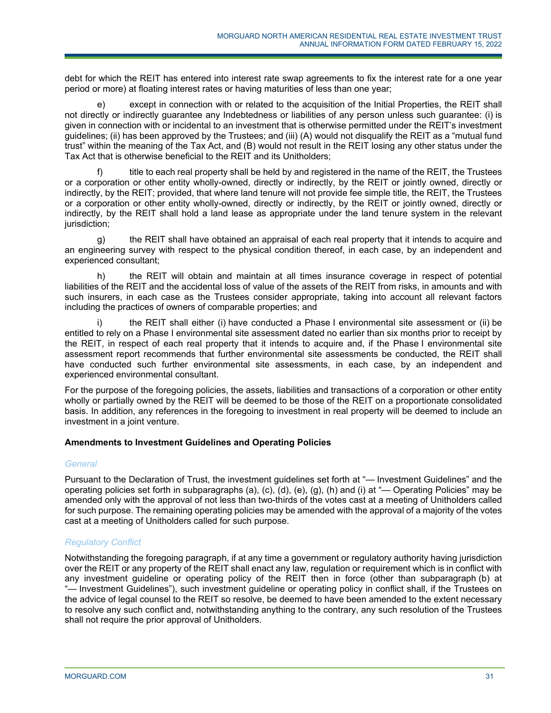debt for which the REIT has entered into interest rate swap agreements to fix the interest rate for a one year period or more) at floating interest rates or having maturities of less than one year;

e) except in connection with or related to the acquisition of the Initial Properties, the REIT shall not directly or indirectly guarantee any Indebtedness or liabilities of any person unless such guarantee: (i) is given in connection with or incidental to an investment that is otherwise permitted under the REIT's investment guidelines; (ii) has been approved by the Trustees; and (iii) (A) would not disqualify the REIT as a "mutual fund trust" within the meaning of the Tax Act, and (B) would not result in the REIT losing any other status under the Tax Act that is otherwise beneficial to the REIT and its Unitholders;

f) title to each real property shall be held by and registered in the name of the REIT, the Trustees or a corporation or other entity wholly-owned, directly or indirectly, by the REIT or jointly owned, directly or indirectly, by the REIT; provided, that where land tenure will not provide fee simple title, the REIT, the Trustees or a corporation or other entity wholly-owned, directly or indirectly, by the REIT or jointly owned, directly or indirectly, by the REIT shall hold a land lease as appropriate under the land tenure system in the relevant jurisdiction;

g) the REIT shall have obtained an appraisal of each real property that it intends to acquire and an engineering survey with respect to the physical condition thereof, in each case, by an independent and experienced consultant;

h) the REIT will obtain and maintain at all times insurance coverage in respect of potential liabilities of the REIT and the accidental loss of value of the assets of the REIT from risks, in amounts and with such insurers, in each case as the Trustees consider appropriate, taking into account all relevant factors including the practices of owners of comparable properties; and

the REIT shall either (i) have conducted a Phase I environmental site assessment or (ii) be entitled to rely on a Phase I environmental site assessment dated no earlier than six months prior to receipt by the REIT, in respect of each real property that it intends to acquire and, if the Phase I environmental site assessment report recommends that further environmental site assessments be conducted, the REIT shall have conducted such further environmental site assessments, in each case, by an independent and experienced environmental consultant.

For the purpose of the foregoing policies, the assets, liabilities and transactions of a corporation or other entity wholly or partially owned by the REIT will be deemed to be those of the REIT on a proportionate consolidated basis. In addition, any references in the foregoing to investment in real property will be deemed to include an investment in a joint venture.

# **Amendments to Investment Guidelines and Operating Policies**

# *General*

Pursuant to the Declaration of Trust, the investment guidelines set forth at "— Investment Guidelines" and the operating policies set forth in subparagraphs (a), (c), (d), (e), (g), (h) and (i) at "— Operating Policies" may be amended only with the approval of not less than two-thirds of the votes cast at a meeting of Unitholders called for such purpose. The remaining operating policies may be amended with the approval of a majority of the votes cast at a meeting of Unitholders called for such purpose.

# *Regulatory Conflict*

Notwithstanding the foregoing paragraph, if at any time a government or regulatory authority having jurisdiction over the REIT or any property of the REIT shall enact any law, regulation or requirement which is in conflict with any investment guideline or operating policy of the REIT then in force (other than subparagraph (b) at "— Investment Guidelines"), such investment guideline or operating policy in conflict shall, if the Trustees on the advice of legal counsel to the REIT so resolve, be deemed to have been amended to the extent necessary to resolve any such conflict and, notwithstanding anything to the contrary, any such resolution of the Trustees shall not require the prior approval of Unitholders.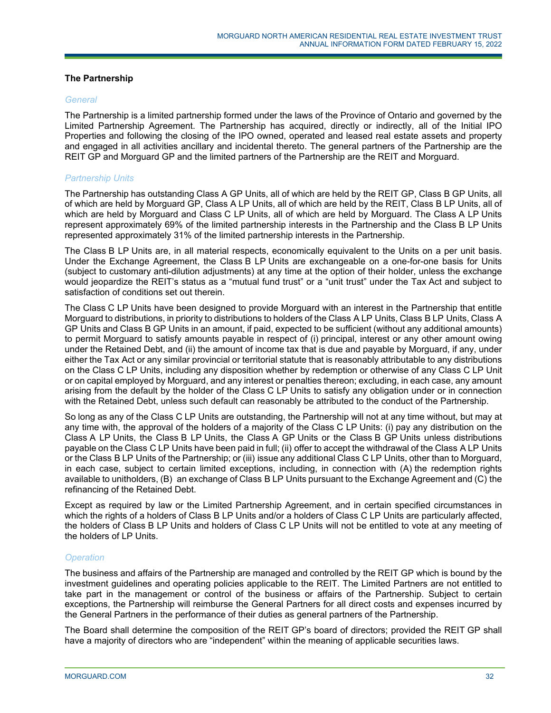# **The Partnership**

# *General*

The Partnership is a limited partnership formed under the laws of the Province of Ontario and governed by the Limited Partnership Agreement. The Partnership has acquired, directly or indirectly, all of the Initial IPO Properties and following the closing of the IPO owned, operated and leased real estate assets and property and engaged in all activities ancillary and incidental thereto. The general partners of the Partnership are the REIT GP and Morguard GP and the limited partners of the Partnership are the REIT and Morguard.

# *Partnership Units*

The Partnership has outstanding Class A GP Units, all of which are held by the REIT GP, Class B GP Units, all of which are held by Morguard GP, Class A LP Units, all of which are held by the REIT, Class B LP Units, all of which are held by Morguard and Class C LP Units, all of which are held by Morguard. The Class A LP Units represent approximately 69% of the limited partnership interests in the Partnership and the Class B LP Units represented approximately 31% of the limited partnership interests in the Partnership.

The Class B LP Units are, in all material respects, economically equivalent to the Units on a per unit basis. Under the Exchange Agreement, the Class B LP Units are exchangeable on a one-for-one basis for Units (subject to customary anti-dilution adjustments) at any time at the option of their holder, unless the exchange would jeopardize the REIT's status as a "mutual fund trust" or a "unit trust" under the Tax Act and subject to satisfaction of conditions set out therein.

The Class C LP Units have been designed to provide Morguard with an interest in the Partnership that entitle Morguard to distributions, in priority to distributions to holders of the Class A LP Units, Class B LP Units, Class A GP Units and Class B GP Units in an amount, if paid, expected to be sufficient (without any additional amounts) to permit Morguard to satisfy amounts payable in respect of (i) principal, interest or any other amount owing under the Retained Debt, and (ii) the amount of income tax that is due and payable by Morguard, if any, under either the Tax Act or any similar provincial or territorial statute that is reasonably attributable to any distributions on the Class C LP Units, including any disposition whether by redemption or otherwise of any Class C LP Unit or on capital employed by Morguard, and any interest or penalties thereon; excluding, in each case, any amount arising from the default by the holder of the Class C LP Units to satisfy any obligation under or in connection with the Retained Debt, unless such default can reasonably be attributed to the conduct of the Partnership.

So long as any of the Class C LP Units are outstanding, the Partnership will not at any time without, but may at any time with, the approval of the holders of a majority of the Class C LP Units: (i) pay any distribution on the Class A LP Units, the Class B LP Units, the Class A GP Units or the Class B GP Units unless distributions payable on the Class C LP Units have been paid in full; (ii) offer to accept the withdrawal of the Class A LP Units or the Class B LP Units of the Partnership; or (iii) issue any additional Class C LP Units, other than to Morguard, in each case, subject to certain limited exceptions, including, in connection with (A) the redemption rights available to unitholders, (B) an exchange of Class B LP Units pursuant to the Exchange Agreement and (C) the refinancing of the Retained Debt.

Except as required by law or the Limited Partnership Agreement, and in certain specified circumstances in which the rights of a holders of Class B LP Units and/or a holders of Class C LP Units are particularly affected, the holders of Class B LP Units and holders of Class C LP Units will not be entitled to vote at any meeting of the holders of LP Units.

# *Operation*

The business and affairs of the Partnership are managed and controlled by the REIT GP which is bound by the investment guidelines and operating policies applicable to the REIT. The Limited Partners are not entitled to take part in the management or control of the business or affairs of the Partnership. Subject to certain exceptions, the Partnership will reimburse the General Partners for all direct costs and expenses incurred by the General Partners in the performance of their duties as general partners of the Partnership.

The Board shall determine the composition of the REIT GP's board of directors; provided the REIT GP shall have a majority of directors who are "independent" within the meaning of applicable securities laws.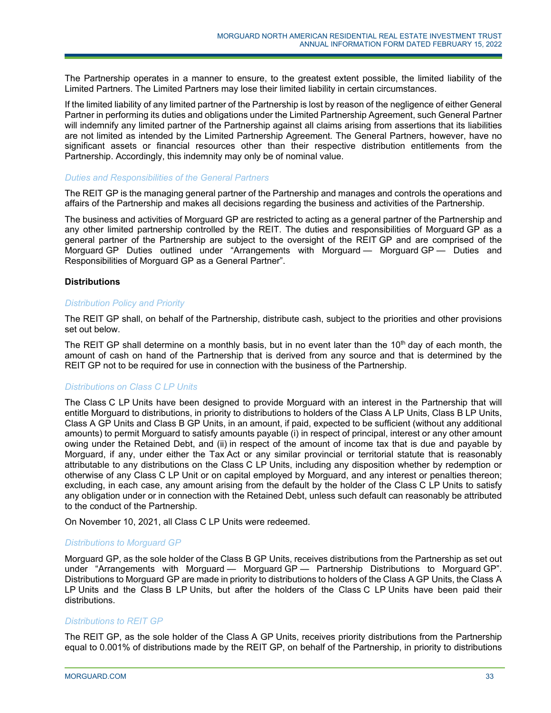The Partnership operates in a manner to ensure, to the greatest extent possible, the limited liability of the Limited Partners. The Limited Partners may lose their limited liability in certain circumstances.

If the limited liability of any limited partner of the Partnership is lost by reason of the negligence of either General Partner in performing its duties and obligations under the Limited Partnership Agreement, such General Partner will indemnify any limited partner of the Partnership against all claims arising from assertions that its liabilities are not limited as intended by the Limited Partnership Agreement. The General Partners, however, have no significant assets or financial resources other than their respective distribution entitlements from the Partnership. Accordingly, this indemnity may only be of nominal value.

#### *Duties and Responsibilities of the General Partners*

The REIT GP is the managing general partner of the Partnership and manages and controls the operations and affairs of the Partnership and makes all decisions regarding the business and activities of the Partnership.

The business and activities of Morguard GP are restricted to acting as a general partner of the Partnership and any other limited partnership controlled by the REIT. The duties and responsibilities of Morguard GP as a general partner of the Partnership are subject to the oversight of the REIT GP and are comprised of the Morguard GP Duties outlined under "Arrangements with Morguard — Morguard GP — Duties and Responsibilities of Morguard GP as a General Partner".

# **Distributions**

#### *Distribution Policy and Priority*

The REIT GP shall, on behalf of the Partnership, distribute cash, subject to the priorities and other provisions set out below.

The REIT GP shall determine on a monthly basis, but in no event later than the  $10<sup>th</sup>$  day of each month, the amount of cash on hand of the Partnership that is derived from any source and that is determined by the REIT GP not to be required for use in connection with the business of the Partnership.

# *Distributions on Class C LP Units*

The Class C LP Units have been designed to provide Morguard with an interest in the Partnership that will entitle Morguard to distributions, in priority to distributions to holders of the Class A LP Units, Class B LP Units, Class A GP Units and Class B GP Units, in an amount, if paid, expected to be sufficient (without any additional amounts) to permit Morguard to satisfy amounts payable (i) in respect of principal, interest or any other amount owing under the Retained Debt, and (ii) in respect of the amount of income tax that is due and payable by Morguard, if any, under either the Tax Act or any similar provincial or territorial statute that is reasonably attributable to any distributions on the Class C LP Units, including any disposition whether by redemption or otherwise of any Class C LP Unit or on capital employed by Morguard, and any interest or penalties thereon; excluding, in each case, any amount arising from the default by the holder of the Class C LP Units to satisfy any obligation under or in connection with the Retained Debt, unless such default can reasonably be attributed to the conduct of the Partnership.

On November 10, 2021, all Class C LP Units were redeemed.

# *Distributions to Morguard GP*

Morguard GP, as the sole holder of the Class B GP Units, receives distributions from the Partnership as set out under "Arrangements with Morguard — Morguard GP — Partnership Distributions to Morguard GP". Distributions to Morguard GP are made in priority to distributions to holders of the Class A GP Units, the Class A LP Units and the Class B LP Units, but after the holders of the Class C LP Units have been paid their distributions.

# *Distributions to REIT GP*

The REIT GP, as the sole holder of the Class A GP Units, receives priority distributions from the Partnership equal to 0.001% of distributions made by the REIT GP, on behalf of the Partnership, in priority to distributions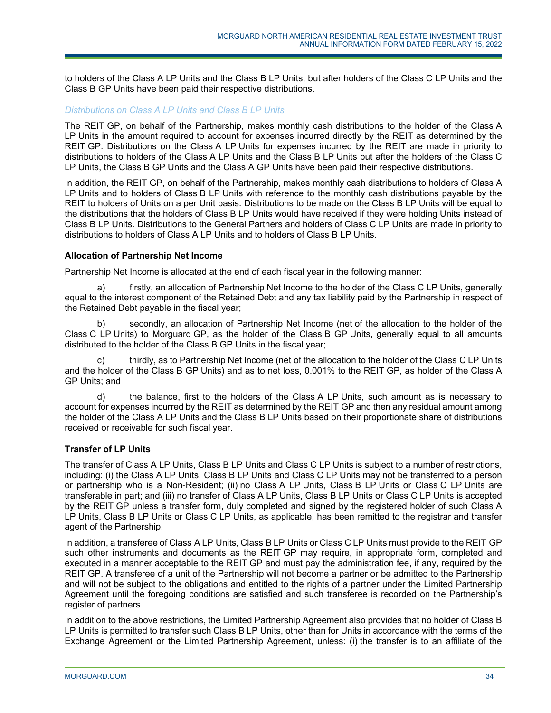to holders of the Class A LP Units and the Class B LP Units, but after holders of the Class C LP Units and the Class B GP Units have been paid their respective distributions.

# *Distributions on Class A LP Units and Class B LP Units*

The REIT GP, on behalf of the Partnership, makes monthly cash distributions to the holder of the Class A LP Units in the amount required to account for expenses incurred directly by the REIT as determined by the REIT GP. Distributions on the Class A LP Units for expenses incurred by the REIT are made in priority to distributions to holders of the Class A LP Units and the Class B LP Units but after the holders of the Class C LP Units, the Class B GP Units and the Class A GP Units have been paid their respective distributions.

In addition, the REIT GP, on behalf of the Partnership, makes monthly cash distributions to holders of Class A LP Units and to holders of Class B LP Units with reference to the monthly cash distributions payable by the REIT to holders of Units on a per Unit basis. Distributions to be made on the Class B LP Units will be equal to the distributions that the holders of Class B LP Units would have received if they were holding Units instead of Class B LP Units. Distributions to the General Partners and holders of Class C LP Units are made in priority to distributions to holders of Class A LP Units and to holders of Class B LP Units.

# **Allocation of Partnership Net Income**

Partnership Net Income is allocated at the end of each fiscal year in the following manner:

a) firstly, an allocation of Partnership Net Income to the holder of the Class C LP Units, generally equal to the interest component of the Retained Debt and any tax liability paid by the Partnership in respect of the Retained Debt payable in the fiscal year;

b) secondly, an allocation of Partnership Net Income (net of the allocation to the holder of the Class C LP Units) to Morguard GP, as the holder of the Class B GP Units, generally equal to all amounts distributed to the holder of the Class B GP Units in the fiscal year;

c) thirdly, as to Partnership Net Income (net of the allocation to the holder of the Class C LP Units and the holder of the Class B GP Units) and as to net loss, 0.001% to the REIT GP, as holder of the Class A GP Units; and

d) the balance, first to the holders of the Class A LP Units, such amount as is necessary to account for expenses incurred by the REIT as determined by the REIT GP and then any residual amount among the holder of the Class A LP Units and the Class B LP Units based on their proportionate share of distributions received or receivable for such fiscal year.

# **Transfer of LP Units**

The transfer of Class A LP Units, Class B LP Units and Class C LP Units is subject to a number of restrictions, including: (i) the Class A LP Units, Class B LP Units and Class C LP Units may not be transferred to a person or partnership who is a Non-Resident; (ii) no Class A LP Units, Class B LP Units or Class C LP Units are transferable in part; and (iii) no transfer of Class A LP Units, Class B LP Units or Class C LP Units is accepted by the REIT GP unless a transfer form, duly completed and signed by the registered holder of such Class A LP Units, Class B LP Units or Class C LP Units, as applicable, has been remitted to the registrar and transfer agent of the Partnership.

In addition, a transferee of Class A LP Units, Class B LP Units or Class C LP Units must provide to the REIT GP such other instruments and documents as the REIT GP may require, in appropriate form, completed and executed in a manner acceptable to the REIT GP and must pay the administration fee, if any, required by the REIT GP. A transferee of a unit of the Partnership will not become a partner or be admitted to the Partnership and will not be subject to the obligations and entitled to the rights of a partner under the Limited Partnership Agreement until the foregoing conditions are satisfied and such transferee is recorded on the Partnership's register of partners.

In addition to the above restrictions, the Limited Partnership Agreement also provides that no holder of Class B LP Units is permitted to transfer such Class B LP Units, other than for Units in accordance with the terms of the Exchange Agreement or the Limited Partnership Agreement, unless: (i) the transfer is to an affiliate of the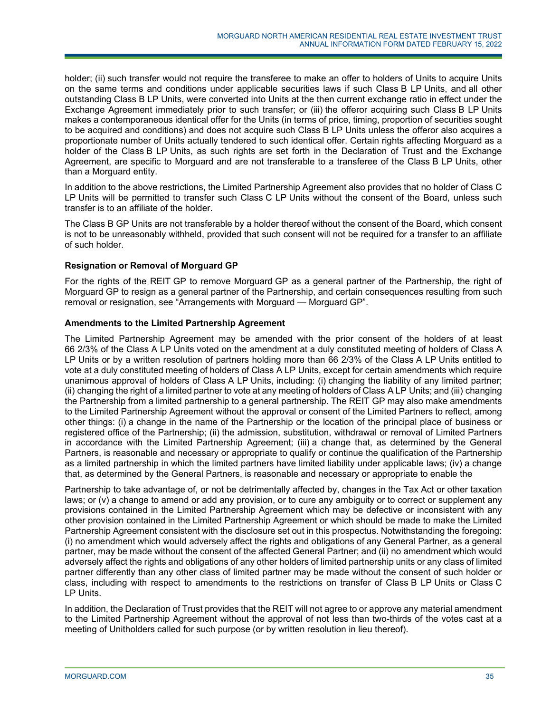holder; (ii) such transfer would not require the transferee to make an offer to holders of Units to acquire Units on the same terms and conditions under applicable securities laws if such Class B LP Units, and all other outstanding Class B LP Units, were converted into Units at the then current exchange ratio in effect under the Exchange Agreement immediately prior to such transfer; or (iii) the offeror acquiring such Class B LP Units makes a contemporaneous identical offer for the Units (in terms of price, timing, proportion of securities sought to be acquired and conditions) and does not acquire such Class B LP Units unless the offeror also acquires a proportionate number of Units actually tendered to such identical offer. Certain rights affecting Morguard as a holder of the Class B LP Units, as such rights are set forth in the Declaration of Trust and the Exchange Agreement, are specific to Morguard and are not transferable to a transferee of the Class B LP Units, other than a Morguard entity.

In addition to the above restrictions, the Limited Partnership Agreement also provides that no holder of Class C LP Units will be permitted to transfer such Class C LP Units without the consent of the Board, unless such transfer is to an affiliate of the holder.

The Class B GP Units are not transferable by a holder thereof without the consent of the Board, which consent is not to be unreasonably withheld, provided that such consent will not be required for a transfer to an affiliate of such holder.

# **Resignation or Removal of Morguard GP**

For the rights of the REIT GP to remove Morguard GP as a general partner of the Partnership, the right of Morguard GP to resign as a general partner of the Partnership, and certain consequences resulting from such removal or resignation, see "Arrangements with Morguard — Morguard GP".

# **Amendments to the Limited Partnership Agreement**

The Limited Partnership Agreement may be amended with the prior consent of the holders of at least 66 2/3% of the Class A LP Units voted on the amendment at a duly constituted meeting of holders of Class A LP Units or by a written resolution of partners holding more than 66 2/3% of the Class A LP Units entitled to vote at a duly constituted meeting of holders of Class A LP Units, except for certain amendments which require unanimous approval of holders of Class A LP Units, including: (i) changing the liability of any limited partner; (ii) changing the right of a limited partner to vote at any meeting of holders of Class A LP Units; and (iii) changing the Partnership from a limited partnership to a general partnership. The REIT GP may also make amendments to the Limited Partnership Agreement without the approval or consent of the Limited Partners to reflect, among other things: (i) a change in the name of the Partnership or the location of the principal place of business or registered office of the Partnership; (ii) the admission, substitution, withdrawal or removal of Limited Partners in accordance with the Limited Partnership Agreement; (iii) a change that, as determined by the General Partners, is reasonable and necessary or appropriate to qualify or continue the qualification of the Partnership as a limited partnership in which the limited partners have limited liability under applicable laws; (iv) a change that, as determined by the General Partners, is reasonable and necessary or appropriate to enable the

Partnership to take advantage of, or not be detrimentally affected by, changes in the Tax Act or other taxation laws; or (v) a change to amend or add any provision, or to cure any ambiguity or to correct or supplement any provisions contained in the Limited Partnership Agreement which may be defective or inconsistent with any other provision contained in the Limited Partnership Agreement or which should be made to make the Limited Partnership Agreement consistent with the disclosure set out in this prospectus. Notwithstanding the foregoing: (i) no amendment which would adversely affect the rights and obligations of any General Partner, as a general partner, may be made without the consent of the affected General Partner; and (ii) no amendment which would adversely affect the rights and obligations of any other holders of limited partnership units or any class of limited partner differently than any other class of limited partner may be made without the consent of such holder or class, including with respect to amendments to the restrictions on transfer of Class B LP Units or Class C LP Units.

In addition, the Declaration of Trust provides that the REIT will not agree to or approve any material amendment to the Limited Partnership Agreement without the approval of not less than two-thirds of the votes cast at a meeting of Unitholders called for such purpose (or by written resolution in lieu thereof).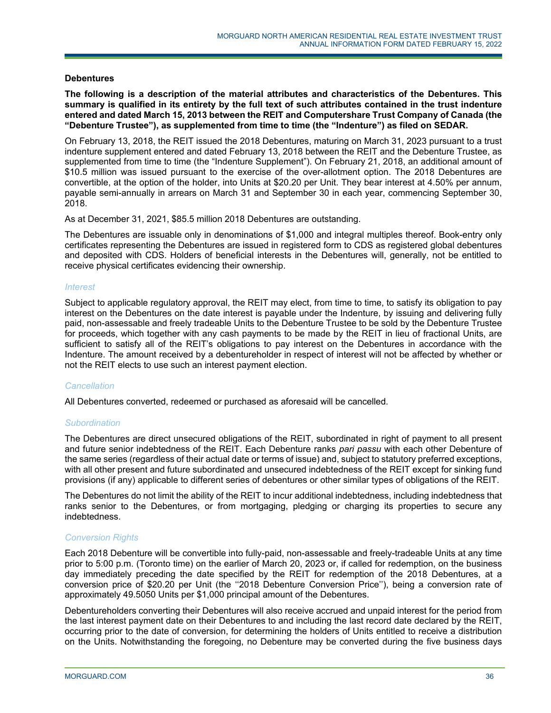#### **Debentures**

**The following is a description of the material attributes and characteristics of the Debentures. This summary is qualified in its entirety by the full text of such attributes contained in the trust indenture entered and dated March 15, 2013 between the REIT and Computershare Trust Company of Canada (the "Debenture Trustee"), as supplemented from time to time (the "Indenture") as filed on SEDAR.** 

On February 13, 2018, the REIT issued the 2018 Debentures, maturing on March 31, 2023 pursuant to a trust indenture supplement entered and dated February 13, 2018 between the REIT and the Debenture Trustee, as supplemented from time to time (the "Indenture Supplement"). On February 21, 2018, an additional amount of \$10.5 million was issued pursuant to the exercise of the over-allotment option. The 2018 Debentures are convertible, at the option of the holder, into Units at \$20.20 per Unit. They bear interest at 4.50% per annum, payable semi-annually in arrears on March 31 and September 30 in each year, commencing September 30, 2018.

As at December 31, 2021, \$85.5 million 2018 Debentures are outstanding.

The Debentures are issuable only in denominations of \$1,000 and integral multiples thereof. Book-entry only certificates representing the Debentures are issued in registered form to CDS as registered global debentures and deposited with CDS. Holders of beneficial interests in the Debentures will, generally, not be entitled to receive physical certificates evidencing their ownership.

#### *Interest*

Subject to applicable regulatory approval, the REIT may elect, from time to time, to satisfy its obligation to pay interest on the Debentures on the date interest is payable under the Indenture, by issuing and delivering fully paid, non-assessable and freely tradeable Units to the Debenture Trustee to be sold by the Debenture Trustee for proceeds, which together with any cash payments to be made by the REIT in lieu of fractional Units, are sufficient to satisfy all of the REIT's obligations to pay interest on the Debentures in accordance with the Indenture. The amount received by a debentureholder in respect of interest will not be affected by whether or not the REIT elects to use such an interest payment election.

#### *Cancellation*

All Debentures converted, redeemed or purchased as aforesaid will be cancelled.

# *Subordination*

The Debentures are direct unsecured obligations of the REIT, subordinated in right of payment to all present and future senior indebtedness of the REIT. Each Debenture ranks *pari passu* with each other Debenture of the same series (regardless of their actual date or terms of issue) and, subject to statutory preferred exceptions, with all other present and future subordinated and unsecured indebtedness of the REIT except for sinking fund provisions (if any) applicable to different series of debentures or other similar types of obligations of the REIT.

The Debentures do not limit the ability of the REIT to incur additional indebtedness, including indebtedness that ranks senior to the Debentures, or from mortgaging, pledging or charging its properties to secure any indebtedness.

# *Conversion Rights*

Each 2018 Debenture will be convertible into fully-paid, non-assessable and freely-tradeable Units at any time prior to 5:00 p.m. (Toronto time) on the earlier of March 20, 2023 or, if called for redemption, on the business day immediately preceding the date specified by the REIT for redemption of the 2018 Debentures, at a conversion price of \$20.20 per Unit (the ''2018 Debenture Conversion Price''), being a conversion rate of approximately 49.5050 Units per \$1,000 principal amount of the Debentures.

Debentureholders converting their Debentures will also receive accrued and unpaid interest for the period from the last interest payment date on their Debentures to and including the last record date declared by the REIT, occurring prior to the date of conversion, for determining the holders of Units entitled to receive a distribution on the Units. Notwithstanding the foregoing, no Debenture may be converted during the five business days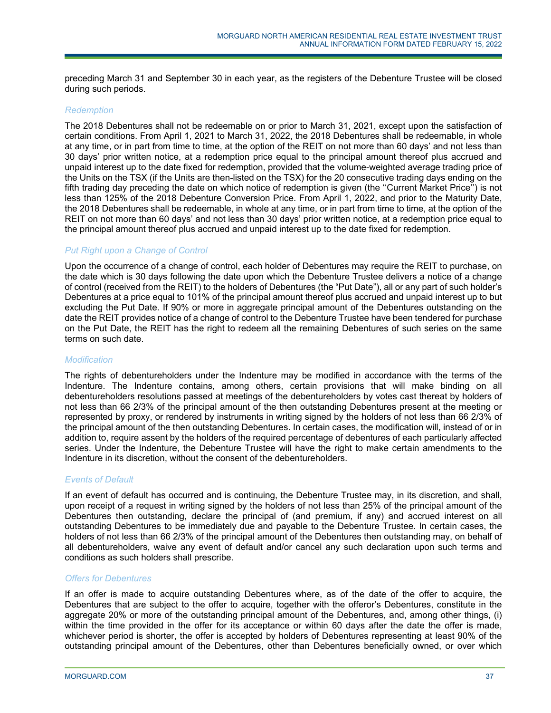preceding March 31 and September 30 in each year, as the registers of the Debenture Trustee will be closed during such periods.

### *Redemption*

The 2018 Debentures shall not be redeemable on or prior to March 31, 2021, except upon the satisfaction of certain conditions. From April 1, 2021 to March 31, 2022, the 2018 Debentures shall be redeemable, in whole at any time, or in part from time to time, at the option of the REIT on not more than 60 days' and not less than 30 days' prior written notice, at a redemption price equal to the principal amount thereof plus accrued and unpaid interest up to the date fixed for redemption, provided that the volume-weighted average trading price of the Units on the TSX (if the Units are then-listed on the TSX) for the 20 consecutive trading days ending on the fifth trading day preceding the date on which notice of redemption is given (the ''Current Market Price'') is not less than 125% of the 2018 Debenture Conversion Price. From April 1, 2022, and prior to the Maturity Date, the 2018 Debentures shall be redeemable, in whole at any time, or in part from time to time, at the option of the REIT on not more than 60 days' and not less than 30 days' prior written notice, at a redemption price equal to the principal amount thereof plus accrued and unpaid interest up to the date fixed for redemption.

## *Put Right upon a Change of Control*

Upon the occurrence of a change of control, each holder of Debentures may require the REIT to purchase, on the date which is 30 days following the date upon which the Debenture Trustee delivers a notice of a change of control (received from the REIT) to the holders of Debentures (the "Put Date"), all or any part of such holder's Debentures at a price equal to 101% of the principal amount thereof plus accrued and unpaid interest up to but excluding the Put Date. If 90% or more in aggregate principal amount of the Debentures outstanding on the date the REIT provides notice of a change of control to the Debenture Trustee have been tendered for purchase on the Put Date, the REIT has the right to redeem all the remaining Debentures of such series on the same terms on such date.

#### *Modification*

The rights of debentureholders under the Indenture may be modified in accordance with the terms of the Indenture. The Indenture contains, among others, certain provisions that will make binding on all debentureholders resolutions passed at meetings of the debentureholders by votes cast thereat by holders of not less than 66 2/3% of the principal amount of the then outstanding Debentures present at the meeting or represented by proxy, or rendered by instruments in writing signed by the holders of not less than 66 2/3% of the principal amount of the then outstanding Debentures. In certain cases, the modification will, instead of or in addition to, require assent by the holders of the required percentage of debentures of each particularly affected series. Under the Indenture, the Debenture Trustee will have the right to make certain amendments to the Indenture in its discretion, without the consent of the debentureholders.

## *Events of Default*

If an event of default has occurred and is continuing, the Debenture Trustee may, in its discretion, and shall, upon receipt of a request in writing signed by the holders of not less than 25% of the principal amount of the Debentures then outstanding, declare the principal of (and premium, if any) and accrued interest on all outstanding Debentures to be immediately due and payable to the Debenture Trustee. In certain cases, the holders of not less than 66 2/3% of the principal amount of the Debentures then outstanding may, on behalf of all debentureholders, waive any event of default and/or cancel any such declaration upon such terms and conditions as such holders shall prescribe.

## *Offers for Debentures*

If an offer is made to acquire outstanding Debentures where, as of the date of the offer to acquire, the Debentures that are subject to the offer to acquire, together with the offeror's Debentures, constitute in the aggregate 20% or more of the outstanding principal amount of the Debentures, and, among other things, (i) within the time provided in the offer for its acceptance or within 60 days after the date the offer is made, whichever period is shorter, the offer is accepted by holders of Debentures representing at least 90% of the outstanding principal amount of the Debentures, other than Debentures beneficially owned, or over which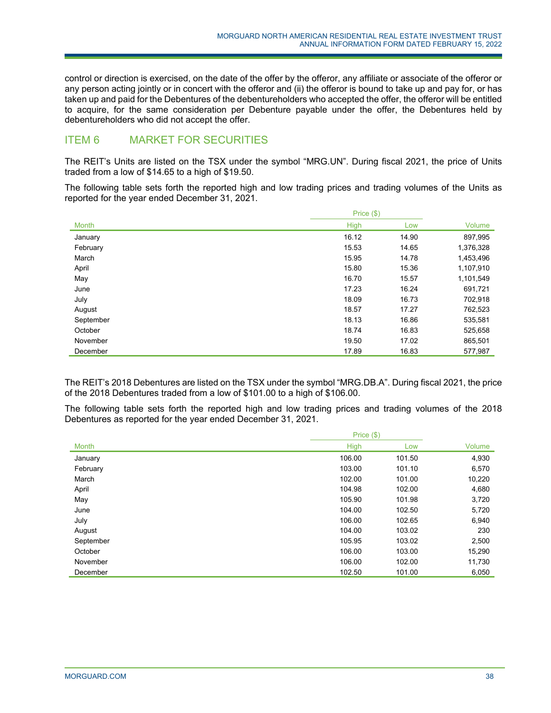control or direction is exercised, on the date of the offer by the offeror, any affiliate or associate of the offeror or any person acting jointly or in concert with the offeror and (ii) the offeror is bound to take up and pay for, or has taken up and paid for the Debentures of the debentureholders who accepted the offer, the offeror will be entitled to acquire, for the same consideration per Debenture payable under the offer, the Debentures held by debentureholders who did not accept the offer.

# ITEM 6 MARKET FOR SECURITIES

The REIT's Units are listed on the TSX under the symbol "MRG.UN". During fiscal 2021, the price of Units traded from a low of \$14.65 to a high of \$19.50.

The following table sets forth the reported high and low trading prices and trading volumes of the Units as reported for the year ended December 31, 2021.

|           | Price $(\$)$ |       |           |  |
|-----------|--------------|-------|-----------|--|
| Month     | <b>High</b>  | Low   | Volume    |  |
| January   | 16.12        | 14.90 | 897,995   |  |
| February  | 15.53        | 14.65 | 1,376,328 |  |
| March     | 15.95        | 14.78 | 1,453,496 |  |
| April     | 15.80        | 15.36 | 1,107,910 |  |
| May       | 16.70        | 15.57 | 1,101,549 |  |
| June      | 17.23        | 16.24 | 691,721   |  |
| July      | 18.09        | 16.73 | 702,918   |  |
| August    | 18.57        | 17.27 | 762,523   |  |
| September | 18.13        | 16.86 | 535,581   |  |
| October   | 18.74        | 16.83 | 525,658   |  |
| November  | 19.50        | 17.02 | 865,501   |  |
| December  | 17.89        | 16.83 | 577,987   |  |

The REIT's 2018 Debentures are listed on the TSX under the symbol "MRG.DB.A". During fiscal 2021, the price of the 2018 Debentures traded from a low of \$101.00 to a high of \$106.00.

The following table sets forth the reported high and low trading prices and trading volumes of the 2018 Debentures as reported for the year ended December 31, 2021.

|              | Price $(\$)$ |        |        |
|--------------|--------------|--------|--------|
| <b>Month</b> | High         | Low    | Volume |
| January      | 106.00       | 101.50 | 4,930  |
| February     | 103.00       | 101.10 | 6,570  |
| March        | 102.00       | 101.00 | 10,220 |
| April        | 104.98       | 102.00 | 4,680  |
| May          | 105.90       | 101.98 | 3,720  |
| June         | 104.00       | 102.50 | 5,720  |
| July         | 106.00       | 102.65 | 6,940  |
| August       | 104.00       | 103.02 | 230    |
| September    | 105.95       | 103.02 | 2,500  |
| October      | 106.00       | 103.00 | 15,290 |
| November     | 106.00       | 102.00 | 11,730 |
| December     | 102.50       | 101.00 | 6,050  |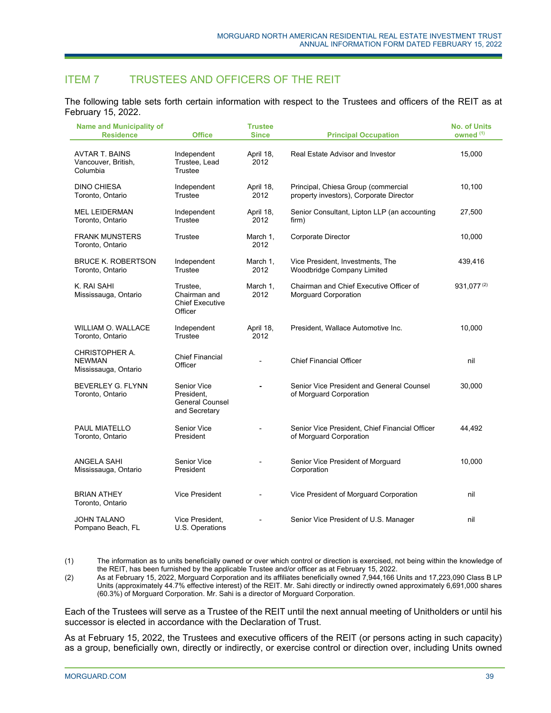# ITEM 7 TRUSTEES AND OFFICERS OF THE REIT

The following table sets forth certain information with respect to the Trustees and officers of the REIT as at February 15, 2022.

| <b>Name and Municipality of</b><br><b>Residence</b>      | <b>Office</b>                                                        | <b>Trustee</b><br><b>Since</b> | <b>Principal Occupation</b>                                                    | <b>No. of Units</b><br>owned <sup>(1)</sup> |
|----------------------------------------------------------|----------------------------------------------------------------------|--------------------------------|--------------------------------------------------------------------------------|---------------------------------------------|
| <b>AVTAR T. BAINS</b><br>Vancouver, British,<br>Columbia | Independent<br>Trustee, Lead<br>Trustee                              | April 18,<br>2012              | Real Estate Advisor and Investor                                               | 15,000                                      |
| <b>DINO CHIESA</b><br>Toronto, Ontario                   | Independent<br>Trustee                                               | April 18,<br>2012              | Principal, Chiesa Group (commercial<br>property investors), Corporate Director | 10,100                                      |
| <b>MEL LEIDERMAN</b><br>Toronto, Ontario                 | Independent<br>Trustee                                               | April 18,<br>2012              | Senior Consultant, Lipton LLP (an accounting<br>firm)                          | 27,500                                      |
| <b>FRANK MUNSTERS</b><br>Toronto, Ontario                | Trustee                                                              | March 1,<br>2012               | <b>Corporate Director</b>                                                      | 10,000                                      |
| <b>BRUCE K. ROBERTSON</b><br>Toronto, Ontario            | Independent<br>Trustee                                               | March 1,<br>2012               | Vice President, Investments, The<br>Woodbridge Company Limited                 | 439,416                                     |
| K. RAI SAHI<br>Mississauga, Ontario                      | Trustee,<br>Chairman and<br><b>Chief Executive</b><br>Officer        | March 1,<br>2012               | Chairman and Chief Executive Officer of<br><b>Morguard Corporation</b>         | 931,077(2)                                  |
| WILLIAM O. WALLACE<br>Toronto, Ontario                   | Independent<br>Trustee                                               | April 18,<br>2012              | President, Wallace Automotive Inc.                                             | 10,000                                      |
| CHRISTOPHER A.<br><b>NEWMAN</b><br>Mississauga, Ontario  | <b>Chief Financial</b><br>Officer                                    | $\overline{\phantom{0}}$       | <b>Chief Financial Officer</b>                                                 | nil                                         |
| <b>BEVERLEY G. FLYNN</b><br>Toronto, Ontario             | Senior Vice<br>President.<br><b>General Counsel</b><br>and Secretary |                                | Senior Vice President and General Counsel<br>of Morguard Corporation           | 30,000                                      |
| PAUL MIATELLO<br>Toronto, Ontario                        | Senior Vice<br>President                                             | $\overline{a}$                 | Senior Vice President, Chief Financial Officer<br>of Morguard Corporation      | 44,492                                      |
| ANGELA SAHI<br>Mississauga, Ontario                      | Senior Vice<br>President                                             | $\blacksquare$                 | Senior Vice President of Morguard<br>Corporation                               | 10,000                                      |
| <b>BRIAN ATHEY</b><br>Toronto, Ontario                   | Vice President                                                       |                                | Vice President of Morguard Corporation                                         | nil                                         |
| <b>JOHN TALANO</b><br>Pompano Beach, FL                  | Vice President,<br>U.S. Operations                                   | $\overline{\phantom{a}}$       | Senior Vice President of U.S. Manager                                          | nil                                         |

(1) The information as to units beneficially owned or over which control or direction is exercised, not being within the knowledge of the REIT, has been furnished by the applicable Trustee and/or officer as at February 15, 2022.

(2) As at February 15, 2022, Morguard Corporation and its affiliates beneficially owned 7,944,166 Units and 17,223,090 Class B LP Units (approximately 44.7% effective interest) of the REIT. Mr. Sahi directly or indirectly owned approximately 6,691,000 shares (60.3%) of Morguard Corporation. Mr. Sahi is a director of Morguard Corporation.

Each of the Trustees will serve as a Trustee of the REIT until the next annual meeting of Unitholders or until his successor is elected in accordance with the Declaration of Trust.

As at February 15, 2022, the Trustees and executive officers of the REIT (or persons acting in such capacity) as a group, beneficially own, directly or indirectly, or exercise control or direction over, including Units owned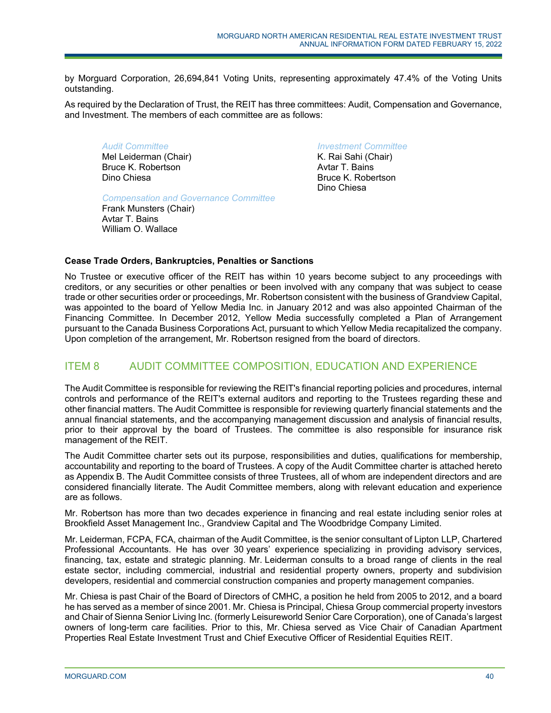by Morguard Corporation, 26,694,841 Voting Units, representing approximately 47.4% of the Voting Units outstanding.

As required by the Declaration of Trust, the REIT has three committees: Audit, Compensation and Governance, and Investment. The members of each committee are as follows:

*Audit Committee*  Mel Leiderman (Chair) Bruce K. Robertson Dino Chiesa

*Compensation and Governance Committee* 

Frank Munsters (Chair) Avtar T. Bains William O. Wallace

*Investment Committee* 

K. Rai Sahi (Chair) Avtar T. Bains Bruce K. Robertson Dino Chiesa

# **Cease Trade Orders, Bankruptcies, Penalties or Sanctions**

No Trustee or executive officer of the REIT has within 10 years become subject to any proceedings with creditors, or any securities or other penalties or been involved with any company that was subject to cease trade or other securities order or proceedings, Mr. Robertson consistent with the business of Grandview Capital, was appointed to the board of Yellow Media Inc. in January 2012 and was also appointed Chairman of the Financing Committee. In December 2012, Yellow Media successfully completed a Plan of Arrangement pursuant to the Canada Business Corporations Act, pursuant to which Yellow Media recapitalized the company. Upon completion of the arrangement, Mr. Robertson resigned from the board of directors.

# ITEM 8 AUDIT COMMITTEE COMPOSITION, EDUCATION AND EXPERIENCE

The Audit Committee is responsible for reviewing the REIT's financial reporting policies and procedures, internal controls and performance of the REIT's external auditors and reporting to the Trustees regarding these and other financial matters. The Audit Committee is responsible for reviewing quarterly financial statements and the annual financial statements, and the accompanying management discussion and analysis of financial results, prior to their approval by the board of Trustees. The committee is also responsible for insurance risk management of the REIT.

The Audit Committee charter sets out its purpose, responsibilities and duties, qualifications for membership, accountability and reporting to the board of Trustees. A copy of the Audit Committee charter is attached hereto as Appendix B. The Audit Committee consists of three Trustees, all of whom are independent directors and are considered financially literate. The Audit Committee members, along with relevant education and experience are as follows.

Mr. Robertson has more than two decades experience in financing and real estate including senior roles at Brookfield Asset Management Inc., Grandview Capital and The Woodbridge Company Limited.

Mr. Leiderman, FCPA, FCA, chairman of the Audit Committee, is the senior consultant of Lipton LLP, Chartered Professional Accountants. He has over 30 years' experience specializing in providing advisory services, financing, tax, estate and strategic planning. Mr. Leiderman consults to a broad range of clients in the real estate sector, including commercial, industrial and residential property owners, property and subdivision developers, residential and commercial construction companies and property management companies.

Mr. Chiesa is past Chair of the Board of Directors of CMHC, a position he held from 2005 to 2012, and a board he has served as a member of since 2001. Mr. Chiesa is Principal, Chiesa Group commercial property investors and Chair of Sienna Senior Living Inc. (formerly Leisureworld Senior Care Corporation), one of Canada's largest owners of long-term care facilities. Prior to this, Mr. Chiesa served as Vice Chair of Canadian Apartment Properties Real Estate Investment Trust and Chief Executive Officer of Residential Equities REIT.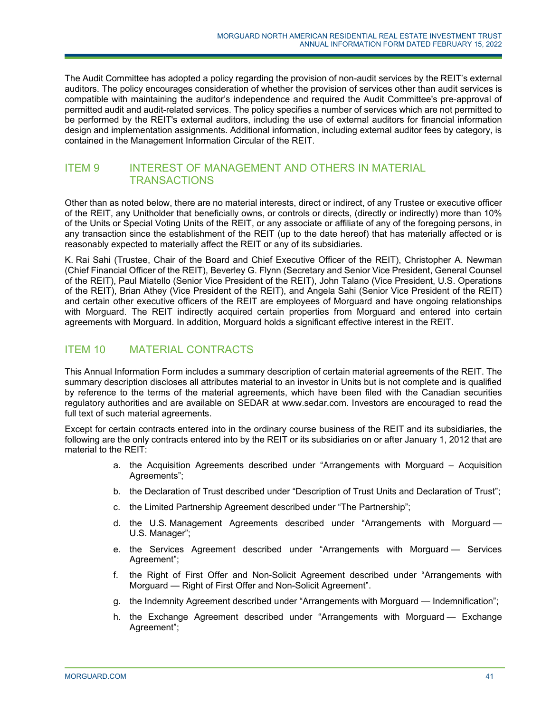The Audit Committee has adopted a policy regarding the provision of non-audit services by the REIT's external auditors. The policy encourages consideration of whether the provision of services other than audit services is compatible with maintaining the auditor's independence and required the Audit Committee's pre-approval of permitted audit and audit-related services. The policy specifies a number of services which are not permitted to be performed by the REIT's external auditors, including the use of external auditors for financial information design and implementation assignments. Additional information, including external auditor fees by category, is contained in the Management Information Circular of the REIT.

# ITEM 9 INTEREST OF MANAGEMENT AND OTHERS IN MATERIAL **TRANSACTIONS**

Other than as noted below, there are no material interests, direct or indirect, of any Trustee or executive officer of the REIT, any Unitholder that beneficially owns, or controls or directs, (directly or indirectly) more than 10% of the Units or Special Voting Units of the REIT, or any associate or affiliate of any of the foregoing persons, in any transaction since the establishment of the REIT (up to the date hereof) that has materially affected or is reasonably expected to materially affect the REIT or any of its subsidiaries.

K. Rai Sahi (Trustee, Chair of the Board and Chief Executive Officer of the REIT), Christopher A. Newman (Chief Financial Officer of the REIT), Beverley G. Flynn (Secretary and Senior Vice President, General Counsel of the REIT), Paul Miatello (Senior Vice President of the REIT), John Talano (Vice President, U.S. Operations of the REIT), Brian Athey (Vice President of the REIT), and Angela Sahi (Senior Vice President of the REIT) and certain other executive officers of the REIT are employees of Morguard and have ongoing relationships with Morguard. The REIT indirectly acquired certain properties from Morguard and entered into certain agreements with Morguard. In addition, Morguard holds a significant effective interest in the REIT.

# ITEM 10 MATERIAL CONTRACTS

This Annual Information Form includes a summary description of certain material agreements of the REIT. The summary description discloses all attributes material to an investor in Units but is not complete and is qualified by reference to the terms of the material agreements, which have been filed with the Canadian securities regulatory authorities and are available on SEDAR at www.sedar.com. Investors are encouraged to read the full text of such material agreements.

Except for certain contracts entered into in the ordinary course business of the REIT and its subsidiaries, the following are the only contracts entered into by the REIT or its subsidiaries on or after January 1, 2012 that are material to the REIT:

- a. the Acquisition Agreements described under "Arrangements with Morguard Acquisition Agreements";
- b. the Declaration of Trust described under "Description of Trust Units and Declaration of Trust";
- c. the Limited Partnership Agreement described under "The Partnership";
- d. the U.S. Management Agreements described under "Arrangements with Morguard U.S. Manager";
- e. the Services Agreement described under "Arrangements with Morguard Services Agreement";
- f. the Right of First Offer and Non-Solicit Agreement described under "Arrangements with Morguard — Right of First Offer and Non-Solicit Agreement".
- g. the Indemnity Agreement described under "Arrangements with Morguard Indemnification";
- h. the Exchange Agreement described under "Arrangements with Morguard Exchange Agreement";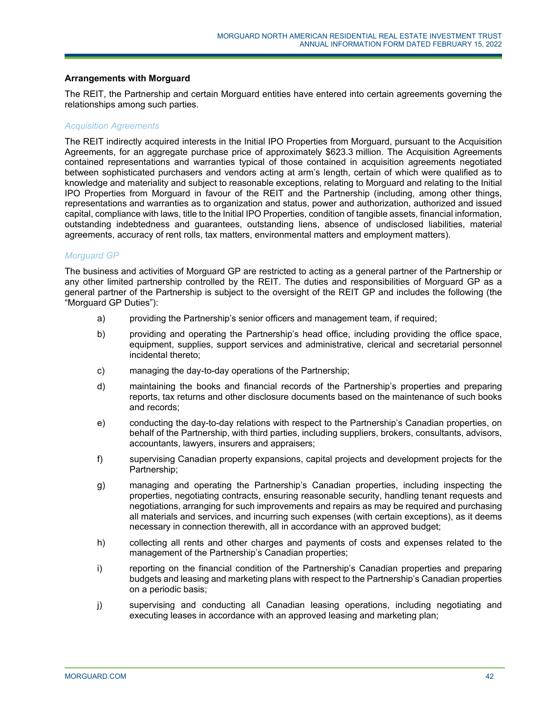### **Arrangements with Morguard**

The REIT, the Partnership and certain Morguard entities have entered into certain agreements governing the relationships among such parties.

### *Acquisition Agreements*

The REIT indirectly acquired interests in the Initial IPO Properties from Morguard, pursuant to the Acquisition Agreements, for an aggregate purchase price of approximately \$623.3 million. The Acquisition Agreements contained representations and warranties typical of those contained in acquisition agreements negotiated between sophisticated purchasers and vendors acting at arm's length, certain of which were qualified as to knowledge and materiality and subject to reasonable exceptions, relating to Morguard and relating to the Initial IPO Properties from Morguard in favour of the REIT and the Partnership (including, among other things, representations and warranties as to organization and status, power and authorization, authorized and issued capital, compliance with laws, title to the Initial IPO Properties, condition of tangible assets, financial information, outstanding indebtedness and guarantees, outstanding liens, absence of undisclosed liabilities, material agreements, accuracy of rent rolls, tax matters, environmental matters and employment matters).

#### *Morguard GP*

The business and activities of Morguard GP are restricted to acting as a general partner of the Partnership or any other limited partnership controlled by the REIT. The duties and responsibilities of Morguard GP as a general partner of the Partnership is subject to the oversight of the REIT GP and includes the following (the "Morguard GP Duties"):

- a) providing the Partnership's senior officers and management team, if required;
- b) providing and operating the Partnership's head office, including providing the office space, equipment, supplies, support services and administrative, clerical and secretarial personnel incidental thereto;
- c) managing the day-to-day operations of the Partnership;
- d) maintaining the books and financial records of the Partnership's properties and preparing reports, tax returns and other disclosure documents based on the maintenance of such books and records;
- e) conducting the day-to-day relations with respect to the Partnership's Canadian properties, on behalf of the Partnership, with third parties, including suppliers, brokers, consultants, advisors, accountants, lawyers, insurers and appraisers;
- f) supervising Canadian property expansions, capital projects and development projects for the Partnership;
- g) managing and operating the Partnership's Canadian properties, including inspecting the properties, negotiating contracts, ensuring reasonable security, handling tenant requests and negotiations, arranging for such improvements and repairs as may be required and purchasing all materials and services, and incurring such expenses (with certain exceptions), as it deems necessary in connection therewith, all in accordance with an approved budget;
- h) collecting all rents and other charges and payments of costs and expenses related to the management of the Partnership's Canadian properties;
- i) reporting on the financial condition of the Partnership's Canadian properties and preparing budgets and leasing and marketing plans with respect to the Partnership's Canadian properties on a periodic basis;
- j) supervising and conducting all Canadian leasing operations, including negotiating and executing leases in accordance with an approved leasing and marketing plan;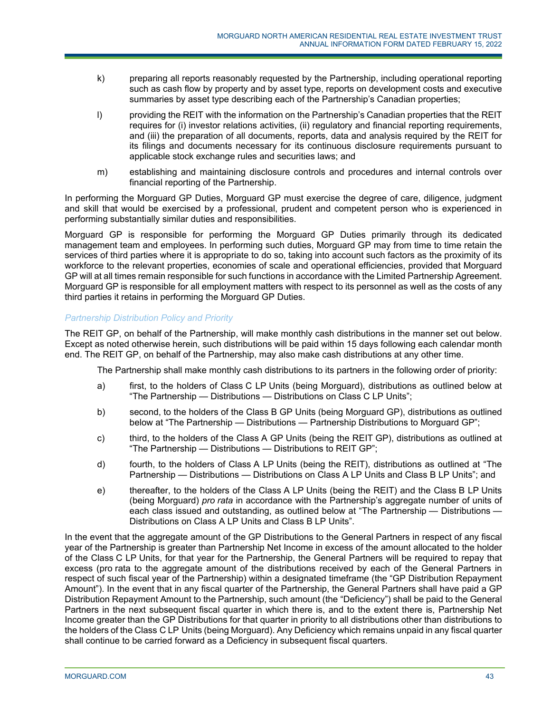- k) preparing all reports reasonably requested by the Partnership, including operational reporting such as cash flow by property and by asset type, reports on development costs and executive summaries by asset type describing each of the Partnership's Canadian properties;
- l) providing the REIT with the information on the Partnership's Canadian properties that the REIT requires for (i) investor relations activities, (ii) regulatory and financial reporting requirements, and (iii) the preparation of all documents, reports, data and analysis required by the REIT for its filings and documents necessary for its continuous disclosure requirements pursuant to applicable stock exchange rules and securities laws; and
- m) establishing and maintaining disclosure controls and procedures and internal controls over financial reporting of the Partnership.

In performing the Morguard GP Duties, Morguard GP must exercise the degree of care, diligence, judgment and skill that would be exercised by a professional, prudent and competent person who is experienced in performing substantially similar duties and responsibilities.

Morguard GP is responsible for performing the Morguard GP Duties primarily through its dedicated management team and employees. In performing such duties, Morguard GP may from time to time retain the services of third parties where it is appropriate to do so, taking into account such factors as the proximity of its workforce to the relevant properties, economies of scale and operational efficiencies, provided that Morguard GP will at all times remain responsible for such functions in accordance with the Limited Partnership Agreement. Morguard GP is responsible for all employment matters with respect to its personnel as well as the costs of any third parties it retains in performing the Morguard GP Duties.

# *Partnership Distribution Policy and Priority*

The REIT GP, on behalf of the Partnership, will make monthly cash distributions in the manner set out below. Except as noted otherwise herein, such distributions will be paid within 15 days following each calendar month end. The REIT GP, on behalf of the Partnership, may also make cash distributions at any other time.

The Partnership shall make monthly cash distributions to its partners in the following order of priority:

- a) first, to the holders of Class C LP Units (being Morguard), distributions as outlined below at "The Partnership — Distributions — Distributions on Class C LP Units";
- b) second, to the holders of the Class B GP Units (being Morguard GP), distributions as outlined below at "The Partnership — Distributions — Partnership Distributions to Morguard GP";
- c) third, to the holders of the Class A GP Units (being the REIT GP), distributions as outlined at "The Partnership — Distributions — Distributions to REIT GP";
- d) fourth, to the holders of Class A LP Units (being the REIT), distributions as outlined at "The Partnership — Distributions — Distributions on Class A LP Units and Class B LP Units"; and
- e) thereafter, to the holders of the Class A LP Units (being the REIT) and the Class B LP Units (being Morguard) *pro rata* in accordance with the Partnership's aggregate number of units of each class issued and outstanding, as outlined below at "The Partnership — Distributions — Distributions on Class A LP Units and Class B LP Units".

In the event that the aggregate amount of the GP Distributions to the General Partners in respect of any fiscal year of the Partnership is greater than Partnership Net Income in excess of the amount allocated to the holder of the Class C LP Units, for that year for the Partnership, the General Partners will be required to repay that excess (pro rata to the aggregate amount of the distributions received by each of the General Partners in respect of such fiscal year of the Partnership) within a designated timeframe (the "GP Distribution Repayment Amount"). In the event that in any fiscal quarter of the Partnership, the General Partners shall have paid a GP Distribution Repayment Amount to the Partnership, such amount (the "Deficiency") shall be paid to the General Partners in the next subsequent fiscal quarter in which there is, and to the extent there is, Partnership Net Income greater than the GP Distributions for that quarter in priority to all distributions other than distributions to the holders of the Class C LP Units (being Morguard). Any Deficiency which remains unpaid in any fiscal quarter shall continue to be carried forward as a Deficiency in subsequent fiscal quarters.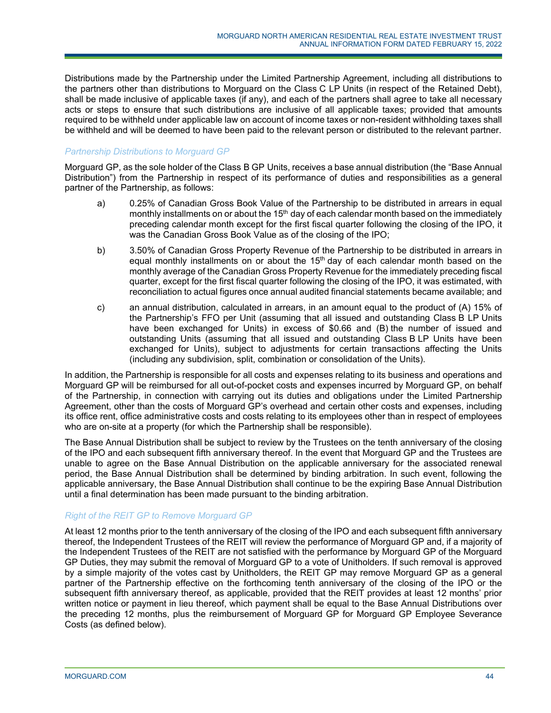Distributions made by the Partnership under the Limited Partnership Agreement, including all distributions to the partners other than distributions to Morguard on the Class C LP Units (in respect of the Retained Debt), shall be made inclusive of applicable taxes (if any), and each of the partners shall agree to take all necessary acts or steps to ensure that such distributions are inclusive of all applicable taxes; provided that amounts required to be withheld under applicable law on account of income taxes or non-resident withholding taxes shall be withheld and will be deemed to have been paid to the relevant person or distributed to the relevant partner.

# *Partnership Distributions to Morguard GP*

Morguard GP, as the sole holder of the Class B GP Units, receives a base annual distribution (the "Base Annual Distribution") from the Partnership in respect of its performance of duties and responsibilities as a general partner of the Partnership, as follows:

- a) 0.25% of Canadian Gross Book Value of the Partnership to be distributed in arrears in equal monthly installments on or about the  $15<sup>th</sup>$  day of each calendar month based on the immediately preceding calendar month except for the first fiscal quarter following the closing of the IPO, it was the Canadian Gross Book Value as of the closing of the IPO;
- b) 3.50% of Canadian Gross Property Revenue of the Partnership to be distributed in arrears in equal monthly installments on or about the  $15<sup>th</sup>$  day of each calendar month based on the monthly average of the Canadian Gross Property Revenue for the immediately preceding fiscal quarter, except for the first fiscal quarter following the closing of the IPO, it was estimated, with reconciliation to actual figures once annual audited financial statements became available; and
- c) an annual distribution, calculated in arrears, in an amount equal to the product of (A) 15% of the Partnership's FFO per Unit (assuming that all issued and outstanding Class B LP Units have been exchanged for Units) in excess of \$0.66 and (B) the number of issued and outstanding Units (assuming that all issued and outstanding Class B LP Units have been exchanged for Units), subject to adjustments for certain transactions affecting the Units (including any subdivision, split, combination or consolidation of the Units).

In addition, the Partnership is responsible for all costs and expenses relating to its business and operations and Morguard GP will be reimbursed for all out-of-pocket costs and expenses incurred by Morguard GP, on behalf of the Partnership, in connection with carrying out its duties and obligations under the Limited Partnership Agreement, other than the costs of Morguard GP's overhead and certain other costs and expenses, including its office rent, office administrative costs and costs relating to its employees other than in respect of employees who are on-site at a property (for which the Partnership shall be responsible).

The Base Annual Distribution shall be subject to review by the Trustees on the tenth anniversary of the closing of the IPO and each subsequent fifth anniversary thereof. In the event that Morguard GP and the Trustees are unable to agree on the Base Annual Distribution on the applicable anniversary for the associated renewal period, the Base Annual Distribution shall be determined by binding arbitration. In such event, following the applicable anniversary, the Base Annual Distribution shall continue to be the expiring Base Annual Distribution until a final determination has been made pursuant to the binding arbitration.

## *Right of the REIT GP to Remove Morguard GP*

At least 12 months prior to the tenth anniversary of the closing of the IPO and each subsequent fifth anniversary thereof, the Independent Trustees of the REIT will review the performance of Morguard GP and, if a majority of the Independent Trustees of the REIT are not satisfied with the performance by Morguard GP of the Morguard GP Duties, they may submit the removal of Morguard GP to a vote of Unitholders. If such removal is approved by a simple majority of the votes cast by Unitholders, the REIT GP may remove Morguard GP as a general partner of the Partnership effective on the forthcoming tenth anniversary of the closing of the IPO or the subsequent fifth anniversary thereof, as applicable, provided that the REIT provides at least 12 months' prior written notice or payment in lieu thereof, which payment shall be equal to the Base Annual Distributions over the preceding 12 months, plus the reimbursement of Morguard GP for Morguard GP Employee Severance Costs (as defined below).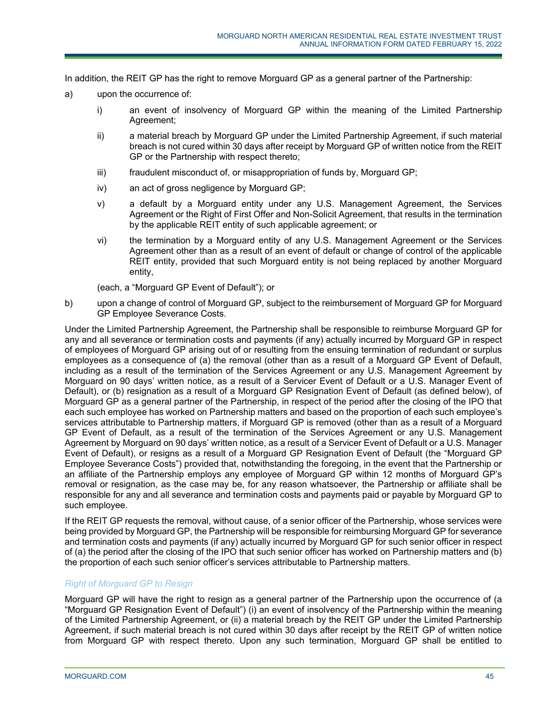In addition, the REIT GP has the right to remove Morguard GP as a general partner of the Partnership:

- a) upon the occurrence of:
	- i) an event of insolvency of Morguard GP within the meaning of the Limited Partnership Agreement;
	- ii) a material breach by Morguard GP under the Limited Partnership Agreement, if such material breach is not cured within 30 days after receipt by Morguard GP of written notice from the REIT GP or the Partnership with respect thereto;
	- iii) fraudulent misconduct of, or misappropriation of funds by, Morguard GP;
	- iv) an act of gross negligence by Morguard GP;
	- v) a default by a Morguard entity under any U.S. Management Agreement, the Services Agreement or the Right of First Offer and Non-Solicit Agreement, that results in the termination by the applicable REIT entity of such applicable agreement; or
	- vi) the termination by a Morguard entity of any U.S. Management Agreement or the Services Agreement other than as a result of an event of default or change of control of the applicable REIT entity, provided that such Morguard entity is not being replaced by another Morguard entity,

(each, a "Morguard GP Event of Default"); or

b) upon a change of control of Morguard GP, subject to the reimbursement of Morguard GP for Morguard GP Employee Severance Costs.

Under the Limited Partnership Agreement, the Partnership shall be responsible to reimburse Morguard GP for any and all severance or termination costs and payments (if any) actually incurred by Morguard GP in respect of employees of Morguard GP arising out of or resulting from the ensuing termination of redundant or surplus employees as a consequence of (a) the removal (other than as a result of a Morguard GP Event of Default, including as a result of the termination of the Services Agreement or any U.S. Management Agreement by Morguard on 90 days' written notice, as a result of a Servicer Event of Default or a U.S. Manager Event of Default), or (b) resignation as a result of a Morguard GP Resignation Event of Default (as defined below), of Morguard GP as a general partner of the Partnership, in respect of the period after the closing of the IPO that each such employee has worked on Partnership matters and based on the proportion of each such employee's services attributable to Partnership matters, if Morguard GP is removed (other than as a result of a Morguard GP Event of Default, as a result of the termination of the Services Agreement or any U.S. Management Agreement by Morguard on 90 days' written notice, as a result of a Servicer Event of Default or a U.S. Manager Event of Default), or resigns as a result of a Morguard GP Resignation Event of Default (the "Morguard GP Employee Severance Costs") provided that, notwithstanding the foregoing, in the event that the Partnership or an affiliate of the Partnership employs any employee of Morguard GP within 12 months of Morguard GP's removal or resignation, as the case may be, for any reason whatsoever, the Partnership or affiliate shall be responsible for any and all severance and termination costs and payments paid or payable by Morguard GP to such employee.

If the REIT GP requests the removal, without cause, of a senior officer of the Partnership, whose services were being provided by Morguard GP, the Partnership will be responsible for reimbursing Morguard GP for severance and termination costs and payments (if any) actually incurred by Morguard GP for such senior officer in respect of (a) the period after the closing of the IPO that such senior officer has worked on Partnership matters and (b) the proportion of each such senior officer's services attributable to Partnership matters.

# *Right of Morguard GP to Resign*

Morguard GP will have the right to resign as a general partner of the Partnership upon the occurrence of (a "Morguard GP Resignation Event of Default") (i) an event of insolvency of the Partnership within the meaning of the Limited Partnership Agreement, or (ii) a material breach by the REIT GP under the Limited Partnership Agreement, if such material breach is not cured within 30 days after receipt by the REIT GP of written notice from Morguard GP with respect thereto. Upon any such termination, Morguard GP shall be entitled to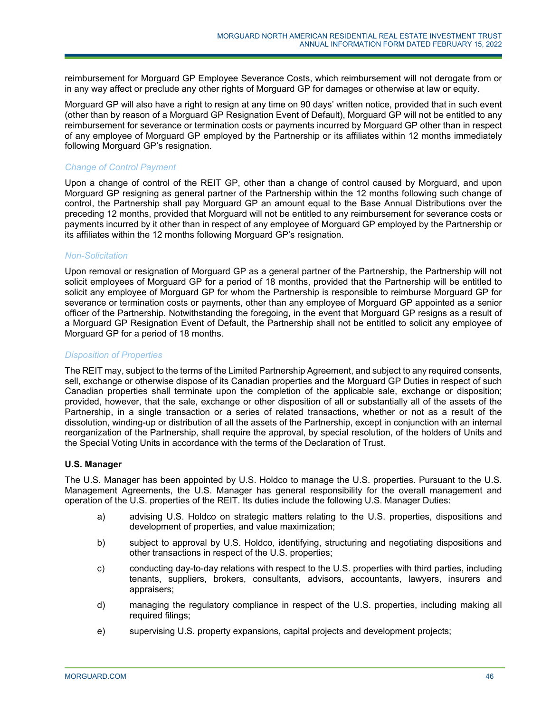reimbursement for Morguard GP Employee Severance Costs, which reimbursement will not derogate from or in any way affect or preclude any other rights of Morguard GP for damages or otherwise at law or equity.

Morguard GP will also have a right to resign at any time on 90 days' written notice, provided that in such event (other than by reason of a Morguard GP Resignation Event of Default), Morguard GP will not be entitled to any reimbursement for severance or termination costs or payments incurred by Morguard GP other than in respect of any employee of Morguard GP employed by the Partnership or its affiliates within 12 months immediately following Morguard GP's resignation.

## *Change of Control Payment*

Upon a change of control of the REIT GP, other than a change of control caused by Morguard, and upon Morguard GP resigning as general partner of the Partnership within the 12 months following such change of control, the Partnership shall pay Morguard GP an amount equal to the Base Annual Distributions over the preceding 12 months, provided that Morguard will not be entitled to any reimbursement for severance costs or payments incurred by it other than in respect of any employee of Morguard GP employed by the Partnership or its affiliates within the 12 months following Morguard GP's resignation.

### *Non-Solicitation*

Upon removal or resignation of Morguard GP as a general partner of the Partnership, the Partnership will not solicit employees of Morguard GP for a period of 18 months, provided that the Partnership will be entitled to solicit any employee of Morguard GP for whom the Partnership is responsible to reimburse Morguard GP for severance or termination costs or payments, other than any employee of Morguard GP appointed as a senior officer of the Partnership. Notwithstanding the foregoing, in the event that Morguard GP resigns as a result of a Morguard GP Resignation Event of Default, the Partnership shall not be entitled to solicit any employee of Morguard GP for a period of 18 months.

## *Disposition of Properties*

The REIT may, subject to the terms of the Limited Partnership Agreement, and subject to any required consents, sell, exchange or otherwise dispose of its Canadian properties and the Morguard GP Duties in respect of such Canadian properties shall terminate upon the completion of the applicable sale, exchange or disposition; provided, however, that the sale, exchange or other disposition of all or substantially all of the assets of the Partnership, in a single transaction or a series of related transactions, whether or not as a result of the dissolution, winding-up or distribution of all the assets of the Partnership, except in conjunction with an internal reorganization of the Partnership, shall require the approval, by special resolution, of the holders of Units and the Special Voting Units in accordance with the terms of the Declaration of Trust.

## **U.S. Manager**

The U.S. Manager has been appointed by U.S. Holdco to manage the U.S. properties. Pursuant to the U.S. Management Agreements, the U.S. Manager has general responsibility for the overall management and operation of the U.S. properties of the REIT. Its duties include the following U.S. Manager Duties:

- a) advising U.S. Holdco on strategic matters relating to the U.S. properties, dispositions and development of properties, and value maximization;
- b) subject to approval by U.S. Holdco, identifying, structuring and negotiating dispositions and other transactions in respect of the U.S. properties;
- c) conducting day-to-day relations with respect to the U.S. properties with third parties, including tenants, suppliers, brokers, consultants, advisors, accountants, lawyers, insurers and appraisers;
- d) managing the regulatory compliance in respect of the U.S. properties, including making all required filings;
- e) supervising U.S. property expansions, capital projects and development projects;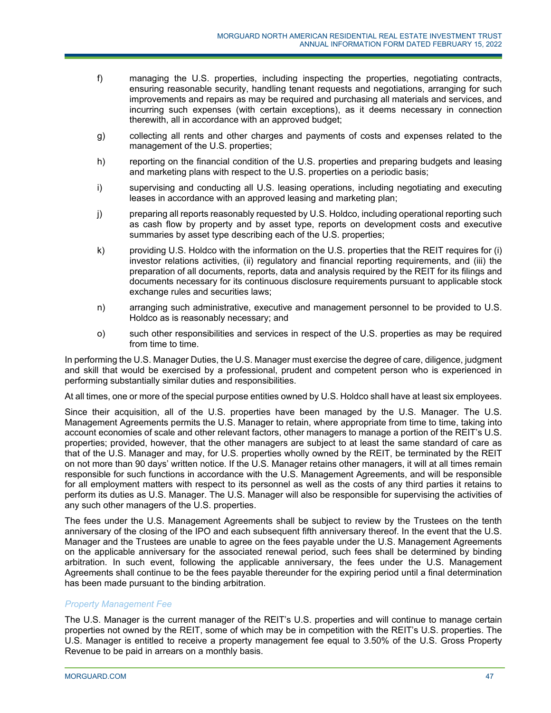- f) managing the U.S. properties, including inspecting the properties, negotiating contracts, ensuring reasonable security, handling tenant requests and negotiations, arranging for such improvements and repairs as may be required and purchasing all materials and services, and incurring such expenses (with certain exceptions), as it deems necessary in connection therewith, all in accordance with an approved budget;
- g) collecting all rents and other charges and payments of costs and expenses related to the management of the U.S. properties;
- h) reporting on the financial condition of the U.S. properties and preparing budgets and leasing and marketing plans with respect to the U.S. properties on a periodic basis;
- i) supervising and conducting all U.S. leasing operations, including negotiating and executing leases in accordance with an approved leasing and marketing plan;
- j) preparing all reports reasonably requested by U.S. Holdco, including operational reporting such as cash flow by property and by asset type, reports on development costs and executive summaries by asset type describing each of the U.S. properties;
- k) providing U.S. Holdco with the information on the U.S. properties that the REIT requires for (i) investor relations activities, (ii) regulatory and financial reporting requirements, and (iii) the preparation of all documents, reports, data and analysis required by the REIT for its filings and documents necessary for its continuous disclosure requirements pursuant to applicable stock exchange rules and securities laws;
- n) arranging such administrative, executive and management personnel to be provided to U.S. Holdco as is reasonably necessary; and
- o) such other responsibilities and services in respect of the U.S. properties as may be required from time to time.

In performing the U.S. Manager Duties, the U.S. Manager must exercise the degree of care, diligence, judgment and skill that would be exercised by a professional, prudent and competent person who is experienced in performing substantially similar duties and responsibilities.

At all times, one or more of the special purpose entities owned by U.S. Holdco shall have at least six employees.

Since their acquisition, all of the U.S. properties have been managed by the U.S. Manager. The U.S. Management Agreements permits the U.S. Manager to retain, where appropriate from time to time, taking into account economies of scale and other relevant factors, other managers to manage a portion of the REIT's U.S. properties; provided, however, that the other managers are subject to at least the same standard of care as that of the U.S. Manager and may, for U.S. properties wholly owned by the REIT, be terminated by the REIT on not more than 90 days' written notice. If the U.S. Manager retains other managers, it will at all times remain responsible for such functions in accordance with the U.S. Management Agreements, and will be responsible for all employment matters with respect to its personnel as well as the costs of any third parties it retains to perform its duties as U.S. Manager. The U.S. Manager will also be responsible for supervising the activities of any such other managers of the U.S. properties.

The fees under the U.S. Management Agreements shall be subject to review by the Trustees on the tenth anniversary of the closing of the IPO and each subsequent fifth anniversary thereof. In the event that the U.S. Manager and the Trustees are unable to agree on the fees payable under the U.S. Management Agreements on the applicable anniversary for the associated renewal period, such fees shall be determined by binding arbitration. In such event, following the applicable anniversary, the fees under the U.S. Management Agreements shall continue to be the fees payable thereunder for the expiring period until a final determination has been made pursuant to the binding arbitration.

# *Property Management Fee*

The U.S. Manager is the current manager of the REIT's U.S. properties and will continue to manage certain properties not owned by the REIT, some of which may be in competition with the REIT's U.S. properties. The U.S. Manager is entitled to receive a property management fee equal to 3.50% of the U.S. Gross Property Revenue to be paid in arrears on a monthly basis.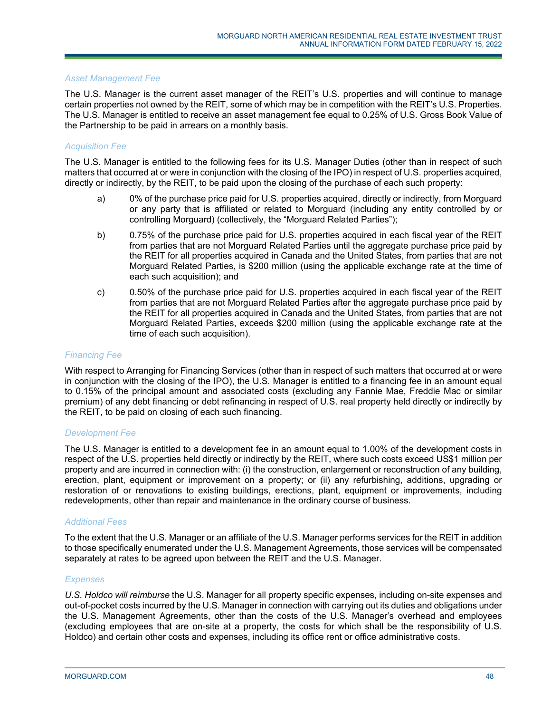### *Asset Management Fee*

The U.S. Manager is the current asset manager of the REIT's U.S. properties and will continue to manage certain properties not owned by the REIT, some of which may be in competition with the REIT's U.S. Properties. The U.S. Manager is entitled to receive an asset management fee equal to 0.25% of U.S. Gross Book Value of the Partnership to be paid in arrears on a monthly basis.

## *Acquisition Fee*

The U.S. Manager is entitled to the following fees for its U.S. Manager Duties (other than in respect of such matters that occurred at or were in conjunction with the closing of the IPO) in respect of U.S. properties acquired, directly or indirectly, by the REIT, to be paid upon the closing of the purchase of each such property:

- a) 0% of the purchase price paid for U.S. properties acquired, directly or indirectly, from Morguard or any party that is affiliated or related to Morguard (including any entity controlled by or controlling Morguard) (collectively, the "Morguard Related Parties");
- b) 0.75% of the purchase price paid for U.S. properties acquired in each fiscal year of the REIT from parties that are not Morguard Related Parties until the aggregate purchase price paid by the REIT for all properties acquired in Canada and the United States, from parties that are not Morguard Related Parties, is \$200 million (using the applicable exchange rate at the time of each such acquisition); and
- c) 0.50% of the purchase price paid for U.S. properties acquired in each fiscal year of the REIT from parties that are not Morguard Related Parties after the aggregate purchase price paid by the REIT for all properties acquired in Canada and the United States, from parties that are not Morguard Related Parties, exceeds \$200 million (using the applicable exchange rate at the time of each such acquisition).

### *Financing Fee*

With respect to Arranging for Financing Services (other than in respect of such matters that occurred at or were in conjunction with the closing of the IPO), the U.S. Manager is entitled to a financing fee in an amount equal to 0.15% of the principal amount and associated costs (excluding any Fannie Mae, Freddie Mac or similar premium) of any debt financing or debt refinancing in respect of U.S. real property held directly or indirectly by the REIT, to be paid on closing of each such financing.

#### *Development Fee*

The U.S. Manager is entitled to a development fee in an amount equal to 1.00% of the development costs in respect of the U.S. properties held directly or indirectly by the REIT, where such costs exceed US\$1 million per property and are incurred in connection with: (i) the construction, enlargement or reconstruction of any building, erection, plant, equipment or improvement on a property; or (ii) any refurbishing, additions, upgrading or restoration of or renovations to existing buildings, erections, plant, equipment or improvements, including redevelopments, other than repair and maintenance in the ordinary course of business.

## *Additional Fees*

To the extent that the U.S. Manager or an affiliate of the U.S. Manager performs services for the REIT in addition to those specifically enumerated under the U.S. Management Agreements, those services will be compensated separately at rates to be agreed upon between the REIT and the U.S. Manager.

#### *Expenses*

*U.S. Holdco will reimburse* the U.S. Manager for all property specific expenses, including on-site expenses and out-of-pocket costs incurred by the U.S. Manager in connection with carrying out its duties and obligations under the U.S. Management Agreements, other than the costs of the U.S. Manager's overhead and employees (excluding employees that are on-site at a property, the costs for which shall be the responsibility of U.S. Holdco) and certain other costs and expenses, including its office rent or office administrative costs.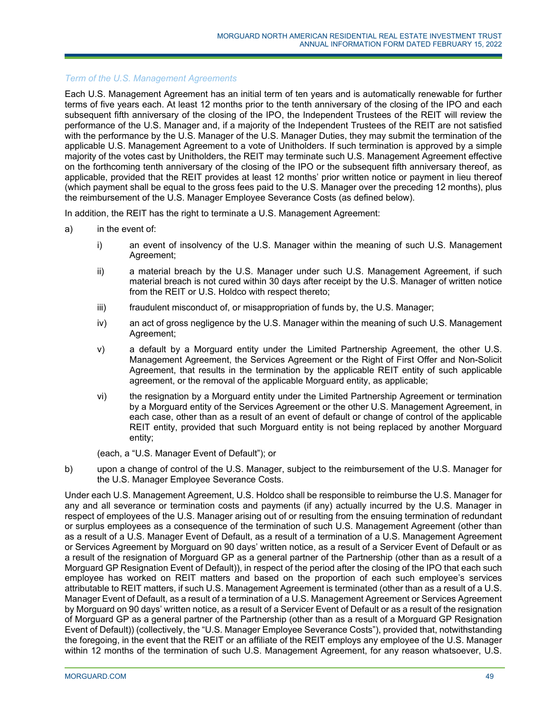## *Term of the U.S. Management Agreements*

Each U.S. Management Agreement has an initial term of ten years and is automatically renewable for further terms of five years each. At least 12 months prior to the tenth anniversary of the closing of the IPO and each subsequent fifth anniversary of the closing of the IPO, the Independent Trustees of the REIT will review the performance of the U.S. Manager and, if a majority of the Independent Trustees of the REIT are not satisfied with the performance by the U.S. Manager of the U.S. Manager Duties, they may submit the termination of the applicable U.S. Management Agreement to a vote of Unitholders. If such termination is approved by a simple majority of the votes cast by Unitholders, the REIT may terminate such U.S. Management Agreement effective on the forthcoming tenth anniversary of the closing of the IPO or the subsequent fifth anniversary thereof, as applicable, provided that the REIT provides at least 12 months' prior written notice or payment in lieu thereof (which payment shall be equal to the gross fees paid to the U.S. Manager over the preceding 12 months), plus the reimbursement of the U.S. Manager Employee Severance Costs (as defined below).

In addition, the REIT has the right to terminate a U.S. Management Agreement:

- a) in the event of:
	- i) an event of insolvency of the U.S. Manager within the meaning of such U.S. Management Agreement;
	- ii) a material breach by the U.S. Manager under such U.S. Management Agreement, if such material breach is not cured within 30 days after receipt by the U.S. Manager of written notice from the REIT or U.S. Holdco with respect thereto;
	- iii) fraudulent misconduct of, or misappropriation of funds by, the U.S. Manager;
	- iv) an act of gross negligence by the U.S. Manager within the meaning of such U.S. Management Agreement;
	- v) a default by a Morguard entity under the Limited Partnership Agreement, the other U.S. Management Agreement, the Services Agreement or the Right of First Offer and Non-Solicit Agreement, that results in the termination by the applicable REIT entity of such applicable agreement, or the removal of the applicable Morguard entity, as applicable;
	- vi) the resignation by a Morguard entity under the Limited Partnership Agreement or termination by a Morguard entity of the Services Agreement or the other U.S. Management Agreement, in each case, other than as a result of an event of default or change of control of the applicable REIT entity, provided that such Morguard entity is not being replaced by another Morguard entity;

(each, a "U.S. Manager Event of Default"); or

b) upon a change of control of the U.S. Manager, subject to the reimbursement of the U.S. Manager for the U.S. Manager Employee Severance Costs.

Under each U.S. Management Agreement, U.S. Holdco shall be responsible to reimburse the U.S. Manager for any and all severance or termination costs and payments (if any) actually incurred by the U.S. Manager in respect of employees of the U.S. Manager arising out of or resulting from the ensuing termination of redundant or surplus employees as a consequence of the termination of such U.S. Management Agreement (other than as a result of a U.S. Manager Event of Default, as a result of a termination of a U.S. Management Agreement or Services Agreement by Morguard on 90 days' written notice, as a result of a Servicer Event of Default or as a result of the resignation of Morguard GP as a general partner of the Partnership (other than as a result of a Morguard GP Resignation Event of Default)), in respect of the period after the closing of the IPO that each such employee has worked on REIT matters and based on the proportion of each such employee's services attributable to REIT matters, if such U.S. Management Agreement is terminated (other than as a result of a U.S. Manager Event of Default, as a result of a termination of a U.S. Management Agreement or Services Agreement by Morguard on 90 days' written notice, as a result of a Servicer Event of Default or as a result of the resignation of Morguard GP as a general partner of the Partnership (other than as a result of a Morguard GP Resignation Event of Default)) (collectively, the "U.S. Manager Employee Severance Costs"), provided that, notwithstanding the foregoing, in the event that the REIT or an affiliate of the REIT employs any employee of the U.S. Manager within 12 months of the termination of such U.S. Management Agreement, for any reason whatsoever, U.S.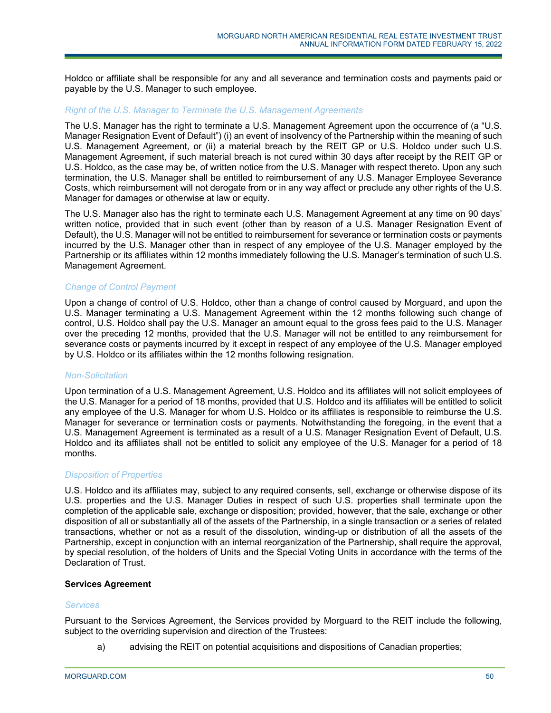Holdco or affiliate shall be responsible for any and all severance and termination costs and payments paid or payable by the U.S. Manager to such employee.

#### *Right of the U.S. Manager to Terminate the U.S. Management Agreements*

The U.S. Manager has the right to terminate a U.S. Management Agreement upon the occurrence of (a "U.S. Manager Resignation Event of Default") (i) an event of insolvency of the Partnership within the meaning of such U.S. Management Agreement, or (ii) a material breach by the REIT GP or U.S. Holdco under such U.S. Management Agreement, if such material breach is not cured within 30 days after receipt by the REIT GP or U.S. Holdco, as the case may be, of written notice from the U.S. Manager with respect thereto. Upon any such termination, the U.S. Manager shall be entitled to reimbursement of any U.S. Manager Employee Severance Costs, which reimbursement will not derogate from or in any way affect or preclude any other rights of the U.S. Manager for damages or otherwise at law or equity.

The U.S. Manager also has the right to terminate each U.S. Management Agreement at any time on 90 days' written notice, provided that in such event (other than by reason of a U.S. Manager Resignation Event of Default), the U.S. Manager will not be entitled to reimbursement for severance or termination costs or payments incurred by the U.S. Manager other than in respect of any employee of the U.S. Manager employed by the Partnership or its affiliates within 12 months immediately following the U.S. Manager's termination of such U.S. Management Agreement.

## *Change of Control Payment*

Upon a change of control of U.S. Holdco, other than a change of control caused by Morguard, and upon the U.S. Manager terminating a U.S. Management Agreement within the 12 months following such change of control, U.S. Holdco shall pay the U.S. Manager an amount equal to the gross fees paid to the U.S. Manager over the preceding 12 months, provided that the U.S. Manager will not be entitled to any reimbursement for severance costs or payments incurred by it except in respect of any employee of the U.S. Manager employed by U.S. Holdco or its affiliates within the 12 months following resignation.

#### *Non-Solicitation*

Upon termination of a U.S. Management Agreement, U.S. Holdco and its affiliates will not solicit employees of the U.S. Manager for a period of 18 months, provided that U.S. Holdco and its affiliates will be entitled to solicit any employee of the U.S. Manager for whom U.S. Holdco or its affiliates is responsible to reimburse the U.S. Manager for severance or termination costs or payments. Notwithstanding the foregoing, in the event that a U.S. Management Agreement is terminated as a result of a U.S. Manager Resignation Event of Default, U.S. Holdco and its affiliates shall not be entitled to solicit any employee of the U.S. Manager for a period of 18 months.

#### *Disposition of Properties*

U.S. Holdco and its affiliates may, subject to any required consents, sell, exchange or otherwise dispose of its U.S. properties and the U.S. Manager Duties in respect of such U.S. properties shall terminate upon the completion of the applicable sale, exchange or disposition; provided, however, that the sale, exchange or other disposition of all or substantially all of the assets of the Partnership, in a single transaction or a series of related transactions, whether or not as a result of the dissolution, winding-up or distribution of all the assets of the Partnership, except in conjunction with an internal reorganization of the Partnership, shall require the approval, by special resolution, of the holders of Units and the Special Voting Units in accordance with the terms of the Declaration of Trust.

## **Services Agreement**

#### *Services*

Pursuant to the Services Agreement, the Services provided by Morguard to the REIT include the following, subject to the overriding supervision and direction of the Trustees:

a) advising the REIT on potential acquisitions and dispositions of Canadian properties;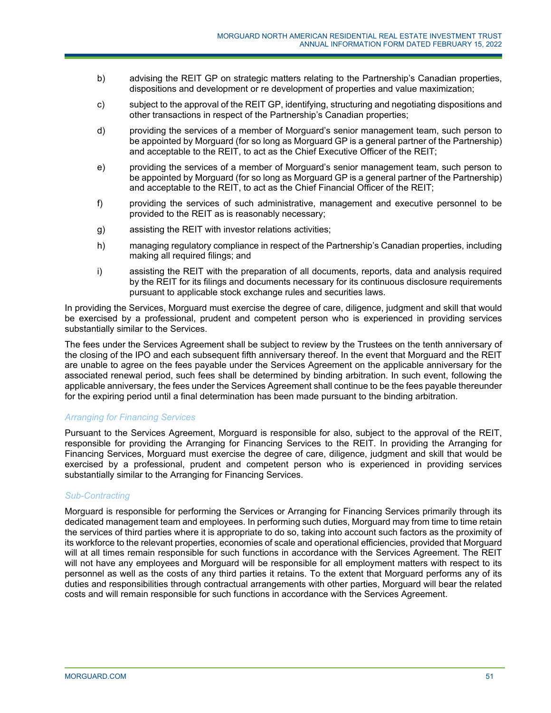- b) advising the REIT GP on strategic matters relating to the Partnership's Canadian properties, dispositions and development or re development of properties and value maximization;
- c) subject to the approval of the REIT GP, identifying, structuring and negotiating dispositions and other transactions in respect of the Partnership's Canadian properties;
- d) providing the services of a member of Morguard's senior management team, such person to be appointed by Morguard (for so long as Morguard GP is a general partner of the Partnership) and acceptable to the REIT, to act as the Chief Executive Officer of the REIT;
- e) providing the services of a member of Morguard's senior management team, such person to be appointed by Morguard (for so long as Morguard GP is a general partner of the Partnership) and acceptable to the REIT, to act as the Chief Financial Officer of the REIT;
- f) providing the services of such administrative, management and executive personnel to be provided to the REIT as is reasonably necessary;
- g) assisting the REIT with investor relations activities;
- h) managing regulatory compliance in respect of the Partnership's Canadian properties, including making all required filings; and
- i) assisting the REIT with the preparation of all documents, reports, data and analysis required by the REIT for its filings and documents necessary for its continuous disclosure requirements pursuant to applicable stock exchange rules and securities laws.

In providing the Services, Morguard must exercise the degree of care, diligence, judgment and skill that would be exercised by a professional, prudent and competent person who is experienced in providing services substantially similar to the Services.

The fees under the Services Agreement shall be subject to review by the Trustees on the tenth anniversary of the closing of the IPO and each subsequent fifth anniversary thereof. In the event that Morguard and the REIT are unable to agree on the fees payable under the Services Agreement on the applicable anniversary for the associated renewal period, such fees shall be determined by binding arbitration. In such event, following the applicable anniversary, the fees under the Services Agreement shall continue to be the fees payable thereunder for the expiring period until a final determination has been made pursuant to the binding arbitration.

## *Arranging for Financing Services*

Pursuant to the Services Agreement, Morguard is responsible for also, subject to the approval of the REIT, responsible for providing the Arranging for Financing Services to the REIT. In providing the Arranging for Financing Services, Morguard must exercise the degree of care, diligence, judgment and skill that would be exercised by a professional, prudent and competent person who is experienced in providing services substantially similar to the Arranging for Financing Services.

## *Sub-Contracting*

Morguard is responsible for performing the Services or Arranging for Financing Services primarily through its dedicated management team and employees. In performing such duties, Morguard may from time to time retain the services of third parties where it is appropriate to do so, taking into account such factors as the proximity of its workforce to the relevant properties, economies of scale and operational efficiencies, provided that Morguard will at all times remain responsible for such functions in accordance with the Services Agreement. The REIT will not have any employees and Morguard will be responsible for all employment matters with respect to its personnel as well as the costs of any third parties it retains. To the extent that Morguard performs any of its duties and responsibilities through contractual arrangements with other parties, Morguard will bear the related costs and will remain responsible for such functions in accordance with the Services Agreement.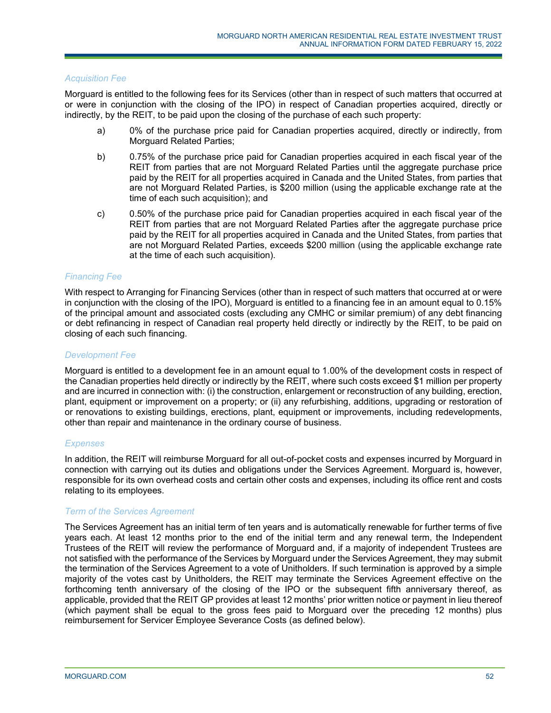### *Acquisition Fee*

Morguard is entitled to the following fees for its Services (other than in respect of such matters that occurred at or were in conjunction with the closing of the IPO) in respect of Canadian properties acquired, directly or indirectly, by the REIT, to be paid upon the closing of the purchase of each such property:

- a) 0% of the purchase price paid for Canadian properties acquired, directly or indirectly, from Morguard Related Parties;
- b) 0.75% of the purchase price paid for Canadian properties acquired in each fiscal year of the REIT from parties that are not Morguard Related Parties until the aggregate purchase price paid by the REIT for all properties acquired in Canada and the United States, from parties that are not Morguard Related Parties, is \$200 million (using the applicable exchange rate at the time of each such acquisition); and
- c) 0.50% of the purchase price paid for Canadian properties acquired in each fiscal year of the REIT from parties that are not Morguard Related Parties after the aggregate purchase price paid by the REIT for all properties acquired in Canada and the United States, from parties that are not Morguard Related Parties, exceeds \$200 million (using the applicable exchange rate at the time of each such acquisition).

### *Financing Fee*

With respect to Arranging for Financing Services (other than in respect of such matters that occurred at or were in conjunction with the closing of the IPO), Morguard is entitled to a financing fee in an amount equal to 0.15% of the principal amount and associated costs (excluding any CMHC or similar premium) of any debt financing or debt refinancing in respect of Canadian real property held directly or indirectly by the REIT, to be paid on closing of each such financing.

### *Development Fee*

Morguard is entitled to a development fee in an amount equal to 1.00% of the development costs in respect of the Canadian properties held directly or indirectly by the REIT, where such costs exceed \$1 million per property and are incurred in connection with: (i) the construction, enlargement or reconstruction of any building, erection, plant, equipment or improvement on a property; or (ii) any refurbishing, additions, upgrading or restoration of or renovations to existing buildings, erections, plant, equipment or improvements, including redevelopments, other than repair and maintenance in the ordinary course of business.

## *Expenses*

In addition, the REIT will reimburse Morguard for all out-of-pocket costs and expenses incurred by Morguard in connection with carrying out its duties and obligations under the Services Agreement. Morguard is, however, responsible for its own overhead costs and certain other costs and expenses, including its office rent and costs relating to its employees.

#### *Term of the Services Agreement*

The Services Agreement has an initial term of ten years and is automatically renewable for further terms of five years each. At least 12 months prior to the end of the initial term and any renewal term, the Independent Trustees of the REIT will review the performance of Morguard and, if a majority of independent Trustees are not satisfied with the performance of the Services by Morguard under the Services Agreement, they may submit the termination of the Services Agreement to a vote of Unitholders. If such termination is approved by a simple majority of the votes cast by Unitholders, the REIT may terminate the Services Agreement effective on the forthcoming tenth anniversary of the closing of the IPO or the subsequent fifth anniversary thereof, as applicable, provided that the REIT GP provides at least 12 months' prior written notice or payment in lieu thereof (which payment shall be equal to the gross fees paid to Morguard over the preceding 12 months) plus reimbursement for Servicer Employee Severance Costs (as defined below).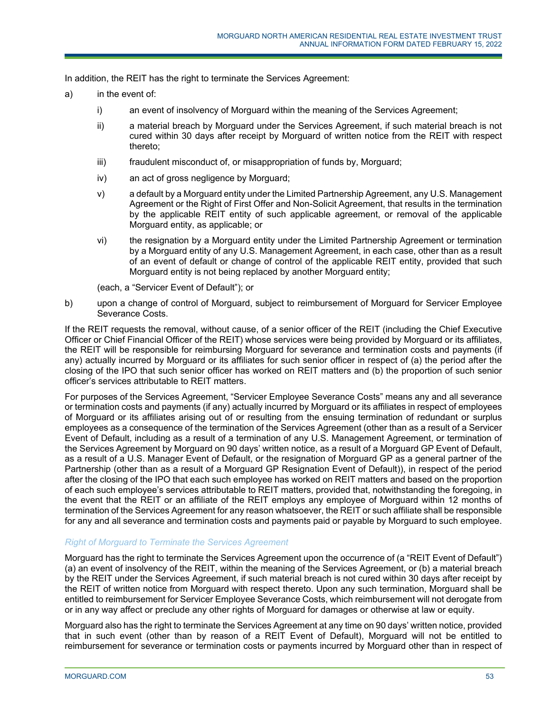In addition, the REIT has the right to terminate the Services Agreement:

- a) in the event of:
	- i) an event of insolvency of Morguard within the meaning of the Services Agreement;
	- ii) a material breach by Morguard under the Services Agreement, if such material breach is not cured within 30 days after receipt by Morguard of written notice from the REIT with respect thereto;
	- iii) fraudulent misconduct of, or misappropriation of funds by, Morguard;
	- iv) an act of gross negligence by Morguard;
	- v) a default by a Morguard entity under the Limited Partnership Agreement, any U.S. Management Agreement or the Right of First Offer and Non-Solicit Agreement, that results in the termination by the applicable REIT entity of such applicable agreement, or removal of the applicable Morguard entity, as applicable; or
	- vi) the resignation by a Morguard entity under the Limited Partnership Agreement or termination by a Morguard entity of any U.S. Management Agreement, in each case, other than as a result of an event of default or change of control of the applicable REIT entity, provided that such Morguard entity is not being replaced by another Morguard entity;

(each, a "Servicer Event of Default"); or

b) upon a change of control of Morguard, subject to reimbursement of Morguard for Servicer Employee Severance Costs.

If the REIT requests the removal, without cause, of a senior officer of the REIT (including the Chief Executive Officer or Chief Financial Officer of the REIT) whose services were being provided by Morguard or its affiliates, the REIT will be responsible for reimbursing Morguard for severance and termination costs and payments (if any) actually incurred by Morguard or its affiliates for such senior officer in respect of (a) the period after the closing of the IPO that such senior officer has worked on REIT matters and (b) the proportion of such senior officer's services attributable to REIT matters.

For purposes of the Services Agreement, "Servicer Employee Severance Costs" means any and all severance or termination costs and payments (if any) actually incurred by Morguard or its affiliates in respect of employees of Morguard or its affiliates arising out of or resulting from the ensuing termination of redundant or surplus employees as a consequence of the termination of the Services Agreement (other than as a result of a Servicer Event of Default, including as a result of a termination of any U.S. Management Agreement, or termination of the Services Agreement by Morguard on 90 days' written notice, as a result of a Morguard GP Event of Default, as a result of a U.S. Manager Event of Default, or the resignation of Morguard GP as a general partner of the Partnership (other than as a result of a Morguard GP Resignation Event of Default)), in respect of the period after the closing of the IPO that each such employee has worked on REIT matters and based on the proportion of each such employee's services attributable to REIT matters, provided that, notwithstanding the foregoing, in the event that the REIT or an affiliate of the REIT employs any employee of Morguard within 12 months of termination of the Services Agreement for any reason whatsoever, the REIT or such affiliate shall be responsible for any and all severance and termination costs and payments paid or payable by Morguard to such employee.

## *Right of Morguard to Terminate the Services Agreement*

Morguard has the right to terminate the Services Agreement upon the occurrence of (a "REIT Event of Default") (a) an event of insolvency of the REIT, within the meaning of the Services Agreement, or (b) a material breach by the REIT under the Services Agreement, if such material breach is not cured within 30 days after receipt by the REIT of written notice from Morguard with respect thereto. Upon any such termination, Morguard shall be entitled to reimbursement for Servicer Employee Severance Costs, which reimbursement will not derogate from or in any way affect or preclude any other rights of Morguard for damages or otherwise at law or equity.

Morguard also has the right to terminate the Services Agreement at any time on 90 days' written notice, provided that in such event (other than by reason of a REIT Event of Default), Morguard will not be entitled to reimbursement for severance or termination costs or payments incurred by Morguard other than in respect of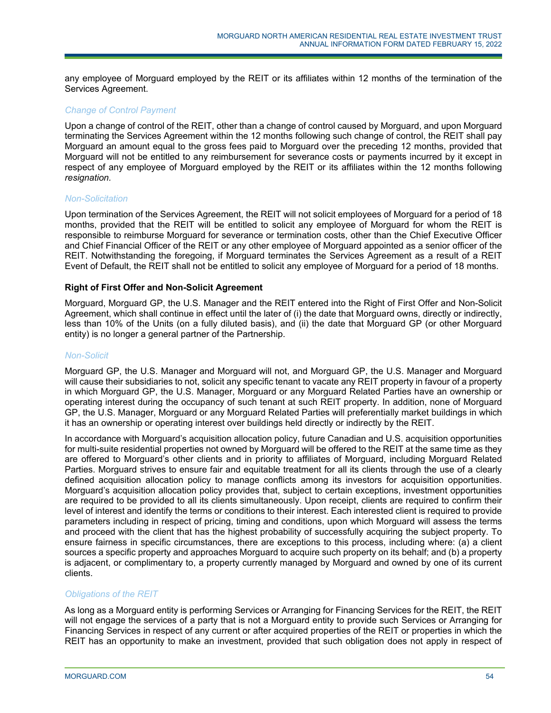any employee of Morguard employed by the REIT or its affiliates within 12 months of the termination of the Services Agreement.

## *Change of Co*n*trol Payment*

Upon a change of control of the REIT, other than a change of control caused by Morguard, and upon Morguard terminating the Services Agreement within the 12 months following such change of control, the REIT shall pay Morguard an amount equal to the gross fees paid to Morguard over the preceding 12 months, provided that Morguard will not be entitled to any reimbursement for severance costs or payments incurred by it except in respect of any employee of Morguard employed by the REIT or its affiliates within the 12 months following *resignation.* 

### *Non-Solicitation*

Upon termination of the Services Agreement, the REIT will not solicit employees of Morguard for a period of 18 months, provided that the REIT will be entitled to solicit any employee of Morguard for whom the REIT is responsible to reimburse Morguard for severance or termination costs, other than the Chief Executive Officer and Chief Financial Officer of the REIT or any other employee of Morguard appointed as a senior officer of the REIT. Notwithstanding the foregoing, if Morguard terminates the Services Agreement as a result of a REIT Event of Default, the REIT shall not be entitled to solicit any employee of Morguard for a period of 18 months.

### **Right of First Offer and Non-Solicit Agreement**

Morguard, Morguard GP, the U.S. Manager and the REIT entered into the Right of First Offer and Non-Solicit Agreement, which shall continue in effect until the later of (i) the date that Morguard owns, directly or indirectly, less than 10% of the Units (on a fully diluted basis), and (ii) the date that Morguard GP (or other Morguard entity) is no longer a general partner of the Partnership.

## *Non-Solicit*

Morguard GP, the U.S. Manager and Morguard will not, and Morguard GP, the U.S. Manager and Morguard will cause their subsidiaries to not, solicit any specific tenant to vacate any REIT property in favour of a property in which Morguard GP, the U.S. Manager, Morguard or any Morguard Related Parties have an ownership or operating interest during the occupancy of such tenant at such REIT property. In addition, none of Morguard GP, the U.S. Manager, Morguard or any Morguard Related Parties will preferentially market buildings in which it has an ownership or operating interest over buildings held directly or indirectly by the REIT.

In accordance with Morguard's acquisition allocation policy, future Canadian and U.S. acquisition opportunities for multi-suite residential properties not owned by Morguard will be offered to the REIT at the same time as they are offered to Morguard's other clients and in priority to affiliates of Morguard, including Morguard Related Parties. Morguard strives to ensure fair and equitable treatment for all its clients through the use of a clearly defined acquisition allocation policy to manage conflicts among its investors for acquisition opportunities. Morguard's acquisition allocation policy provides that, subject to certain exceptions, investment opportunities are required to be provided to all its clients simultaneously. Upon receipt, clients are required to confirm their level of interest and identify the terms or conditions to their interest. Each interested client is required to provide parameters including in respect of pricing, timing and conditions, upon which Morguard will assess the terms and proceed with the client that has the highest probability of successfully acquiring the subject property. To ensure fairness in specific circumstances, there are exceptions to this process, including where: (a) a client sources a specific property and approaches Morguard to acquire such property on its behalf; and (b) a property is adjacent, or complimentary to, a property currently managed by Morguard and owned by one of its current clients.

#### *Obligations of the REIT*

As long as a Morguard entity is performing Services or Arranging for Financing Services for the REIT, the REIT will not engage the services of a party that is not a Morguard entity to provide such Services or Arranging for Financing Services in respect of any current or after acquired properties of the REIT or properties in which the REIT has an opportunity to make an investment, provided that such obligation does not apply in respect of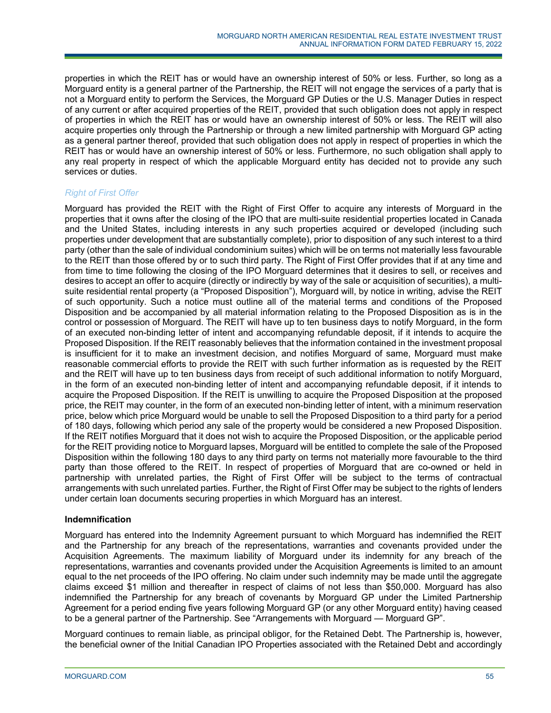properties in which the REIT has or would have an ownership interest of 50% or less. Further, so long as a Morguard entity is a general partner of the Partnership, the REIT will not engage the services of a party that is not a Morguard entity to perform the Services, the Morguard GP Duties or the U.S. Manager Duties in respect of any current or after acquired properties of the REIT, provided that such obligation does not apply in respect of properties in which the REIT has or would have an ownership interest of 50% or less. The REIT will also acquire properties only through the Partnership or through a new limited partnership with Morguard GP acting as a general partner thereof, provided that such obligation does not apply in respect of properties in which the REIT has or would have an ownership interest of 50% or less. Furthermore, no such obligation shall apply to any real property in respect of which the applicable Morguard entity has decided not to provide any such services or duties.

# *Right of First Offer*

Morguard has provided the REIT with the Right of First Offer to acquire any interests of Morguard in the properties that it owns after the closing of the IPO that are multi-suite residential properties located in Canada and the United States, including interests in any such properties acquired or developed (including such properties under development that are substantially complete), prior to disposition of any such interest to a third party (other than the sale of individual condominium suites) which will be on terms not materially less favourable to the REIT than those offered by or to such third party. The Right of First Offer provides that if at any time and from time to time following the closing of the IPO Morguard determines that it desires to sell, or receives and desires to accept an offer to acquire (directly or indirectly by way of the sale or acquisition of securities), a multisuite residential rental property (a "Proposed Disposition"), Morguard will, by notice in writing, advise the REIT of such opportunity. Such a notice must outline all of the material terms and conditions of the Proposed Disposition and be accompanied by all material information relating to the Proposed Disposition as is in the control or possession of Morguard. The REIT will have up to ten business days to notify Morguard, in the form of an executed non-binding letter of intent and accompanying refundable deposit, if it intends to acquire the Proposed Disposition. If the REIT reasonably believes that the information contained in the investment proposal is insufficient for it to make an investment decision, and notifies Morguard of same, Morguard must make reasonable commercial efforts to provide the REIT with such further information as is requested by the REIT and the REIT will have up to ten business days from receipt of such additional information to notify Morguard, in the form of an executed non-binding letter of intent and accompanying refundable deposit, if it intends to acquire the Proposed Disposition. If the REIT is unwilling to acquire the Proposed Disposition at the proposed price, the REIT may counter, in the form of an executed non-binding letter of intent, with a minimum reservation price, below which price Morguard would be unable to sell the Proposed Disposition to a third party for a period of 180 days, following which period any sale of the property would be considered a new Proposed Disposition. If the REIT notifies Morguard that it does not wish to acquire the Proposed Disposition, or the applicable period for the REIT providing notice to Morguard lapses, Morguard will be entitled to complete the sale of the Proposed Disposition within the following 180 days to any third party on terms not materially more favourable to the third party than those offered to the REIT. In respect of properties of Morguard that are co-owned or held in partnership with unrelated parties, the Right of First Offer will be subject to the terms of contractual arrangements with such unrelated parties. Further, the Right of First Offer may be subject to the rights of lenders under certain loan documents securing properties in which Morguard has an interest.

# **Indemnification**

Morguard has entered into the Indemnity Agreement pursuant to which Morguard has indemnified the REIT and the Partnership for any breach of the representations, warranties and covenants provided under the Acquisition Agreements. The maximum liability of Morguard under its indemnity for any breach of the representations, warranties and covenants provided under the Acquisition Agreements is limited to an amount equal to the net proceeds of the IPO offering. No claim under such indemnity may be made until the aggregate claims exceed \$1 million and thereafter in respect of claims of not less than \$50,000. Morguard has also indemnified the Partnership for any breach of covenants by Morguard GP under the Limited Partnership Agreement for a period ending five years following Morguard GP (or any other Morguard entity) having ceased to be a general partner of the Partnership. See "Arrangements with Morguard — Morguard GP".

Morguard continues to remain liable, as principal obligor, for the Retained Debt. The Partnership is, however, the beneficial owner of the Initial Canadian IPO Properties associated with the Retained Debt and accordingly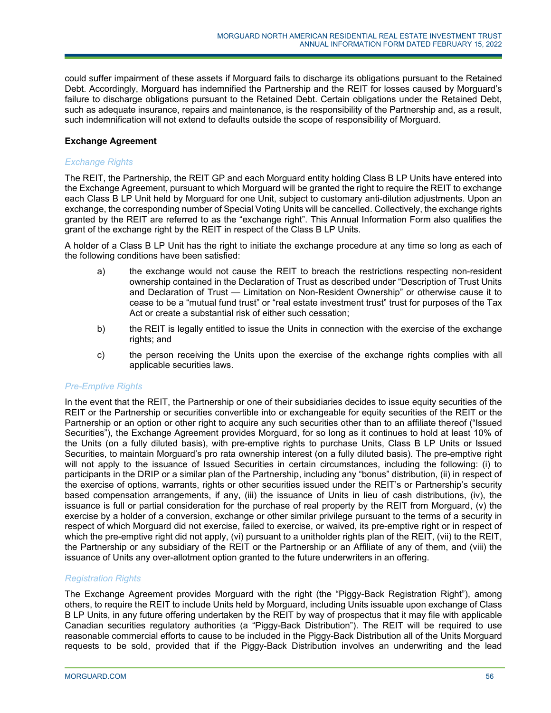could suffer impairment of these assets if Morguard fails to discharge its obligations pursuant to the Retained Debt. Accordingly, Morguard has indemnified the Partnership and the REIT for losses caused by Morguard's failure to discharge obligations pursuant to the Retained Debt. Certain obligations under the Retained Debt, such as adequate insurance, repairs and maintenance, is the responsibility of the Partnership and, as a result, such indemnification will not extend to defaults outside the scope of responsibility of Morguard.

# **Exchange Agreement**

## *Exchange Rights*

The REIT, the Partnership, the REIT GP and each Morguard entity holding Class B LP Units have entered into the Exchange Agreement, pursuant to which Morguard will be granted the right to require the REIT to exchange each Class B LP Unit held by Morguard for one Unit, subject to customary anti-dilution adjustments. Upon an exchange, the corresponding number of Special Voting Units will be cancelled. Collectively, the exchange rights granted by the REIT are referred to as the "exchange right". This Annual Information Form also qualifies the grant of the exchange right by the REIT in respect of the Class B LP Units.

A holder of a Class B LP Unit has the right to initiate the exchange procedure at any time so long as each of the following conditions have been satisfied:

- a) the exchange would not cause the REIT to breach the restrictions respecting non-resident ownership contained in the Declaration of Trust as described under "Description of Trust Units and Declaration of Trust — Limitation on Non-Resident Ownership" or otherwise cause it to cease to be a "mutual fund trust" or "real estate investment trust" trust for purposes of the Tax Act or create a substantial risk of either such cessation;
- b) the REIT is legally entitled to issue the Units in connection with the exercise of the exchange rights; and
- c) the person receiving the Units upon the exercise of the exchange rights complies with all applicable securities laws.

## *Pre-Emptive Rights*

In the event that the REIT, the Partnership or one of their subsidiaries decides to issue equity securities of the REIT or the Partnership or securities convertible into or exchangeable for equity securities of the REIT or the Partnership or an option or other right to acquire any such securities other than to an affiliate thereof ("Issued Securities"), the Exchange Agreement provides Morguard, for so long as it continues to hold at least 10% of the Units (on a fully diluted basis), with pre-emptive rights to purchase Units, Class B LP Units or Issued Securities, to maintain Morguard's pro rata ownership interest (on a fully diluted basis). The pre-emptive right will not apply to the issuance of Issued Securities in certain circumstances, including the following: (i) to participants in the DRIP or a similar plan of the Partnership, including any "bonus" distribution, (ii) in respect of the exercise of options, warrants, rights or other securities issued under the REIT's or Partnership's security based compensation arrangements, if any, (iii) the issuance of Units in lieu of cash distributions, (iv), the issuance is full or partial consideration for the purchase of real property by the REIT from Morguard, (v) the exercise by a holder of a conversion, exchange or other similar privilege pursuant to the terms of a security in respect of which Morguard did not exercise, failed to exercise, or waived, its pre-emptive right or in respect of which the pre-emptive right did not apply, (vi) pursuant to a unitholder rights plan of the REIT, (vii) to the REIT, the Partnership or any subsidiary of the REIT or the Partnership or an Affiliate of any of them, and (viii) the issuance of Units any over-allotment option granted to the future underwriters in an offering.

## *Registration Rights*

The Exchange Agreement provides Morguard with the right (the "Piggy-Back Registration Right"), among others, to require the REIT to include Units held by Morguard, including Units issuable upon exchange of Class B LP Units, in any future offering undertaken by the REIT by way of prospectus that it may file with applicable Canadian securities regulatory authorities (a "Piggy-Back Distribution"). The REIT will be required to use reasonable commercial efforts to cause to be included in the Piggy-Back Distribution all of the Units Morguard requests to be sold, provided that if the Piggy-Back Distribution involves an underwriting and the lead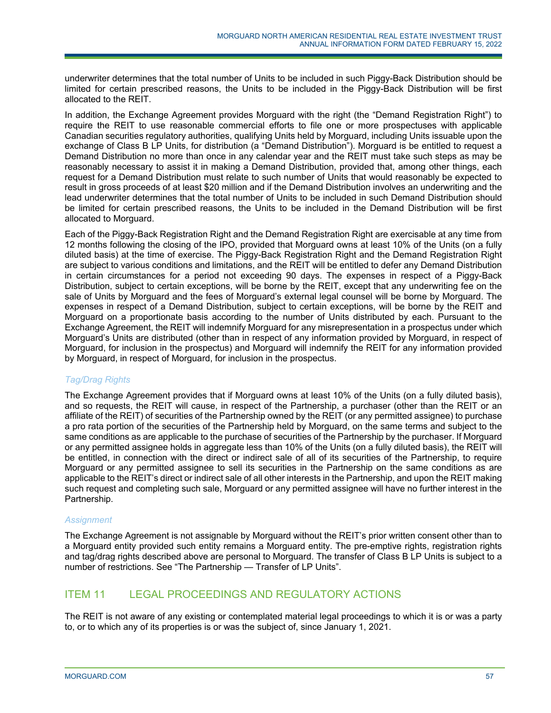underwriter determines that the total number of Units to be included in such Piggy-Back Distribution should be limited for certain prescribed reasons, the Units to be included in the Piggy-Back Distribution will be first allocated to the REIT.

In addition, the Exchange Agreement provides Morguard with the right (the "Demand Registration Right") to require the REIT to use reasonable commercial efforts to file one or more prospectuses with applicable Canadian securities regulatory authorities, qualifying Units held by Morguard, including Units issuable upon the exchange of Class B LP Units, for distribution (a "Demand Distribution"). Morguard is be entitled to request a Demand Distribution no more than once in any calendar year and the REIT must take such steps as may be reasonably necessary to assist it in making a Demand Distribution, provided that, among other things, each request for a Demand Distribution must relate to such number of Units that would reasonably be expected to result in gross proceeds of at least \$20 million and if the Demand Distribution involves an underwriting and the lead underwriter determines that the total number of Units to be included in such Demand Distribution should be limited for certain prescribed reasons, the Units to be included in the Demand Distribution will be first allocated to Morguard.

Each of the Piggy-Back Registration Right and the Demand Registration Right are exercisable at any time from 12 months following the closing of the IPO, provided that Morguard owns at least 10% of the Units (on a fully diluted basis) at the time of exercise. The Piggy-Back Registration Right and the Demand Registration Right are subject to various conditions and limitations, and the REIT will be entitled to defer any Demand Distribution in certain circumstances for a period not exceeding 90 days. The expenses in respect of a Piggy-Back Distribution, subject to certain exceptions, will be borne by the REIT, except that any underwriting fee on the sale of Units by Morguard and the fees of Morguard's external legal counsel will be borne by Morguard. The expenses in respect of a Demand Distribution, subject to certain exceptions, will be borne by the REIT and Morguard on a proportionate basis according to the number of Units distributed by each. Pursuant to the Exchange Agreement, the REIT will indemnify Morguard for any misrepresentation in a prospectus under which Morguard's Units are distributed (other than in respect of any information provided by Morguard, in respect of Morguard, for inclusion in the prospectus) and Morguard will indemnify the REIT for any information provided by Morguard, in respect of Morguard, for inclusion in the prospectus.

# *Tag/Drag Rights*

The Exchange Agreement provides that if Morguard owns at least 10% of the Units (on a fully diluted basis), and so requests, the REIT will cause, in respect of the Partnership, a purchaser (other than the REIT or an affiliate of the REIT) of securities of the Partnership owned by the REIT (or any permitted assignee) to purchase a pro rata portion of the securities of the Partnership held by Morguard, on the same terms and subject to the same conditions as are applicable to the purchase of securities of the Partnership by the purchaser. If Morguard or any permitted assignee holds in aggregate less than 10% of the Units (on a fully diluted basis), the REIT will be entitled, in connection with the direct or indirect sale of all of its securities of the Partnership, to require Morguard or any permitted assignee to sell its securities in the Partnership on the same conditions as are applicable to the REIT's direct or indirect sale of all other interests in the Partnership, and upon the REIT making such request and completing such sale, Morguard or any permitted assignee will have no further interest in the Partnership.

# *Assignment*

The Exchange Agreement is not assignable by Morguard without the REIT's prior written consent other than to a Morguard entity provided such entity remains a Morguard entity. The pre-emptive rights, registration rights and tag/drag rights described above are personal to Morguard. The transfer of Class B LP Units is subject to a number of restrictions. See "The Partnership — Transfer of LP Units".

# ITEM 11 LEGAL PROCEEDINGS AND REGULATORY ACTIONS

The REIT is not aware of any existing or contemplated material legal proceedings to which it is or was a party to, or to which any of its properties is or was the subject of, since January 1, 2021.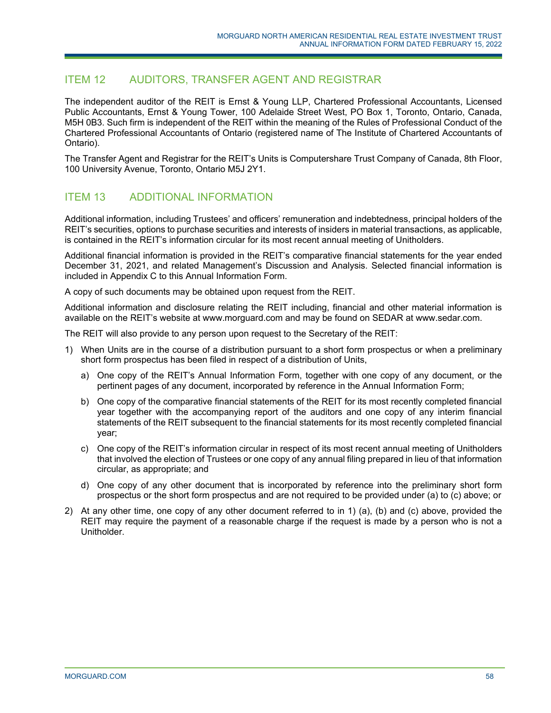# ITEM 12 AUDITORS, TRANSFER AGENT AND REGISTRAR

The independent auditor of the REIT is Ernst & Young LLP, Chartered Professional Accountants, Licensed Public Accountants, Ernst & Young Tower, 100 Adelaide Street West, PO Box 1, Toronto, Ontario, Canada, M5H 0B3. Such firm is independent of the REIT within the meaning of the Rules of Professional Conduct of the Chartered Professional Accountants of Ontario (registered name of The Institute of Chartered Accountants of Ontario).

The Transfer Agent and Registrar for the REIT's Units is Computershare Trust Company of Canada, 8th Floor, 100 University Avenue, Toronto, Ontario M5J 2Y1.

# ITEM 13 ADDITIONAL INFORMATION

Additional information, including Trustees' and officers' remuneration and indebtedness, principal holders of the REIT's securities, options to purchase securities and interests of insiders in material transactions, as applicable, is contained in the REIT's information circular for its most recent annual meeting of Unitholders.

Additional financial information is provided in the REIT's comparative financial statements for the year ended December 31, 2021, and related Management's Discussion and Analysis. Selected financial information is included in Appendix C to this Annual Information Form.

A copy of such documents may be obtained upon request from the REIT.

Additional information and disclosure relating the REIT including, financial and other material information is available on the REIT's website at www.morguard.com and may be found on SEDAR at www.sedar.com.

The REIT will also provide to any person upon request to the Secretary of the REIT:

- 1) When Units are in the course of a distribution pursuant to a short form prospectus or when a preliminary short form prospectus has been filed in respect of a distribution of Units,
	- a) One copy of the REIT's Annual Information Form, together with one copy of any document, or the pertinent pages of any document, incorporated by reference in the Annual Information Form;
	- b) One copy of the comparative financial statements of the REIT for its most recently completed financial year together with the accompanying report of the auditors and one copy of any interim financial statements of the REIT subsequent to the financial statements for its most recently completed financial year;
	- c) One copy of the REIT's information circular in respect of its most recent annual meeting of Unitholders that involved the election of Trustees or one copy of any annual filing prepared in lieu of that information circular, as appropriate; and
	- d) One copy of any other document that is incorporated by reference into the preliminary short form prospectus or the short form prospectus and are not required to be provided under (a) to (c) above; or
- 2) At any other time, one copy of any other document referred to in 1) (a), (b) and (c) above, provided the REIT may require the payment of a reasonable charge if the request is made by a person who is not a Unitholder.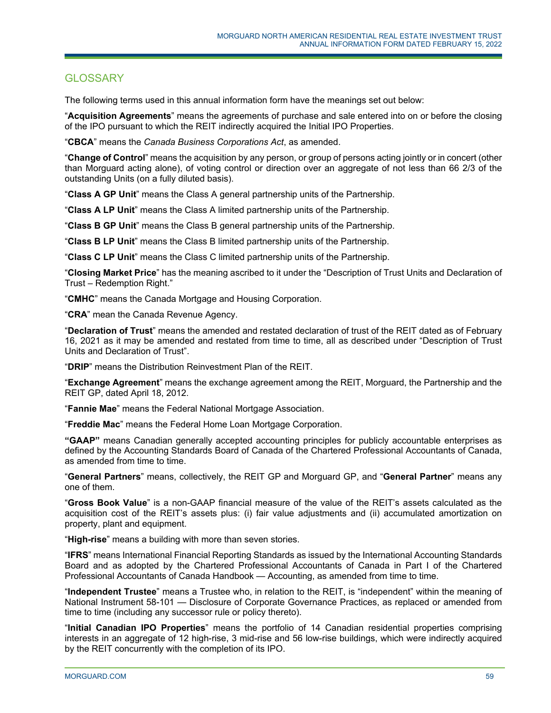# **GLOSSARY**

The following terms used in this annual information form have the meanings set out below:

"**Acquisition Agreements**" means the agreements of purchase and sale entered into on or before the closing of the IPO pursuant to which the REIT indirectly acquired the Initial IPO Properties.

"**CBCA**" means the *Canada Business Corporations Act*, as amended.

"**Change of Control**" means the acquisition by any person, or group of persons acting jointly or in concert (other than Morguard acting alone), of voting control or direction over an aggregate of not less than 66 2/3 of the outstanding Units (on a fully diluted basis).

"**Class A GP Unit**" means the Class A general partnership units of the Partnership.

"**Class A LP Unit**" means the Class A limited partnership units of the Partnership.

"**Class B GP Unit**" means the Class B general partnership units of the Partnership.

"**Class B LP Unit**" means the Class B limited partnership units of the Partnership.

"**Class C LP Unit**" means the Class C limited partnership units of the Partnership.

"**Closing Market Price**" has the meaning ascribed to it under the "Description of Trust Units and Declaration of Trust – Redemption Right."

"**CMHC**" means the Canada Mortgage and Housing Corporation.

"**CRA**" mean the Canada Revenue Agency.

"**Declaration of Trust**" means the amended and restated declaration of trust of the REIT dated as of February 16, 2021 as it may be amended and restated from time to time, all as described under "Description of Trust Units and Declaration of Trust".

"**DRIP**" means the Distribution Reinvestment Plan of the REIT.

"**Exchange Agreement**" means the exchange agreement among the REIT, Morguard, the Partnership and the REIT GP, dated April 18, 2012.

"**Fannie Mae**" means the Federal National Mortgage Association.

"**Freddie Mac**" means the Federal Home Loan Mortgage Corporation.

**"GAAP"** means Canadian generally accepted accounting principles for publicly accountable enterprises as defined by the Accounting Standards Board of Canada of the Chartered Professional Accountants of Canada, as amended from time to time.

"**General Partners**" means, collectively, the REIT GP and Morguard GP, and "**General Partner**" means any one of them.

"**Gross Book Value**" is a non-GAAP financial measure of the value of the REIT's assets calculated as the acquisition cost of the REIT's assets plus: (i) fair value adjustments and (ii) accumulated amortization on property, plant and equipment.

"**High-rise**" means a building with more than seven stories.

"**IFRS**" means International Financial Reporting Standards as issued by the International Accounting Standards Board and as adopted by the Chartered Professional Accountants of Canada in Part I of the Chartered Professional Accountants of Canada Handbook — Accounting, as amended from time to time.

"**Independent Trustee**" means a Trustee who, in relation to the REIT, is "independent" within the meaning of National Instrument 58-101 — Disclosure of Corporate Governance Practices, as replaced or amended from time to time (including any successor rule or policy thereto).

"**Initial Canadian IPO Properties**" means the portfolio of 14 Canadian residential properties comprising interests in an aggregate of 12 high-rise, 3 mid-rise and 56 low-rise buildings, which were indirectly acquired by the REIT concurrently with the completion of its IPO.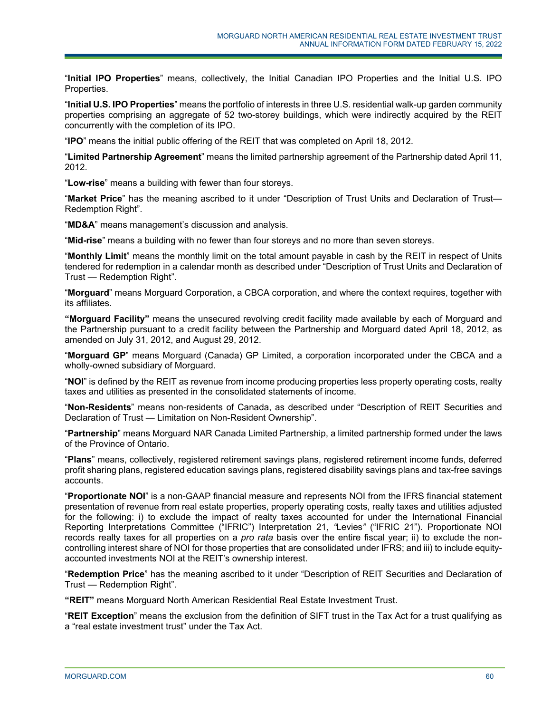"**Initial IPO Properties**" means, collectively, the Initial Canadian IPO Properties and the Initial U.S. IPO Properties.

"**Initial U.S. IPO Properties**" means the portfolio of interests in three U.S. residential walk-up garden community properties comprising an aggregate of 52 two-storey buildings, which were indirectly acquired by the REIT concurrently with the completion of its IPO.

"**IPO**" means the initial public offering of the REIT that was completed on April 18, 2012.

"**Limited Partnership Agreement**" means the limited partnership agreement of the Partnership dated April 11, 2012.

"**Low-rise**" means a building with fewer than four storeys.

"**Market Price**" has the meaning ascribed to it under "Description of Trust Units and Declaration of Trust— Redemption Right".

"**MD&A**" means management's discussion and analysis.

"**Mid-rise**" means a building with no fewer than four storeys and no more than seven storeys.

"**Monthly Limit**" means the monthly limit on the total amount payable in cash by the REIT in respect of Units tendered for redemption in a calendar month as described under "Description of Trust Units and Declaration of Trust — Redemption Right".

"**Morguard**" means Morguard Corporation, a CBCA corporation, and where the context requires, together with its affiliates.

**"Morguard Facility"** means the unsecured revolving credit facility made available by each of Morguard and the Partnership pursuant to a credit facility between the Partnership and Morguard dated April 18, 2012, as amended on July 31, 2012, and August 29, 2012.

"**Morguard GP**" means Morguard (Canada) GP Limited, a corporation incorporated under the CBCA and a wholly-owned subsidiary of Morguard.

"**NOI**" is defined by the REIT as revenue from income producing properties less property operating costs, realty taxes and utilities as presented in the consolidated statements of income.

"**Non-Residents**" means non-residents of Canada, as described under "Description of REIT Securities and Declaration of Trust — Limitation on Non-Resident Ownership".

"**Partnership**" means Morguard NAR Canada Limited Partnership, a limited partnership formed under the laws of the Province of Ontario.

"**Plans**" means, collectively, registered retirement savings plans, registered retirement income funds, deferred profit sharing plans, registered education savings plans, registered disability savings plans and tax-free savings accounts.

"**Proportionate NOI**" is a non-GAAP financial measure and represents NOI from the IFRS financial statement presentation of revenue from real estate properties, property operating costs, realty taxes and utilities adjusted for the following: i) to exclude the impact of realty taxes accounted for under the International Financial Reporting Interpretations Committee ("IFRIC") Interpretation 21, *"*Levies*"* ("IFRIC 21"). Proportionate NOI records realty taxes for all properties on a *pro rata* basis over the entire fiscal year; ii) to exclude the noncontrolling interest share of NOI for those properties that are consolidated under IFRS; and iii) to include equityaccounted investments NOI at the REIT's ownership interest.

"**Redemption Price**" has the meaning ascribed to it under "Description of REIT Securities and Declaration of Trust — Redemption Right".

**"REIT"** means Morguard North American Residential Real Estate Investment Trust.

"**REIT Exception**" means the exclusion from the definition of SIFT trust in the Tax Act for a trust qualifying as a "real estate investment trust" under the Tax Act.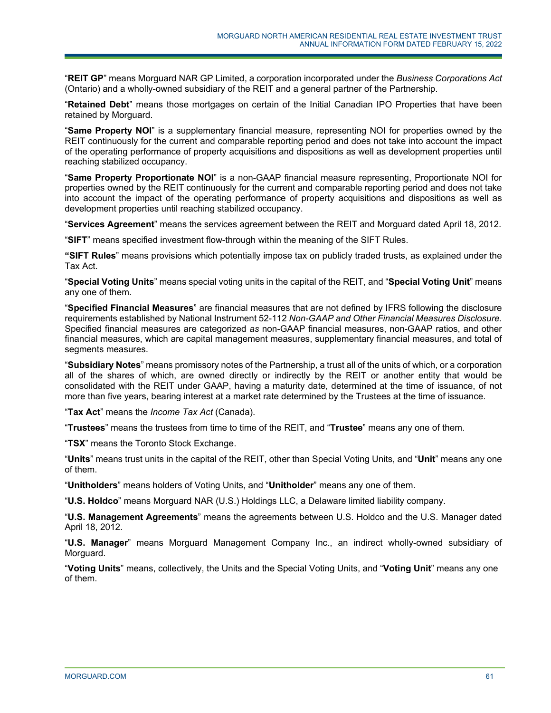"**REIT GP**" means Morguard NAR GP Limited, a corporation incorporated under the *Business Corporations Act* (Ontario) and a wholly-owned subsidiary of the REIT and a general partner of the Partnership.

"**Retained Debt**" means those mortgages on certain of the Initial Canadian IPO Properties that have been retained by Morguard.

"**Same Property NOI**" is a supplementary financial measure, representing NOI for properties owned by the REIT continuously for the current and comparable reporting period and does not take into account the impact of the operating performance of property acquisitions and dispositions as well as development properties until reaching stabilized occupancy.

"**Same Property Proportionate NOI**" is a non-GAAP financial measure representing, Proportionate NOI for properties owned by the REIT continuously for the current and comparable reporting period and does not take into account the impact of the operating performance of property acquisitions and dispositions as well as development properties until reaching stabilized occupancy.

"**Services Agreement**" means the services agreement between the REIT and Morguard dated April 18, 2012.

"**SIFT**" means specified investment flow-through within the meaning of the SIFT Rules.

**"SIFT Rules**" means provisions which potentially impose tax on publicly traded trusts, as explained under the Tax Act.

"**Special Voting Units**" means special voting units in the capital of the REIT, and "**Special Voting Unit**" means any one of them.

"**Specified Financial Measures**" are financial measures that are not defined by IFRS following the disclosure requirements established by National Instrument 52-112 *Non-GAAP and Other Financial Measures Disclosure.*  Specified financial measures are categorized *as* non-GAAP financial measures, non-GAAP ratios, and other financial measures, which are capital management measures, supplementary financial measures, and total of segments measures.

"**Subsidiary Notes**" means promissory notes of the Partnership, a trust all of the units of which, or a corporation all of the shares of which, are owned directly or indirectly by the REIT or another entity that would be consolidated with the REIT under GAAP, having a maturity date, determined at the time of issuance, of not more than five years, bearing interest at a market rate determined by the Trustees at the time of issuance.

"**Tax Act**" means the *Income Tax Act* (Canada).

"**Trustees**" means the trustees from time to time of the REIT, and "**Trustee**" means any one of them.

"**TSX**" means the Toronto Stock Exchange.

"**Units**" means trust units in the capital of the REIT, other than Special Voting Units, and "**Unit**" means any one of them.

"**Unitholders**" means holders of Voting Units, and "**Unitholder**" means any one of them.

"**U.S. Holdco**" means Morguard NAR (U.S.) Holdings LLC, a Delaware limited liability company.

"**U.S. Management Agreements**" means the agreements between U.S. Holdco and the U.S. Manager dated April 18, 2012.

"**U.S. Manager**" means Morguard Management Company Inc., an indirect wholly-owned subsidiary of Morguard.

"**Voting Units**" means, collectively, the Units and the Special Voting Units, and "**Voting Unit**" means any one of them.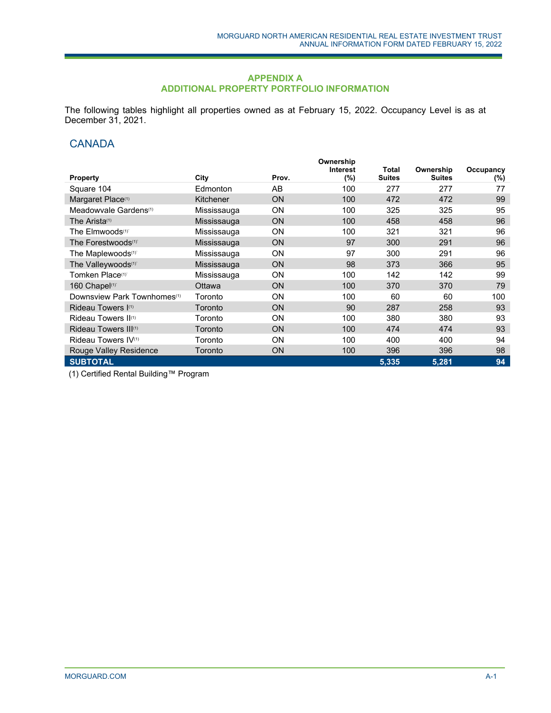### **APPENDIX A ADDITIONAL PROPERTY PORTFOLIO INFORMATION**

The following tables highlight all properties owned as at February 15, 2022. Occupancy Level is as at December 31, 2021.

# **CANADA**

|                                         |             |           | Ownership                  |                        |                            |                      |
|-----------------------------------------|-------------|-----------|----------------------------|------------------------|----------------------------|----------------------|
| <b>Property</b>                         | City        | Prov.     | <b>Interest</b><br>$(\% )$ | Total<br><b>Suites</b> | Ownership<br><b>Suites</b> | Occupancy<br>$(\% )$ |
| Square 104                              | Edmonton    | AB        | 100                        | 277                    | 277                        | 77                   |
| Margaret Place <sup>(1)</sup>           | Kitchener   | <b>ON</b> | 100                        | 472                    | 472                        | 99                   |
| Meadowvale Gardens <sup>(1)</sup>       | Mississauga | <b>ON</b> | 100                        | 325                    | 325                        | 95                   |
| The Arista <sup>(1)</sup>               | Mississauga | <b>ON</b> | 100                        | 458                    | 458                        | 96                   |
| The Elmwoods <sup>(1)</sup>             | Mississauga | <b>ON</b> | 100                        | 321                    | 321                        | 96                   |
| The Forestwoods <sup>(1)</sup>          | Mississauga | <b>ON</b> | 97                         | 300                    | 291                        | 96                   |
| The Maplewoods <sup>(1)</sup>           | Mississauga | <b>ON</b> | 97                         | 300                    | 291                        | 96                   |
| The Valleywoods <sup>(1)</sup>          | Mississauga | <b>ON</b> | 98                         | 373                    | 366                        | 95                   |
| Tomken Place <sup>(1)</sup>             | Mississauga | <b>ON</b> | 100                        | 142                    | 142                        | 99                   |
| 160 Chapel(1)                           | Ottawa      | <b>ON</b> | 100                        | 370                    | 370                        | 79                   |
| Downsview Park Townhomes <sup>(1)</sup> | Toronto     | <b>ON</b> | 100                        | 60                     | 60                         | 100                  |
| Rideau Towers (1)                       | Toronto     | <b>ON</b> | 90                         | 287                    | 258                        | 93                   |
| Rideau Towers II <sup>(1)</sup>         | Toronto     | <b>ON</b> | 100                        | 380                    | 380                        | 93                   |
| Rideau Towers III <sup>(1)</sup>        | Toronto     | <b>ON</b> | 100                        | 474                    | 474                        | 93                   |
| Rideau Towers IV <sup>(1)</sup>         | Toronto     | <b>ON</b> | 100                        | 400                    | 400                        | 94                   |
| Rouge Valley Residence                  | Toronto     | <b>ON</b> | 100                        | 396                    | 396                        | 98                   |
| <b>SUBTOTAL</b>                         |             |           |                            | 5,335                  | 5,281                      | 94                   |

(1) Certified Rental Building™ Program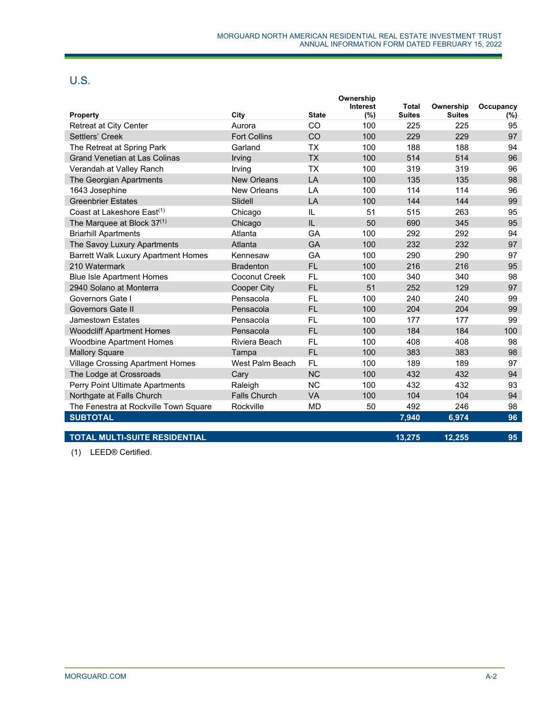# U.S.

|                                            |                      |                | Ownership<br><b>Interest</b> | <b>Total</b>  | Ownership     | Occupancy |
|--------------------------------------------|----------------------|----------------|------------------------------|---------------|---------------|-----------|
| Property                                   | City                 | <b>State</b>   | (%)                          | <b>Suites</b> | <b>Suites</b> | (%)       |
| <b>Retreat at City Center</b>              | Aurora               | CO             | 100                          | 225           | 225           | 95        |
| Settlers' Creek                            | <b>Fort Collins</b>  | CO             | 100                          | 229           | 229           | 97        |
| The Retreat at Spring Park                 | Garland              | <b>TX</b>      | 100                          | 188           | 188           | 94        |
| <b>Grand Venetian at Las Colinas</b>       | Irving               | <b>TX</b>      | 100                          | 514           | 514           | 96        |
| Verandah at Valley Ranch                   | Irving               | <b>TX</b>      | 100                          | 319           | 319           | 96        |
| The Georgian Apartments                    | <b>New Orleans</b>   | LA             | 100                          | 135           | 135           | 98        |
| 1643 Josephine                             | New Orleans          | LA             | 100                          | 114           | 114           | 96        |
| <b>Greenbrier Estates</b>                  | Slidell              | $\overline{A}$ | 100                          | 144           | 144           | 99        |
| Coast at Lakeshore East <sup>(1)</sup>     | Chicago              | IL             | 51                           | 515           | 263           | 95        |
| The Marquee at Block 37 <sup>(1)</sup>     | Chicago              | IL             | 50                           | 690           | 345           | 95        |
| <b>Briarhill Apartments</b>                | Atlanta              | GA             | 100                          | 292           | 292           | 94        |
| The Savoy Luxury Apartments                | Atlanta              | GA             | 100                          | 232           | 232           | 97        |
| <b>Barrett Walk Luxury Apartment Homes</b> | Kennesaw             | GA             | 100                          | 290           | 290           | 97        |
| 210 Watermark                              | <b>Bradenton</b>     | <b>FL</b>      | 100                          | 216           | 216           | 95        |
| <b>Blue Isle Apartment Homes</b>           | <b>Coconut Creek</b> | <b>FL</b>      | 100                          | 340           | 340           | 98        |
| 2940 Solano at Monterra                    | <b>Cooper City</b>   | <b>FL</b>      | 51                           | 252           | 129           | 97        |
| Governors Gate I                           | Pensacola            | FL             | 100                          | 240           | 240           | 99        |
| Governors Gate II                          | Pensacola            | <b>FL</b>      | 100                          | 204           | 204           | 99        |
| Jamestown Estates                          | Pensacola            | <b>FL</b>      | 100                          | 177           | 177           | 99        |
| <b>Woodcliff Apartment Homes</b>           | Pensacola            | <b>FL</b>      | 100                          | 184           | 184           | 100       |
| <b>Woodbine Apartment Homes</b>            | Riviera Beach        | FL.            | 100                          | 408           | 408           | 98        |
| <b>Mallory Square</b>                      | Tampa                | <b>FL</b>      | 100                          | 383           | 383           | 98        |
| <b>Village Crossing Apartment Homes</b>    | West Palm Beach      | <b>FL</b>      | 100                          | 189           | 189           | 97        |
| The Lodge at Crossroads                    | Cary                 | <b>NC</b>      | 100                          | 432           | 432           | 94        |
| Perry Point Ultimate Apartments            | Raleigh              | <b>NC</b>      | 100                          | 432           | 432           | 93        |
| Northgate at Falls Church                  | <b>Falls Church</b>  | <b>VA</b>      | 100                          | 104           | 104           | 94        |
| The Fenestra at Rockville Town Square      | Rockville            | <b>MD</b>      | 50                           | 492           | 246           | 98        |
| <b>SUBTOTAL</b>                            |                      |                |                              | 7,940         | 6,974         | 96        |
| <b>TOTAL MULTI-SUITE RESIDENTIAL</b>       |                      |                |                              | 13,275        | 12,255        | 95        |

(1) LEED® Certified.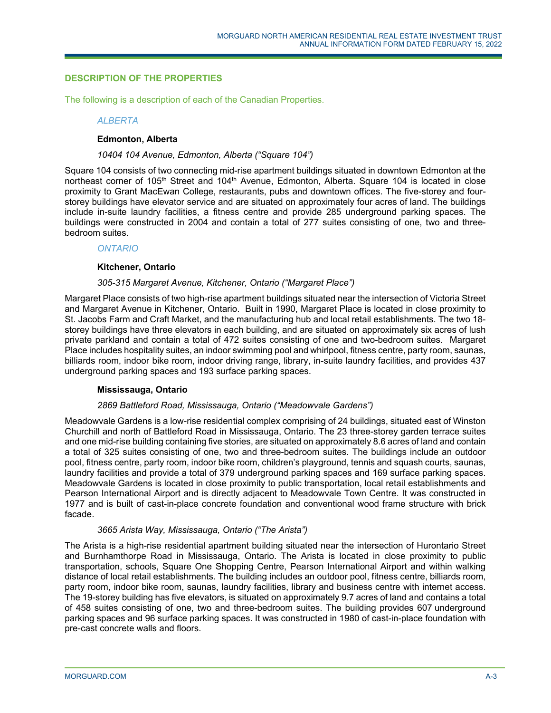# **DESCRIPTION OF THE PROPERTIES**

The following is a description of each of the Canadian Properties.

### *ALBERTA*

## **Edmonton, Alberta**

#### *10404 104 Avenue, Edmonton, Alberta ("Square 104")*

Square 104 consists of two connecting mid-rise apartment buildings situated in downtown Edmonton at the northeast corner of 105<sup>th</sup> Street and 104<sup>th</sup> Avenue, Edmonton, Alberta. Square 104 is located in close proximity to Grant MacEwan College, restaurants, pubs and downtown offices. The five-storey and fourstorey buildings have elevator service and are situated on approximately four acres of land. The buildings include in-suite laundry facilities, a fitness centre and provide 285 underground parking spaces. The buildings were constructed in 2004 and contain a total of 277 suites consisting of one, two and threebedroom suites.

### *ONTARIO*

### **Kitchener, Ontario**

## *305-315 Margaret Avenue, Kitchener, Ontario ("Margaret Place")*

Margaret Place consists of two high-rise apartment buildings situated near the intersection of Victoria Street and Margaret Avenue in Kitchener, Ontario. Built in 1990, Margaret Place is located in close proximity to St. Jacobs Farm and Craft Market, and the manufacturing hub and local retail establishments. The two 18 storey buildings have three elevators in each building, and are situated on approximately six acres of lush private parkland and contain a total of 472 suites consisting of one and two-bedroom suites. Margaret Place includes hospitality suites, an indoor swimming pool and whirlpool, fitness centre, party room, saunas, billiards room, indoor bike room, indoor driving range, library, in-suite laundry facilities, and provides 437 underground parking spaces and 193 surface parking spaces.

## **Mississauga, Ontario**

#### *2869 Battleford Road, Mississauga, Ontario ("Meadowvale Gardens")*

Meadowvale Gardens is a low-rise residential complex comprising of 24 buildings, situated east of Winston Churchill and north of Battleford Road in Mississauga, Ontario. The 23 three-storey garden terrace suites and one mid-rise building containing five stories, are situated on approximately 8.6 acres of land and contain a total of 325 suites consisting of one, two and three-bedroom suites. The buildings include an outdoor pool, fitness centre, party room, indoor bike room, children's playground, tennis and squash courts, saunas, laundry facilities and provide a total of 379 underground parking spaces and 169 surface parking spaces. Meadowvale Gardens is located in close proximity to public transportation, local retail establishments and Pearson International Airport and is directly adjacent to Meadowvale Town Centre. It was constructed in 1977 and is built of cast-in-place concrete foundation and conventional wood frame structure with brick facade.

## *3665 Arista Way, Mississauga, Ontario ("The Arista")*

The Arista is a high-rise residential apartment building situated near the intersection of Hurontario Street and Burnhamthorpe Road in Mississauga, Ontario. The Arista is located in close proximity to public transportation, schools, Square One Shopping Centre, Pearson International Airport and within walking distance of local retail establishments. The building includes an outdoor pool, fitness centre, billiards room, party room, indoor bike room, saunas, laundry facilities, library and business centre with internet access. The 19-storey building has five elevators, is situated on approximately 9.7 acres of land and contains a total of 458 suites consisting of one, two and three-bedroom suites. The building provides 607 underground parking spaces and 96 surface parking spaces. It was constructed in 1980 of cast-in-place foundation with pre-cast concrete walls and floors.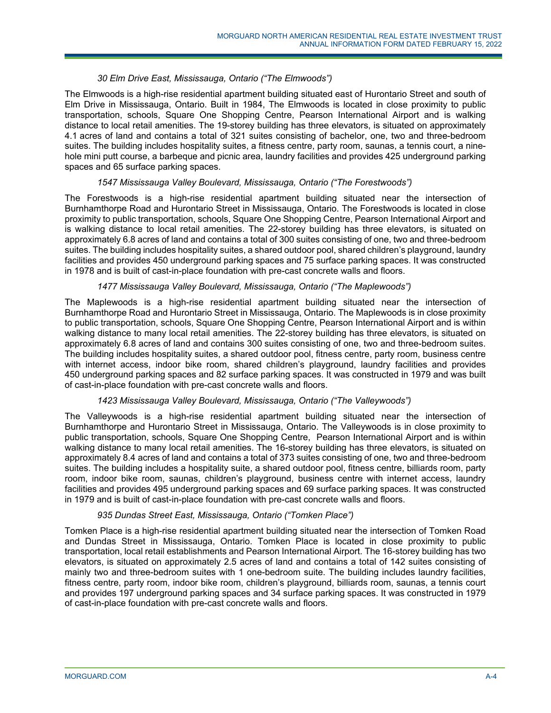# *30 Elm Drive East, Mississauga, Ontario ("The Elmwoods")*

The Elmwoods is a high-rise residential apartment building situated east of Hurontario Street and south of Elm Drive in Mississauga, Ontario. Built in 1984, The Elmwoods is located in close proximity to public transportation, schools, Square One Shopping Centre, Pearson International Airport and is walking distance to local retail amenities. The 19-storey building has three elevators, is situated on approximately 4.1 acres of land and contains a total of 321 suites consisting of bachelor, one, two and three-bedroom suites. The building includes hospitality suites, a fitness centre, party room, saunas, a tennis court, a ninehole mini putt course, a barbeque and picnic area, laundry facilities and provides 425 underground parking spaces and 65 surface parking spaces.

## *1547 Mississauga Valley Boulevard, Mississauga, Ontario ("The Forestwoods")*

The Forestwoods is a high-rise residential apartment building situated near the intersection of Burnhamthorpe Road and Hurontario Street in Mississauga, Ontario. The Forestwoods is located in close proximity to public transportation, schools, Square One Shopping Centre, Pearson International Airport and is walking distance to local retail amenities. The 22-storey building has three elevators, is situated on approximately 6.8 acres of land and contains a total of 300 suites consisting of one, two and three-bedroom suites. The building includes hospitality suites, a shared outdoor pool, shared children's playground, laundry facilities and provides 450 underground parking spaces and 75 surface parking spaces. It was constructed in 1978 and is built of cast-in-place foundation with pre-cast concrete walls and floors.

## *1477 Mississauga Valley Boulevard, Mississauga, Ontario ("The Maplewoods")*

The Maplewoods is a high-rise residential apartment building situated near the intersection of Burnhamthorpe Road and Hurontario Street in Mississauga, Ontario. The Maplewoods is in close proximity to public transportation, schools, Square One Shopping Centre, Pearson International Airport and is within walking distance to many local retail amenities. The 22-storey building has three elevators, is situated on approximately 6.8 acres of land and contains 300 suites consisting of one, two and three-bedroom suites. The building includes hospitality suites, a shared outdoor pool, fitness centre, party room, business centre with internet access, indoor bike room, shared children's playground, laundry facilities and provides 450 underground parking spaces and 82 surface parking spaces. It was constructed in 1979 and was built of cast-in-place foundation with pre-cast concrete walls and floors.

# *1423 Mississauga Valley Boulevard, Mississauga, Ontario ("The Valleywoods")*

The Valleywoods is a high-rise residential apartment building situated near the intersection of Burnhamthorpe and Hurontario Street in Mississauga, Ontario. The Valleywoods is in close proximity to public transportation, schools, Square One Shopping Centre, Pearson International Airport and is within walking distance to many local retail amenities. The 16-storey building has three elevators, is situated on approximately 8.4 acres of land and contains a total of 373 suites consisting of one, two and three-bedroom suites. The building includes a hospitality suite, a shared outdoor pool, fitness centre, billiards room, party room, indoor bike room, saunas, children's playground, business centre with internet access, laundry facilities and provides 495 underground parking spaces and 69 surface parking spaces. It was constructed in 1979 and is built of cast-in-place foundation with pre-cast concrete walls and floors.

## *935 Dundas Street East, Mississauga, Ontario ("Tomken Place")*

Tomken Place is a high-rise residential apartment building situated near the intersection of Tomken Road and Dundas Street in Mississauga, Ontario. Tomken Place is located in close proximity to public transportation, local retail establishments and Pearson International Airport. The 16-storey building has two elevators, is situated on approximately 2.5 acres of land and contains a total of 142 suites consisting of mainly two and three-bedroom suites with 1 one-bedroom suite. The building includes laundry facilities, fitness centre, party room, indoor bike room, children's playground, billiards room, saunas, a tennis court and provides 197 underground parking spaces and 34 surface parking spaces. It was constructed in 1979 of cast-in-place foundation with pre-cast concrete walls and floors.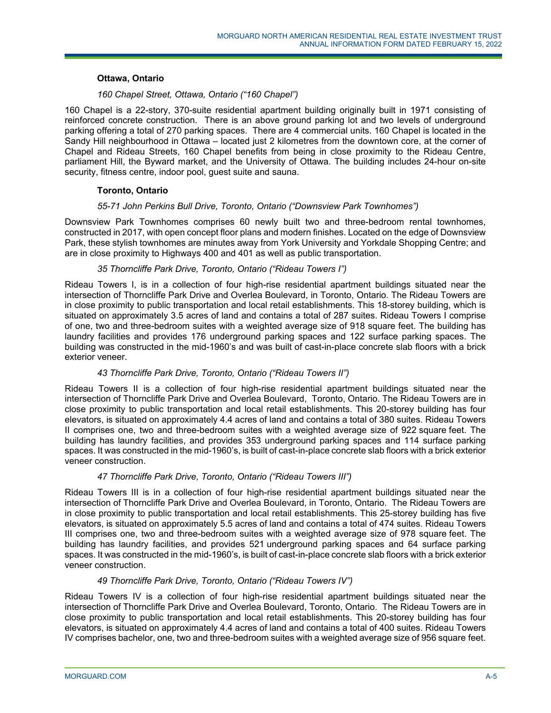### **Ottawa, Ontario**

# *160 Chapel Street, Ottawa, Ontario ("160 Chapel")*

160 Chapel is a 22-story, 370-suite residential apartment building originally built in 1971 consisting of reinforced concrete construction. There is an above ground parking lot and two levels of underground parking offering a total of 270 parking spaces. There are 4 commercial units. 160 Chapel is located in the Sandy Hill neighbourhood in Ottawa – located just 2 kilometres from the downtown core, at the corner of Chapel and Rideau Streets, 160 Chapel benefits from being in close proximity to the Rideau Centre, parliament Hill, the Byward market, and the University of Ottawa. The building includes 24-hour on-site security, fitness centre, indoor pool, guest suite and sauna.

## **Toronto, Ontario**

### *55-71 John Perkins Bull Drive, Toronto, Ontario ("Downsview Park Townhomes")*

Downsview Park Townhomes comprises 60 newly built two and three-bedroom rental townhomes, constructed in 2017, with open concept floor plans and modern finishes. Located on the edge of Downsview Park, these stylish townhomes are minutes away from York University and Yorkdale Shopping Centre; and are in close proximity to Highways 400 and 401 as well as public transportation.

### *35 Thorncliffe Park Drive, Toronto, Ontario ("Rideau Towers I")*

Rideau Towers I, is in a collection of four high-rise residential apartment buildings situated near the intersection of Thorncliffe Park Drive and Overlea Boulevard, in Toronto, Ontario. The Rideau Towers are in close proximity to public transportation and local retail establishments. This 18-storey building, which is situated on approximately 3.5 acres of land and contains a total of 287 suites. Rideau Towers I comprise of one, two and three-bedroom suites with a weighted average size of 918 square feet. The building has laundry facilities and provides 176 underground parking spaces and 122 surface parking spaces. The building was constructed in the mid-1960's and was built of cast-in-place concrete slab floors with a brick exterior veneer.

## *43 Thorncliffe Park Drive, Toronto, Ontario ("Rideau Towers II")*

Rideau Towers II is a collection of four high-rise residential apartment buildings situated near the intersection of Thorncliffe Park Drive and Overlea Boulevard, Toronto, Ontario. The Rideau Towers are in close proximity to public transportation and local retail establishments. This 20-storey building has four elevators, is situated on approximately 4.4 acres of land and contains a total of 380 suites. Rideau Towers II comprises one, two and three-bedroom suites with a weighted average size of 922 square feet. The building has laundry facilities, and provides 353 underground parking spaces and 114 surface parking spaces. It was constructed in the mid-1960's, is built of cast-in-place concrete slab floors with a brick exterior veneer construction.

#### *47 Thorncliffe Park Drive, Toronto, Ontario ("Rideau Towers III")*

Rideau Towers III is in a collection of four high-rise residential apartment buildings situated near the intersection of Thorncliffe Park Drive and Overlea Boulevard, in Toronto, Ontario. The Rideau Towers are in close proximity to public transportation and local retail establishments. This 25-storey building has five elevators, is situated on approximately 5.5 acres of land and contains a total of 474 suites. Rideau Towers III comprises one, two and three-bedroom suites with a weighted average size of 978 square feet. The building has laundry facilities, and provides 521 underground parking spaces and 64 surface parking spaces. It was constructed in the mid-1960's, is built of cast-in-place concrete slab floors with a brick exterior veneer construction.

#### *49 Thorncliffe Park Drive, Toronto, Ontario ("Rideau Towers IV")*

Rideau Towers IV is a collection of four high-rise residential apartment buildings situated near the intersection of Thorncliffe Park Drive and Overlea Boulevard, Toronto, Ontario. The Rideau Towers are in close proximity to public transportation and local retail establishments. This 20-storey building has four elevators, is situated on approximately 4.4 acres of land and contains a total of 400 suites. Rideau Towers IV comprises bachelor, one, two and three-bedroom suites with a weighted average size of 956 square feet.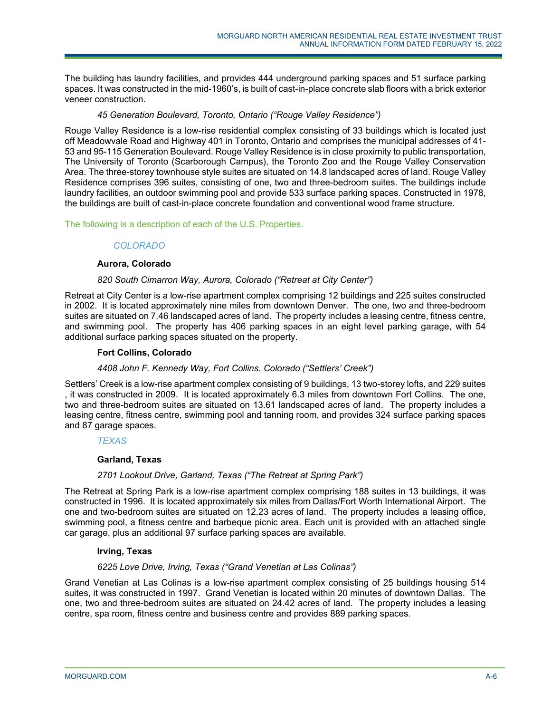The building has laundry facilities, and provides 444 underground parking spaces and 51 surface parking spaces. It was constructed in the mid-1960's, is built of cast-in-place concrete slab floors with a brick exterior veneer construction.

# *45 Generation Boulevard, Toronto, Ontario ("Rouge Valley Residence")*

Rouge Valley Residence is a low-rise residential complex consisting of 33 buildings which is located just off Meadowvale Road and Highway 401 in Toronto, Ontario and comprises the municipal addresses of 41- 53 and 95-115 Generation Boulevard. Rouge Valley Residence is in close proximity to public transportation, The University of Toronto (Scarborough Campus), the Toronto Zoo and the Rouge Valley Conservation Area. The three-storey townhouse style suites are situated on 14.8 landscaped acres of land. Rouge Valley Residence comprises 396 suites, consisting of one, two and three-bedroom suites. The buildings include laundry facilities, an outdoor swimming pool and provide 533 surface parking spaces. Constructed in 1978, the buildings are built of cast-in-place concrete foundation and conventional wood frame structure.

The following is a description of each of the U.S. Properties.

# *COLORADO*

# **Aurora, Colorado**

# *820 South Cimarron Way, Aurora, Colorado ("Retreat at City Center")*

Retreat at City Center is a low-rise apartment complex comprising 12 buildings and 225 suites constructed in 2002. It is located approximately nine miles from downtown Denver. The one, two and three-bedroom suites are situated on 7.46 landscaped acres of land. The property includes a leasing centre, fitness centre, and swimming pool. The property has 406 parking spaces in an eight level parking garage, with 54 additional surface parking spaces situated on the property.

## **Fort Collins, Colorado**

## *4408 John F. Kennedy Way, Fort Collins. Colorado ("Settlers' Creek")*

Settlers' Creek is a low-rise apartment complex consisting of 9 buildings, 13 two-storey lofts, and 229 suites , it was constructed in 2009. It is located approximately 6.3 miles from downtown Fort Collins. The one, two and three-bedroom suites are situated on 13.61 landscaped acres of land. The property includes a leasing centre, fitness centre, swimming pool and tanning room, and provides 324 surface parking spaces and 87 garage spaces.

## *TEXAS*

## **Garland, Texas**

## *2701 Lookout Drive, Garland, Texas ("The Retreat at Spring Park")*

The Retreat at Spring Park is a low-rise apartment complex comprising 188 suites in 13 buildings, it was constructed in 1996. It is located approximately six miles from Dallas/Fort Worth International Airport. The one and two-bedroom suites are situated on 12.23 acres of land. The property includes a leasing office, swimming pool, a fitness centre and barbeque picnic area. Each unit is provided with an attached single car garage, plus an additional 97 surface parking spaces are available.

## **Irving, Texas**

## *6225 Love Drive, Irving, Texas ("Grand Venetian at Las Colinas")*

Grand Venetian at Las Colinas is a low-rise apartment complex consisting of 25 buildings housing 514 suites, it was constructed in 1997. Grand Venetian is located within 20 minutes of downtown Dallas. The one, two and three-bedroom suites are situated on 24.42 acres of land. The property includes a leasing centre, spa room, fitness centre and business centre and provides 889 parking spaces.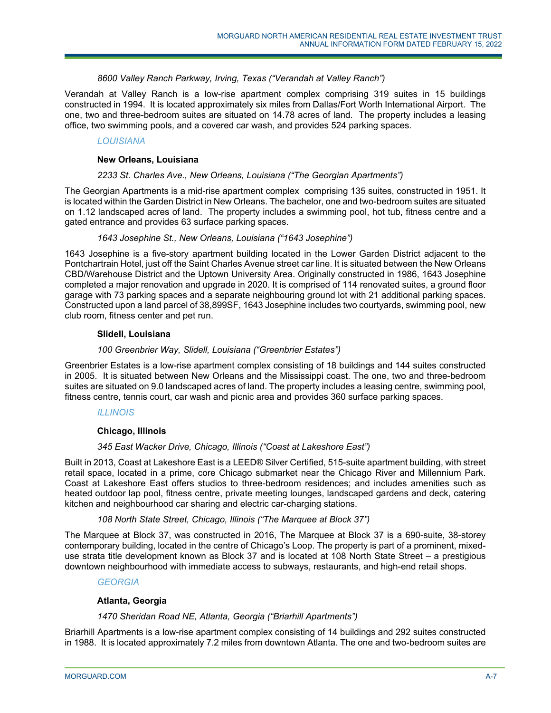## *8600 Valley Ranch Parkway, Irving, Texas ("Verandah at Valley Ranch")*

Verandah at Valley Ranch is a low-rise apartment complex comprising 319 suites in 15 buildings constructed in 1994. It is located approximately six miles from Dallas/Fort Worth International Airport. The one, two and three-bedroom suites are situated on 14.78 acres of land. The property includes a leasing office, two swimming pools, and a covered car wash, and provides 524 parking spaces.

# *LOUISIANA*

## **New Orleans, Louisiana**

## *2233 St. Charles Ave., New Orleans, Louisiana ("The Georgian Apartments")*

The Georgian Apartments is a mid-rise apartment complex comprising 135 suites, constructed in 1951. It is located within the Garden District in New Orleans. The bachelor, one and two-bedroom suites are situated on 1.12 landscaped acres of land. The property includes a swimming pool, hot tub, fitness centre and a gated entrance and provides 63 surface parking spaces.

### *1643 Josephine St., New Orleans, Louisiana ("1643 Josephine")*

1643 Josephine is a five-story apartment building located in the Lower Garden District adjacent to the Pontchartrain Hotel, just off the Saint Charles Avenue street car line. It is situated between the New Orleans CBD/Warehouse District and the Uptown University Area. Originally constructed in 1986, 1643 Josephine completed a major renovation and upgrade in 2020. It is comprised of 114 renovated suites, a ground floor garage with 73 parking spaces and a separate neighbouring ground lot with 21 additional parking spaces. Constructed upon a land parcel of 38,899SF, 1643 Josephine includes two courtyards, swimming pool, new club room, fitness center and pet run.

## **Slidell, Louisiana**

## *100 Greenbrier Way, Slidell, Louisiana ("Greenbrier Estates")*

Greenbrier Estates is a low-rise apartment complex consisting of 18 buildings and 144 suites constructed in 2005. It is situated between New Orleans and the Mississippi coast. The one, two and three-bedroom suites are situated on 9.0 landscaped acres of land. The property includes a leasing centre, swimming pool, fitness centre, tennis court, car wash and picnic area and provides 360 surface parking spaces.

## *ILLINOIS*

## **Chicago, Illinois**

## *345 East Wacker Drive, Chicago, Illinois ("Coast at Lakeshore East")*

Built in 2013, Coast at Lakeshore East is a LEED® Silver Certified, 515-suite apartment building, with street retail space, located in a prime, core Chicago submarket near the Chicago River and Millennium Park. Coast at Lakeshore East offers studios to three-bedroom residences; and includes amenities such as heated outdoor lap pool, fitness centre, private meeting lounges, landscaped gardens and deck, catering kitchen and neighbourhood car sharing and electric car-charging stations.

# *108 North State Street, Chicago, Illinois ("The Marquee at Block 37")*

The Marquee at Block 37, was constructed in 2016, The Marquee at Block 37 is a 690-suite, 38-storey contemporary building, located in the centre of Chicago's Loop. The property is part of a prominent, mixeduse strata title development known as Block 37 and is located at 108 North State Street – a prestigious downtown neighbourhood with immediate access to subways, restaurants, and high-end retail shops.

## *GEORGIA*

## **Atlanta, Georgia**

## *1470 Sheridan Road NE, Atlanta, Georgia ("Briarhill Apartments")*

Briarhill Apartments is a low-rise apartment complex consisting of 14 buildings and 292 suites constructed in 1988. It is located approximately 7.2 miles from downtown Atlanta. The one and two-bedroom suites are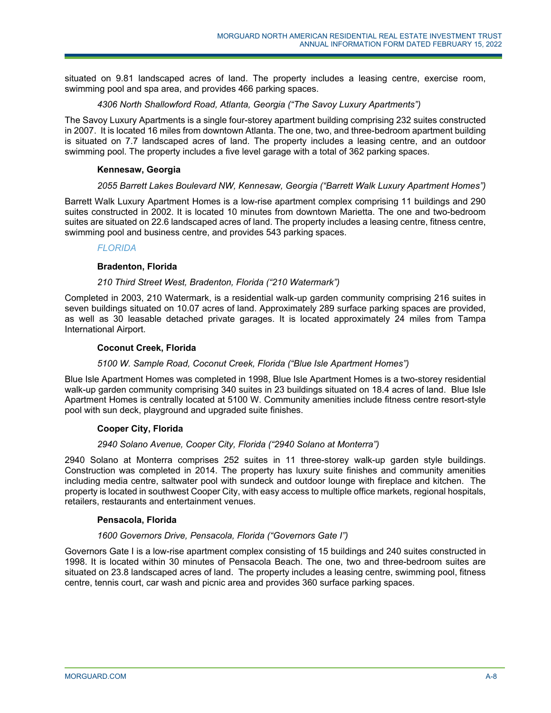situated on 9.81 landscaped acres of land. The property includes a leasing centre, exercise room, swimming pool and spa area, and provides 466 parking spaces.

# *4306 North Shallowford Road, Atlanta, Georgia ("The Savoy Luxury Apartments")*

The Savoy Luxury Apartments is a single four-storey apartment building comprising 232 suites constructed in 2007. It is located 16 miles from downtown Atlanta. The one, two, and three-bedroom apartment building is situated on 7.7 landscaped acres of land. The property includes a leasing centre, and an outdoor swimming pool. The property includes a five level garage with a total of 362 parking spaces.

# **Kennesaw, Georgia**

# *2055 Barrett Lakes Boulevard NW, Kennesaw, Georgia ("Barrett Walk Luxury Apartment Homes")*

Barrett Walk Luxury Apartment Homes is a low-rise apartment complex comprising 11 buildings and 290 suites constructed in 2002. It is located 10 minutes from downtown Marietta. The one and two-bedroom suites are situated on 22.6 landscaped acres of land. The property includes a leasing centre, fitness centre, swimming pool and business centre, and provides 543 parking spaces.

# *FLORIDA*

# **Bradenton, Florida**

# *210 Third Street West, Bradenton, Florida ("210 Watermark")*

Completed in 2003, 210 Watermark, is a residential walk-up garden community comprising 216 suites in seven buildings situated on 10.07 acres of land. Approximately 289 surface parking spaces are provided, as well as 30 leasable detached private garages. It is located approximately 24 miles from Tampa International Airport.

# **Coconut Creek, Florida**

## *5100 W. Sample Road, Coconut Creek, Florida ("Blue Isle Apartment Homes")*

Blue Isle Apartment Homes was completed in 1998, Blue Isle Apartment Homes is a two-storey residential walk-up garden community comprising 340 suites in 23 buildings situated on 18.4 acres of land. Blue Isle Apartment Homes is centrally located at 5100 W. Community amenities include fitness centre resort-style pool with sun deck, playground and upgraded suite finishes.

## **Cooper City, Florida**

## *2940 Solano Avenue, Cooper City, Florida ("2940 Solano at Monterra")*

2940 Solano at Monterra comprises 252 suites in 11 three-storey walk-up garden style buildings. Construction was completed in 2014. The property has luxury suite finishes and community amenities including media centre, saltwater pool with sundeck and outdoor lounge with fireplace and kitchen. The property is located in southwest Cooper City, with easy access to multiple office markets, regional hospitals, retailers, restaurants and entertainment venues.

## **Pensacola, Florida**

# *1600 Governors Drive, Pensacola, Florida ("Governors Gate I")*

Governors Gate I is a low-rise apartment complex consisting of 15 buildings and 240 suites constructed in 1998. It is located within 30 minutes of Pensacola Beach. The one, two and three-bedroom suites are situated on 23.8 landscaped acres of land. The property includes a leasing centre, swimming pool, fitness centre, tennis court, car wash and picnic area and provides 360 surface parking spaces.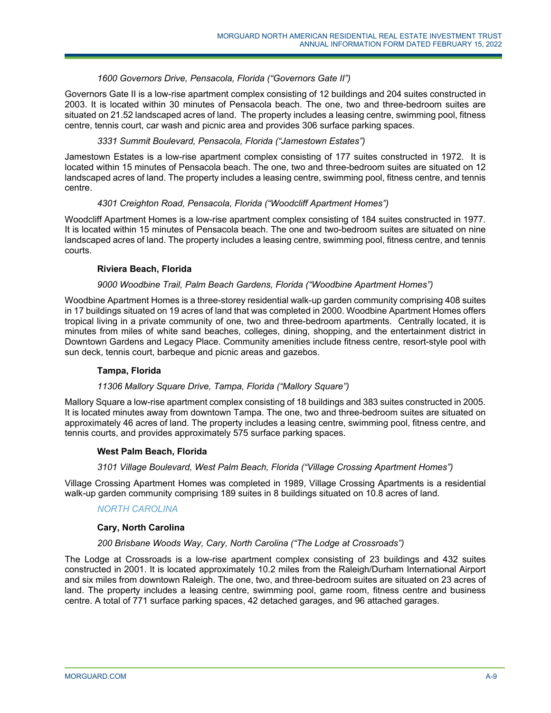## *1600 Governors Drive, Pensacola, Florida ("Governors Gate II")*

Governors Gate II is a low-rise apartment complex consisting of 12 buildings and 204 suites constructed in 2003. It is located within 30 minutes of Pensacola beach. The one, two and three-bedroom suites are situated on 21.52 landscaped acres of land. The property includes a leasing centre, swimming pool, fitness centre, tennis court, car wash and picnic area and provides 306 surface parking spaces.

## *3331 Summit Boulevard, Pensacola, Florida ("Jamestown Estates")*

Jamestown Estates is a low-rise apartment complex consisting of 177 suites constructed in 1972. It is located within 15 minutes of Pensacola beach. The one, two and three-bedroom suites are situated on 12 landscaped acres of land. The property includes a leasing centre, swimming pool, fitness centre, and tennis centre.

# *4301 Creighton Road, Pensacola, Florida ("Woodcliff Apartment Homes")*

Woodcliff Apartment Homes is a low-rise apartment complex consisting of 184 suites constructed in 1977. It is located within 15 minutes of Pensacola beach. The one and two-bedroom suites are situated on nine landscaped acres of land. The property includes a leasing centre, swimming pool, fitness centre, and tennis courts.

### **Riviera Beach, Florida**

### *9000 Woodbine Trail, Palm Beach Gardens, Florida ("Woodbine Apartment Homes")*

Woodbine Apartment Homes is a three-storey residential walk-up garden community comprising 408 suites in 17 buildings situated on 19 acres of land that was completed in 2000. Woodbine Apartment Homes offers tropical living in a private community of one, two and three-bedroom apartments. Centrally located, it is minutes from miles of white sand beaches, colleges, dining, shopping, and the entertainment district in Downtown Gardens and Legacy Place. Community amenities include fitness centre, resort-style pool with sun deck, tennis court, barbeque and picnic areas and gazebos.

## **Tampa, Florida**

# *11306 Mallory Square Drive, Tampa, Florida ("Mallory Square")*

Mallory Square a low-rise apartment complex consisting of 18 buildings and 383 suites constructed in 2005. It is located minutes away from downtown Tampa. The one, two and three-bedroom suites are situated on approximately 46 acres of land. The property includes a leasing centre, swimming pool, fitness centre, and tennis courts, and provides approximately 575 surface parking spaces.

#### **West Palm Beach, Florida**

## *3101 Village Boulevard, West Palm Beach, Florida ("Village Crossing Apartment Homes")*

Village Crossing Apartment Homes was completed in 1989, Village Crossing Apartments is a residential walk-up garden community comprising 189 suites in 8 buildings situated on 10.8 acres of land.

#### *NORTH CAROLINA*

#### **Cary, North Carolina**

#### *200 Brisbane Woods Way, Cary, North Carolina ("The Lodge at Crossroads")*

The Lodge at Crossroads is a low-rise apartment complex consisting of 23 buildings and 432 suites constructed in 2001. It is located approximately 10.2 miles from the Raleigh/Durham International Airport and six miles from downtown Raleigh. The one, two, and three-bedroom suites are situated on 23 acres of land. The property includes a leasing centre, swimming pool, game room, fitness centre and business centre. A total of 771 surface parking spaces, 42 detached garages, and 96 attached garages.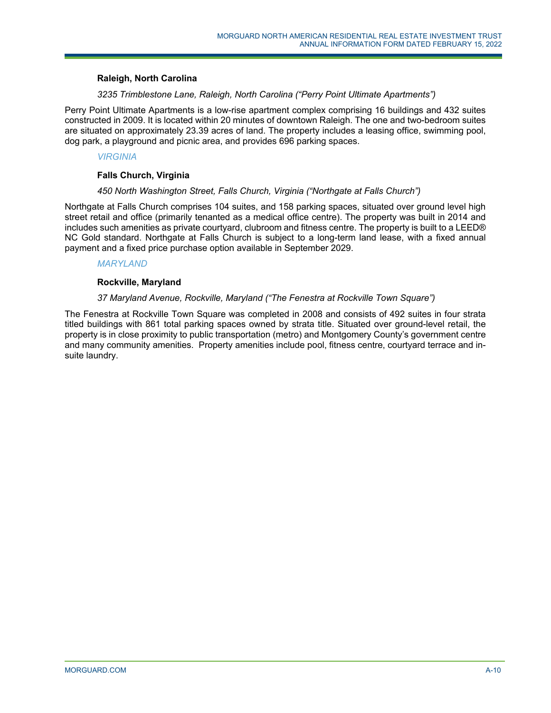### **Raleigh, North Carolina**

## *3235 Trimblestone Lane, Raleigh, North Carolina ("Perry Point Ultimate Apartments")*

Perry Point Ultimate Apartments is a low-rise apartment complex comprising 16 buildings and 432 suites constructed in 2009. It is located within 20 minutes of downtown Raleigh. The one and two-bedroom suites are situated on approximately 23.39 acres of land. The property includes a leasing office, swimming pool, dog park, a playground and picnic area, and provides 696 parking spaces.

### *VIRGINIA*

### **Falls Church, Virginia**

#### *450 North Washington Street, Falls Church, Virginia ("Northgate at Falls Church")*

Northgate at Falls Church comprises 104 suites, and 158 parking spaces, situated over ground level high street retail and office (primarily tenanted as a medical office centre). The property was built in 2014 and includes such amenities as private courtyard, clubroom and fitness centre. The property is built to a LEED® NC Gold standard. Northgate at Falls Church is subject to a long-term land lease, with a fixed annual payment and a fixed price purchase option available in September 2029.

## *MARYLAND*

#### **Rockville, Maryland**

# *37 Maryland Avenue, Rockville, Maryland ("The Fenestra at Rockville Town Square")*

The Fenestra at Rockville Town Square was completed in 2008 and consists of 492 suites in four strata titled buildings with 861 total parking spaces owned by strata title. Situated over ground-level retail, the property is in close proximity to public transportation (metro) and Montgomery County's government centre and many community amenities. Property amenities include pool, fitness centre, courtyard terrace and insuite laundry.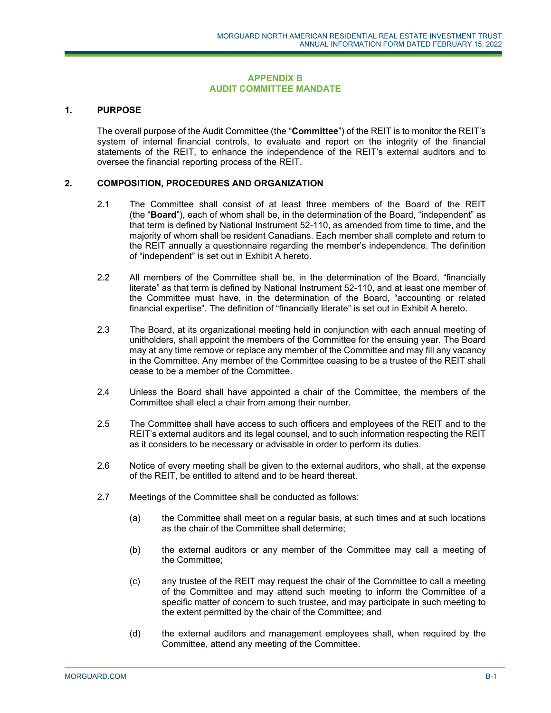### **APPENDIX B AUDIT COMMITTEE MANDATE**

## **1. PURPOSE**

The overall purpose of the Audit Committee (the "**Committee**") of the REIT is to monitor the REIT's system of internal financial controls, to evaluate and report on the integrity of the financial statements of the REIT, to enhance the independence of the REIT's external auditors and to oversee the financial reporting process of the REIT.

### **2. COMPOSITION, PROCEDURES AND ORGANIZATION**

- 2.1 The Committee shall consist of at least three members of the Board of the REIT (the "**Board**"), each of whom shall be, in the determination of the Board, "independent" as that term is defined by National Instrument 52-110, as amended from time to time, and the majority of whom shall be resident Canadians. Each member shall complete and return to the REIT annually a questionnaire regarding the member's independence. The definition of "independent" is set out in Exhibit A hereto.
- 2.2 All members of the Committee shall be, in the determination of the Board, "financially literate" as that term is defined by National Instrument 52-110, and at least one member of the Committee must have, in the determination of the Board, "accounting or related financial expertise". The definition of "financially literate" is set out in Exhibit A hereto.
- 2.3 The Board, at its organizational meeting held in conjunction with each annual meeting of unitholders, shall appoint the members of the Committee for the ensuing year. The Board may at any time remove or replace any member of the Committee and may fill any vacancy in the Committee. Any member of the Committee ceasing to be a trustee of the REIT shall cease to be a member of the Committee.
- 2.4 Unless the Board shall have appointed a chair of the Committee, the members of the Committee shall elect a chair from among their number.
- 2.5 The Committee shall have access to such officers and employees of the REIT and to the REIT's external auditors and its legal counsel, and to such information respecting the REIT as it considers to be necessary or advisable in order to perform its duties.
- 2.6 Notice of every meeting shall be given to the external auditors, who shall, at the expense of the REIT, be entitled to attend and to be heard thereat.
- 2.7 Meetings of the Committee shall be conducted as follows:
	- (a) the Committee shall meet on a regular basis, at such times and at such locations as the chair of the Committee shall determine;
	- (b) the external auditors or any member of the Committee may call a meeting of the Committee;
	- (c) any trustee of the REIT may request the chair of the Committee to call a meeting of the Committee and may attend such meeting to inform the Committee of a specific matter of concern to such trustee, and may participate in such meeting to the extent permitted by the chair of the Committee; and
	- (d) the external auditors and management employees shall, when required by the Committee, attend any meeting of the Committee.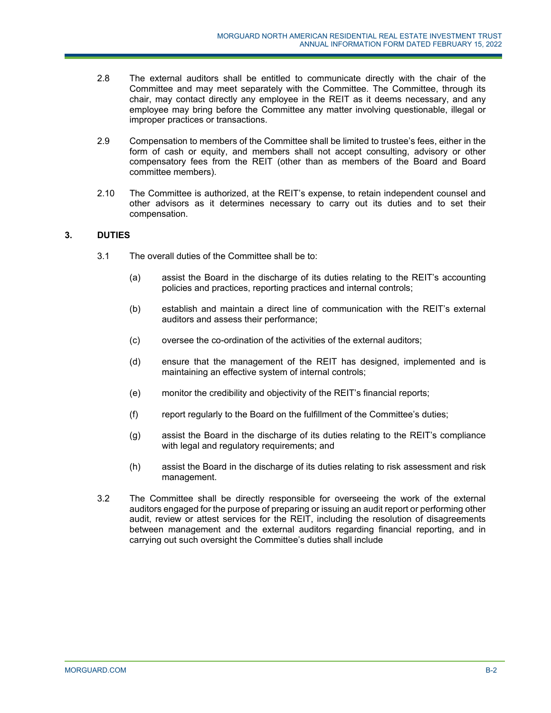- 2.8 The external auditors shall be entitled to communicate directly with the chair of the Committee and may meet separately with the Committee. The Committee, through its chair, may contact directly any employee in the REIT as it deems necessary, and any employee may bring before the Committee any matter involving questionable, illegal or improper practices or transactions.
- 2.9 Compensation to members of the Committee shall be limited to trustee's fees, either in the form of cash or equity, and members shall not accept consulting, advisory or other compensatory fees from the REIT (other than as members of the Board and Board committee members).
- 2.10 The Committee is authorized, at the REIT's expense, to retain independent counsel and other advisors as it determines necessary to carry out its duties and to set their compensation.

# **3. DUTIES**

- 3.1 The overall duties of the Committee shall be to:
	- (a) assist the Board in the discharge of its duties relating to the REIT's accounting policies and practices, reporting practices and internal controls;
	- (b) establish and maintain a direct line of communication with the REIT's external auditors and assess their performance;
	- (c) oversee the co-ordination of the activities of the external auditors;
	- (d) ensure that the management of the REIT has designed, implemented and is maintaining an effective system of internal controls;
	- (e) monitor the credibility and objectivity of the REIT's financial reports;
	- (f) report regularly to the Board on the fulfillment of the Committee's duties;
	- (g) assist the Board in the discharge of its duties relating to the REIT's compliance with legal and regulatory requirements; and
	- (h) assist the Board in the discharge of its duties relating to risk assessment and risk management.
- 3.2 The Committee shall be directly responsible for overseeing the work of the external auditors engaged for the purpose of preparing or issuing an audit report or performing other audit, review or attest services for the REIT, including the resolution of disagreements between management and the external auditors regarding financial reporting, and in carrying out such oversight the Committee's duties shall include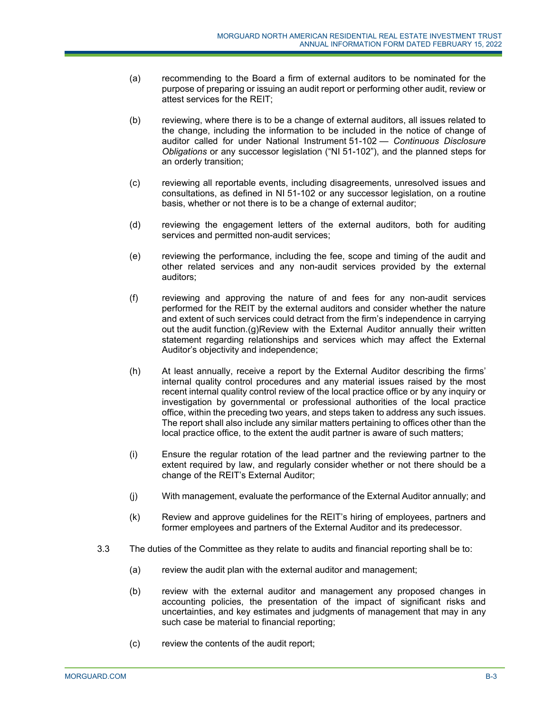- (a) recommending to the Board a firm of external auditors to be nominated for the purpose of preparing or issuing an audit report or performing other audit, review or attest services for the REIT;
- (b) reviewing, where there is to be a change of external auditors, all issues related to the change, including the information to be included in the notice of change of auditor called for under National Instrument 51-102 — *Continuous Disclosure Obligations* or any successor legislation ("NI 51-102"), and the planned steps for an orderly transition;
- (c) reviewing all reportable events, including disagreements, unresolved issues and consultations, as defined in NI 51-102 or any successor legislation, on a routine basis, whether or not there is to be a change of external auditor;
- (d) reviewing the engagement letters of the external auditors, both for auditing services and permitted non-audit services;
- (e) reviewing the performance, including the fee, scope and timing of the audit and other related services and any non-audit services provided by the external auditors;
- (f) reviewing and approving the nature of and fees for any non-audit services performed for the REIT by the external auditors and consider whether the nature and extent of such services could detract from the firm's independence in carrying out the audit function.(g) Review with the External Auditor annually their written statement regarding relationships and services which may affect the External Auditor's objectivity and independence;
- (h) At least annually, receive a report by the External Auditor describing the firms' internal quality control procedures and any material issues raised by the most recent internal quality control review of the local practice office or by any inquiry or investigation by governmental or professional authorities of the local practice office, within the preceding two years, and steps taken to address any such issues. The report shall also include any similar matters pertaining to offices other than the local practice office, to the extent the audit partner is aware of such matters;
- (i) Ensure the regular rotation of the lead partner and the reviewing partner to the extent required by law, and regularly consider whether or not there should be a change of the REIT's External Auditor;
- (j) With management, evaluate the performance of the External Auditor annually; and
- (k) Review and approve guidelines for the REIT's hiring of employees, partners and former employees and partners of the External Auditor and its predecessor.
- 3.3 The duties of the Committee as they relate to audits and financial reporting shall be to:
	- (a) review the audit plan with the external auditor and management;
	- (b) review with the external auditor and management any proposed changes in accounting policies, the presentation of the impact of significant risks and uncertainties, and key estimates and judgments of management that may in any such case be material to financial reporting;
	- (c) review the contents of the audit report;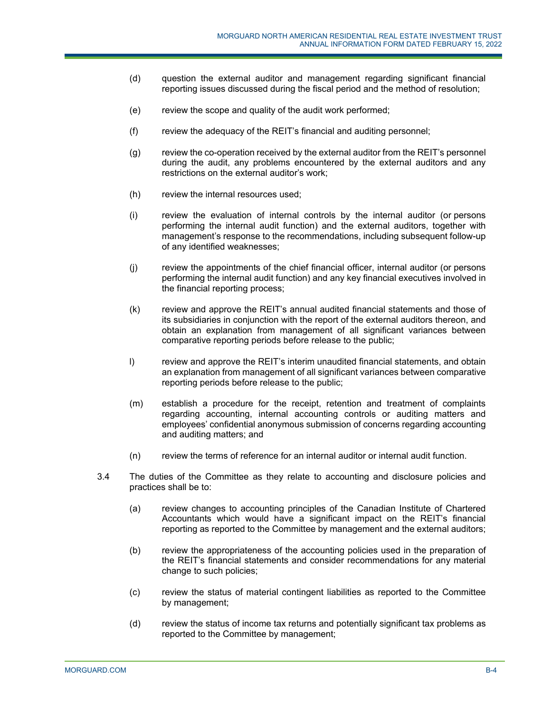- (d) question the external auditor and management regarding significant financial reporting issues discussed during the fiscal period and the method of resolution;
- (e) review the scope and quality of the audit work performed;
- (f) review the adequacy of the REIT's financial and auditing personnel;
- (g) review the co-operation received by the external auditor from the REIT's personnel during the audit, any problems encountered by the external auditors and any restrictions on the external auditor's work;
- (h) review the internal resources used;
- (i) review the evaluation of internal controls by the internal auditor (or persons performing the internal audit function) and the external auditors, together with management's response to the recommendations, including subsequent follow-up of any identified weaknesses;
- (j) review the appointments of the chief financial officer, internal auditor (or persons performing the internal audit function) and any key financial executives involved in the financial reporting process;
- (k) review and approve the REIT's annual audited financial statements and those of its subsidiaries in conjunction with the report of the external auditors thereon, and obtain an explanation from management of all significant variances between comparative reporting periods before release to the public;
- l) review and approve the REIT's interim unaudited financial statements, and obtain an explanation from management of all significant variances between comparative reporting periods before release to the public;
- (m) establish a procedure for the receipt, retention and treatment of complaints regarding accounting, internal accounting controls or auditing matters and employees' confidential anonymous submission of concerns regarding accounting and auditing matters; and
- (n) review the terms of reference for an internal auditor or internal audit function.
- 3.4 The duties of the Committee as they relate to accounting and disclosure policies and practices shall be to:
	- (a) review changes to accounting principles of the Canadian Institute of Chartered Accountants which would have a significant impact on the REIT's financial reporting as reported to the Committee by management and the external auditors;
	- (b) review the appropriateness of the accounting policies used in the preparation of the REIT's financial statements and consider recommendations for any material change to such policies;
	- (c) review the status of material contingent liabilities as reported to the Committee by management;
	- (d) review the status of income tax returns and potentially significant tax problems as reported to the Committee by management;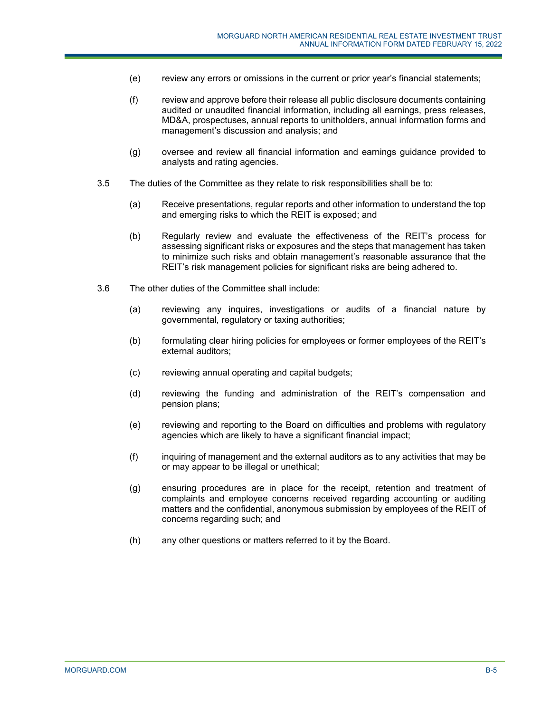- (e) review any errors or omissions in the current or prior year's financial statements;
- (f) review and approve before their release all public disclosure documents containing audited or unaudited financial information, including all earnings, press releases, MD&A, prospectuses, annual reports to unitholders, annual information forms and management's discussion and analysis; and
- (g) oversee and review all financial information and earnings guidance provided to analysts and rating agencies.
- 3.5 The duties of the Committee as they relate to risk responsibilities shall be to:
	- (a) Receive presentations, regular reports and other information to understand the top and emerging risks to which the REIT is exposed; and
	- (b) Regularly review and evaluate the effectiveness of the REIT's process for assessing significant risks or exposures and the steps that management has taken to minimize such risks and obtain management's reasonable assurance that the REIT's risk management policies for significant risks are being adhered to.
- 3.6 The other duties of the Committee shall include:
	- (a) reviewing any inquires, investigations or audits of a financial nature by governmental, regulatory or taxing authorities;
	- (b) formulating clear hiring policies for employees or former employees of the REIT's external auditors;
	- (c) reviewing annual operating and capital budgets;
	- (d) reviewing the funding and administration of the REIT's compensation and pension plans;
	- (e) reviewing and reporting to the Board on difficulties and problems with regulatory agencies which are likely to have a significant financial impact;
	- (f) inquiring of management and the external auditors as to any activities that may be or may appear to be illegal or unethical;
	- (g) ensuring procedures are in place for the receipt, retention and treatment of complaints and employee concerns received regarding accounting or auditing matters and the confidential, anonymous submission by employees of the REIT of concerns regarding such; and
	- (h) any other questions or matters referred to it by the Board.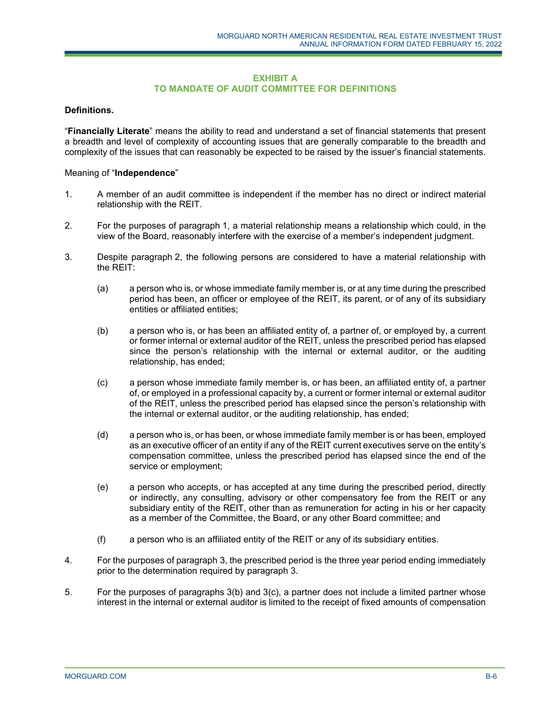#### **EXHIBIT A TO MANDATE OF AUDIT COMMITTEE FOR DEFINITIONS**

## **Definitions.**

"**Financially Literate**" means the ability to read and understand a set of financial statements that present a breadth and level of complexity of accounting issues that are generally comparable to the breadth and complexity of the issues that can reasonably be expected to be raised by the issuer's financial statements.

### Meaning of "**Independence**"

- 1. A member of an audit committee is independent if the member has no direct or indirect material relationship with the REIT.
- 2. For the purposes of paragraph 1, a material relationship means a relationship which could, in the view of the Board, reasonably interfere with the exercise of a member's independent judgment.
- 3. Despite paragraph 2, the following persons are considered to have a material relationship with the REIT:
	- (a) a person who is, or whose immediate family member is, or at any time during the prescribed period has been, an officer or employee of the REIT, its parent, or of any of its subsidiary entities or affiliated entities;
	- (b) a person who is, or has been an affiliated entity of, a partner of, or employed by, a current or former internal or external auditor of the REIT, unless the prescribed period has elapsed since the person's relationship with the internal or external auditor, or the auditing relationship, has ended;
	- (c) a person whose immediate family member is, or has been, an affiliated entity of, a partner of, or employed in a professional capacity by, a current or former internal or external auditor of the REIT, unless the prescribed period has elapsed since the person's relationship with the internal or external auditor, or the auditing relationship, has ended;
	- (d) a person who is, or has been, or whose immediate family member is or has been, employed as an executive officer of an entity if any of the REIT current executives serve on the entity's compensation committee, unless the prescribed period has elapsed since the end of the service or employment;
	- (e) a person who accepts, or has accepted at any time during the prescribed period, directly or indirectly, any consulting, advisory or other compensatory fee from the REIT or any subsidiary entity of the REIT, other than as remuneration for acting in his or her capacity as a member of the Committee, the Board, or any other Board committee; and
	- (f) a person who is an affiliated entity of the REIT or any of its subsidiary entities.
- 4. For the purposes of paragraph 3, the prescribed period is the three year period ending immediately prior to the determination required by paragraph 3.
- 5. For the purposes of paragraphs 3(b) and 3(c), a partner does not include a limited partner whose interest in the internal or external auditor is limited to the receipt of fixed amounts of compensation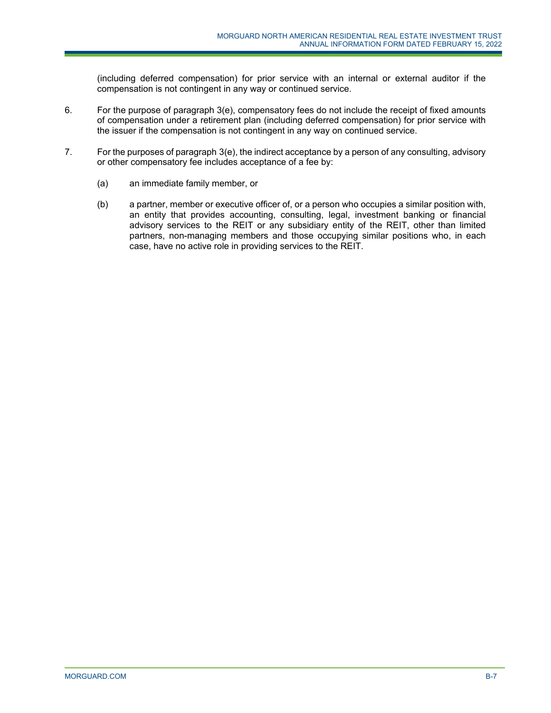(including deferred compensation) for prior service with an internal or external auditor if the compensation is not contingent in any way or continued service.

- 6. For the purpose of paragraph 3(e), compensatory fees do not include the receipt of fixed amounts of compensation under a retirement plan (including deferred compensation) for prior service with the issuer if the compensation is not contingent in any way on continued service.
- 7. For the purposes of paragraph 3(e), the indirect acceptance by a person of any consulting, advisory or other compensatory fee includes acceptance of a fee by:
	- (a) an immediate family member, or
	- (b) a partner, member or executive officer of, or a person who occupies a similar position with, an entity that provides accounting, consulting, legal, investment banking or financial advisory services to the REIT or any subsidiary entity of the REIT, other than limited partners, non-managing members and those occupying similar positions who, in each case, have no active role in providing services to the REIT.